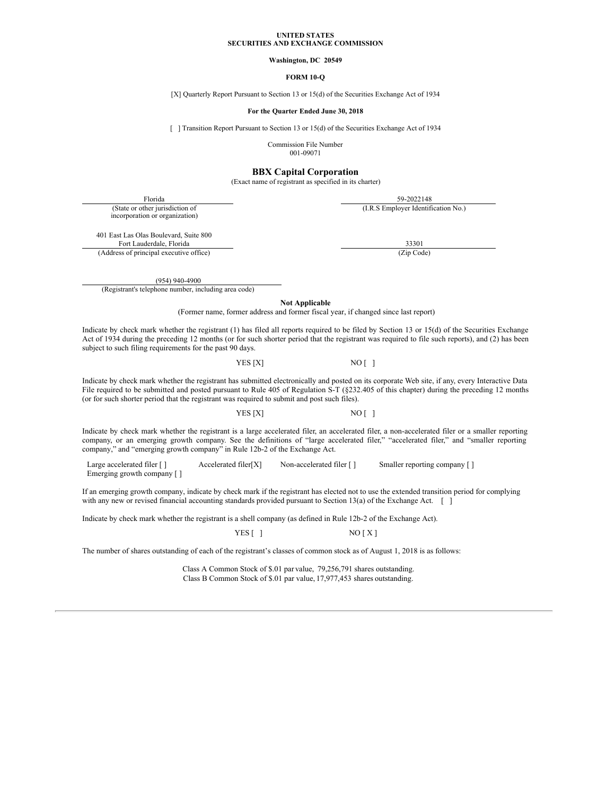## **UNITED STATES SECURITIES AND EXCHANGE COMMISSION**

## **Washington, DC 20549**

### **FORM 10-Q**

[X] Quarterly Report Pursuant to Section 13 or 15(d) of the Securities Exchange Act of 1934

## **For the Quarter Ended June 30, 2018**

[ ] Transition Report Pursuant to Section 13 or 15(d) of the Securities Exchange Act of 1934

Commission File Number 001-09071

## **BBX Capital Corporation**

(Exact name of registrant as specified in its charter)

Florida 59‑2022148

(I.R.S Employer Identification No.)

(State or other jurisdiction of incorporation or organization)

401 East Las Olas Boulevard, Suite 800 Fort Lauderdale, Florida 33301

(Address of principal executive office) (Zip Code)

(954) 940-4900

(Registrant's telephone number, including area code)

**Not Applicable**

(Former name, former address and former fiscal year, if changed since last report)

Indicate by check mark whether the registrant (1) has filed all reports required to be filed by Section 13 or 15(d) of the Securities Exchange Act of 1934 during the preceding 12 months (or for such shorter period that the registrant was required to file such reports), and (2) has been subject to such filing requirements for the past 90 days.

YES [X] NO [ ]

Indicate by check mark whether the registrant has submitted electronically and posted on its corporate Web site, if any, every Interactive Data File required to be submitted and posted pursuant to Rule 405 of Regulation S-T (§232.405 of this chapter) during the preceding 12 months (or for such shorter period that the registrant was required to submit and post such files).

YES [X] NO [ ]

Indicate by check mark whether the registrant is a large accelerated filer, an accelerated filer, a non-accelerated filer or a smaller reporting company, or an emerging growth company. See the definitions of "large accelerated filer," "accelerated filer," and "smaller reporting company," and "emerging growth company" in Rule 12b-2 of the Exchange Act.

Large accelerated filer [ ] Accelerated filer [ ] Smaller reporting company [ ] Emerging growth company [ ]

If an emerging growth company, indicate by check mark if the registrant has elected not to use the extended transition period for complying with any new or revised financial accounting standards provided pursuant to Section 13(a) of the Exchange Act.  $\lceil \rceil$ 

Indicate by check mark whether the registrant is a shell company (as defined in Rule 12b-2 of the Exchange Act).

YES  $[ ]$  NO  $[X]$ 

The number of shares outstanding of each of the registrant's classes of common stock as of August 1, 2018 is as follows:

Class A Common Stock of \$.01 par value, 79,256,791 shares outstanding. Class B Common Stock of \$.01 par value, 17,977,453 shares outstanding.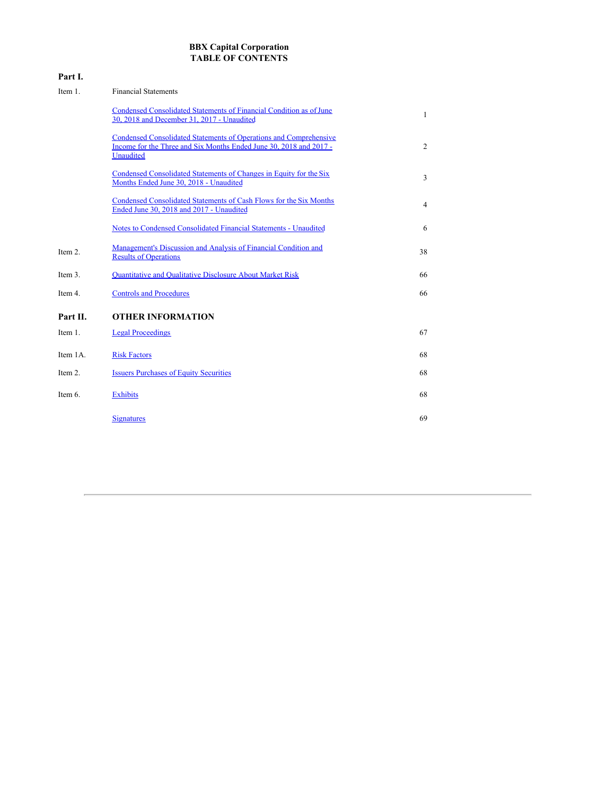# **BBX Capital Corporation TABLE OF CONTENTS**

| Part I.  |                                                                                                                                                             |                |
|----------|-------------------------------------------------------------------------------------------------------------------------------------------------------------|----------------|
| Item 1.  | <b>Financial Statements</b>                                                                                                                                 |                |
|          | Condensed Consolidated Statements of Financial Condition as of June<br>30, 2018 and December 31, 2017 - Unaudited                                           | 1              |
|          | <b>Condensed Consolidated Statements of Operations and Comprehensive</b><br>Income for the Three and Six Months Ended June 30, 2018 and 2017 -<br>Unaudited | $\overline{2}$ |
|          | Condensed Consolidated Statements of Changes in Equity for the Six<br>Months Ended June 30, 2018 - Unaudited                                                | 3              |
|          | Condensed Consolidated Statements of Cash Flows for the Six Months<br>Ended June 30, 2018 and 2017 - Unaudited                                              | 4              |
|          | Notes to Condensed Consolidated Financial Statements - Unaudited                                                                                            | 6              |
| Item 2.  | Management's Discussion and Analysis of Financial Condition and<br><b>Results of Operations</b>                                                             | 38             |
| Item 3.  | <b>Quantitative and Qualitative Disclosure About Market Risk</b>                                                                                            | 66             |
| Item 4.  | <b>Controls and Procedures</b>                                                                                                                              | 66             |
| Part II. | <b>OTHER INFORMATION</b>                                                                                                                                    |                |
| Item 1.  | <b>Legal Proceedings</b>                                                                                                                                    | 67             |
| Item 1A. | <b>Risk Factors</b>                                                                                                                                         | 68             |
| Item 2.  | <b>Issuers Purchases of Equity Securities</b>                                                                                                               | 68             |
| Item 6.  | <b>Exhibits</b>                                                                                                                                             | 68             |
|          | <b>Signatures</b>                                                                                                                                           | 69             |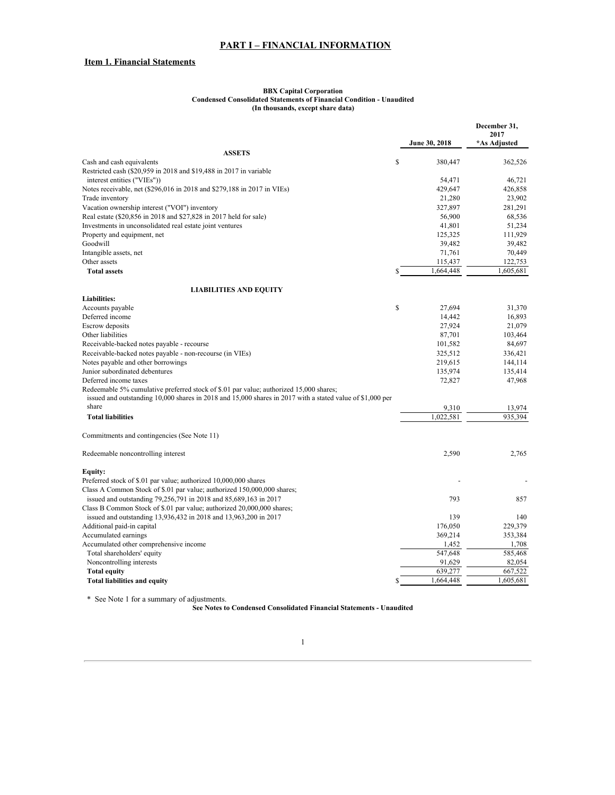# **PART I – FINANCIAL INFORMATION**

# <span id="page-2-0"></span>**Item 1. Financial Statements**

#### **BBX Capital Corporation Condensed Consolidated Statements of Financial Condition - Unaudited (In thousands, except share data)**

|                                                                                                                                                                                                     |    |               | December 31,<br>2017 |
|-----------------------------------------------------------------------------------------------------------------------------------------------------------------------------------------------------|----|---------------|----------------------|
|                                                                                                                                                                                                     |    | June 30, 2018 | *As Adjusted         |
| <b>ASSETS</b>                                                                                                                                                                                       |    |               |                      |
| Cash and cash equivalents                                                                                                                                                                           | S  | 380,447       | 362,526              |
| Restricted cash (\$20,959 in 2018 and \$19,488 in 2017 in variable                                                                                                                                  |    |               |                      |
| interest entities ("VIEs"))                                                                                                                                                                         |    | 54,471        | 46,721               |
| Notes receivable, net (\$296,016 in 2018 and \$279,188 in 2017 in VIEs)                                                                                                                             |    | 429,647       | 426,858              |
| Trade inventory                                                                                                                                                                                     |    | 21,280        | 23,902               |
| Vacation ownership interest ("VOI") inventory                                                                                                                                                       |    | 327,897       | 281,291              |
| Real estate (\$20,856 in 2018 and \$27,828 in 2017 held for sale)                                                                                                                                   |    | 56,900        | 68,536               |
| Investments in unconsolidated real estate joint ventures                                                                                                                                            |    | 41,801        | 51,234               |
| Property and equipment, net                                                                                                                                                                         |    | 125,325       | 111,929              |
| Goodwill                                                                                                                                                                                            |    | 39,482        | 39,482               |
| Intangible assets, net                                                                                                                                                                              |    | 71,761        | 70,449               |
| Other assets                                                                                                                                                                                        |    | 115,437       | 122,753              |
| <b>Total assets</b>                                                                                                                                                                                 | \$ | 1,664,448     | 1,605,681            |
| <b>LIABILITIES AND EQUITY</b>                                                                                                                                                                       |    |               |                      |
| <b>Liabilities:</b>                                                                                                                                                                                 |    |               |                      |
| Accounts payable                                                                                                                                                                                    | S  | 27,694        | 31,370               |
| Deferred income                                                                                                                                                                                     |    | 14,442        | 16,893               |
| Escrow deposits                                                                                                                                                                                     |    | 27,924        | 21,079               |
| Other liabilities                                                                                                                                                                                   |    | 87,701        | 103,464              |
| Receivable-backed notes payable - recourse                                                                                                                                                          |    | 101,582       | 84,697               |
| Receivable-backed notes payable - non-recourse (in VIEs)                                                                                                                                            |    | 325,512       | 336,421              |
| Notes payable and other borrowings                                                                                                                                                                  |    | 219,615       | 144,114              |
| Junior subordinated debentures                                                                                                                                                                      |    | 135,974       | 135,414              |
| Deferred income taxes                                                                                                                                                                               |    | 72,827        | 47,968               |
| Redeemable 5% cumulative preferred stock of \$.01 par value; authorized 15,000 shares;<br>issued and outstanding 10,000 shares in 2018 and 15,000 shares in 2017 with a stated value of \$1,000 per |    |               |                      |
| share                                                                                                                                                                                               |    | 9,310         | 13,974               |
| <b>Total liabilities</b>                                                                                                                                                                            |    | 1.022.581     | 935.394              |
| Commitments and contingencies (See Note 11)                                                                                                                                                         |    |               |                      |
| Redeemable noncontrolling interest                                                                                                                                                                  |    | 2,590         | 2,765                |
| <b>Equity:</b>                                                                                                                                                                                      |    |               |                      |
| Preferred stock of \$.01 par value; authorized 10,000,000 shares                                                                                                                                    |    |               |                      |
| Class A Common Stock of \$.01 par value; authorized 150,000,000 shares;                                                                                                                             |    |               |                      |
| issued and outstanding 79,256,791 in 2018 and 85,689,163 in 2017                                                                                                                                    |    | 793           | 857                  |
| Class B Common Stock of \$.01 par value; authorized 20,000,000 shares;                                                                                                                              |    |               |                      |
| issued and outstanding 13,936,432 in 2018 and 13,963,200 in 2017                                                                                                                                    |    | 139           | 140                  |
| Additional paid-in capital                                                                                                                                                                          |    | 176,050       | 229,379              |
| Accumulated earnings                                                                                                                                                                                |    | 369,214       | 353,384              |
| Accumulated other comprehensive income                                                                                                                                                              |    | 1,452         | 1,708                |
| Total shareholders' equity                                                                                                                                                                          |    | 547,648       | 585,468              |
| Noncontrolling interests                                                                                                                                                                            |    | 91,629        | 82,054               |
| <b>Total equity</b>                                                                                                                                                                                 |    | 639,277       | 667,522              |
| <b>Total liabilities and equity</b>                                                                                                                                                                 | S  | 1,664,448     | 1,605,681            |

\* See Note 1 for a summary of adjustments.

**See Notes to Condensed Consolidated Financial Statements - Unaudited**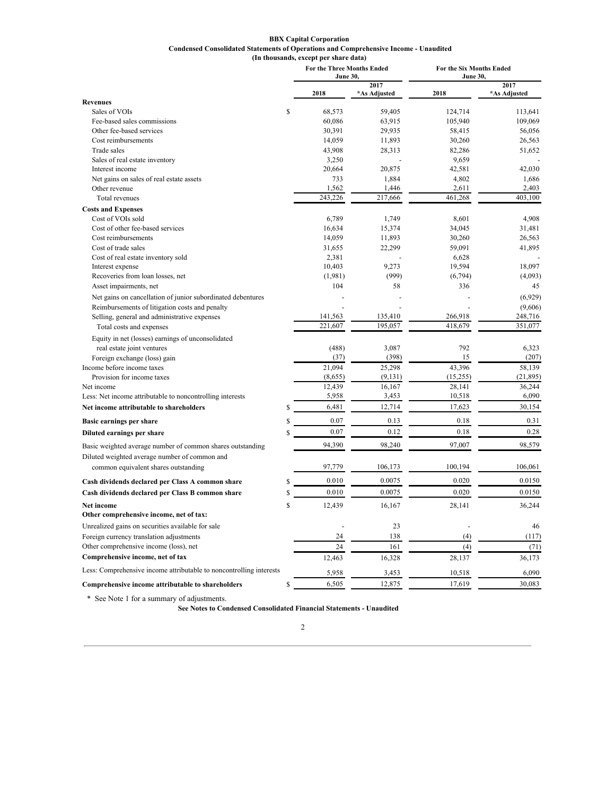# **BBX Capital Corporation**

<span id="page-3-0"></span>**Condensed Consolidated Statements of Operations and Comprehensive Income - Unaudited**

|                                                                     |    | (In thousands, except per share data)         |                      |                                             |                      |
|---------------------------------------------------------------------|----|-----------------------------------------------|----------------------|---------------------------------------------|----------------------|
|                                                                     |    | For the Three Months Ended<br><b>June 30,</b> |                      | For the Six Months Ended<br><b>June 30,</b> |                      |
|                                                                     |    | 2018                                          | 2017<br>*As Adjusted | 2018                                        | 2017<br>*As Adjusted |
| <b>Revenues</b>                                                     |    |                                               |                      |                                             |                      |
| Sales of VOIs                                                       | \$ | 68,573                                        | 59,405               | 124,714                                     | 113,641              |
| Fee-based sales commissions                                         |    | 60,086                                        | 63,915               | 105,940                                     | 109,069              |
| Other fee-based services                                            |    | 30,391                                        | 29,935               | 58,415                                      | 56,056               |
| Cost reimbursements                                                 |    | 14,059                                        | 11,893               | 30,260                                      | 26,563               |
| Trade sales                                                         |    | 43,908                                        | 28,313               | 82,286                                      | 51,652               |
| Sales of real estate inventory                                      |    | 3,250                                         |                      | 9,659                                       |                      |
| Interest income                                                     |    | 20,664                                        | 20,875               | 42,581                                      | 42,030               |
| Net gains on sales of real estate assets                            |    | 733                                           | 1,884                | 4,802                                       | 1,686                |
| Other revenue                                                       |    | 1,562                                         | 1,446                | 2,611                                       | 2,403                |
| Total revenues                                                      |    | 243,226                                       | 217,666              | 461,268                                     | 403,100              |
| <b>Costs and Expenses</b>                                           |    |                                               |                      |                                             |                      |
| Cost of VOIs sold                                                   |    | 6,789                                         | 1,749                | 8,601                                       | 4,908                |
| Cost of other fee-based services                                    |    | 16,634                                        | 15,374               | 34,045                                      | 31,481               |
| Cost reimbursements                                                 |    | 14,059                                        | 11,893               | 30,260                                      | 26,563               |
| Cost of trade sales                                                 |    | 31,655                                        | 22,299               | 59,091                                      | 41,895               |
| Cost of real estate inventory sold                                  |    | 2,381                                         |                      | 6,628                                       |                      |
| Interest expense                                                    |    | 10,403                                        | 9,273                | 19,594                                      | 18,097               |
| Recoveries from loan losses, net                                    |    | (1,981)                                       | (999)                | (6, 794)                                    | (4,093)              |
| Asset impairments, net                                              |    | 104                                           | 58                   | 336                                         | 45                   |
| Net gains on cancellation of junior subordinated debentures         |    |                                               |                      |                                             | (6,929)              |
| Reimbursements of litigation costs and penalty                      |    |                                               |                      |                                             | (9,606)              |
| Selling, general and administrative expenses                        |    | 141,563                                       | 135,410              | 266,918                                     | 248,716              |
| Total costs and expenses                                            |    | 221,607                                       | 195,057              | 418,679                                     | 351,077              |
| Equity in net (losses) earnings of unconsolidated                   |    |                                               |                      |                                             |                      |
| real estate joint ventures                                          |    | (488)                                         | 3,087                | 792                                         | 6,323                |
| Foreign exchange (loss) gain                                        |    | (37)                                          | (398)                | 15                                          | (207)                |
| Income before income taxes                                          |    | 21,094                                        | 25,298               | 43,396                                      | 58,139               |
| Provision for income taxes                                          |    | (8,655)                                       | (9, 131)             | (15,255)                                    | (21, 895)            |
| Net income                                                          |    | 12,439                                        | 16,167               | 28,141                                      | 36,244               |
| Less: Net income attributable to noncontrolling interests           |    | 5,958                                         | 3,453                | 10,518                                      | 6,090                |
| Net income attributable to shareholders                             | \$ | 6,481                                         | 12,714               | 17,623                                      | 30,154               |
| Basic earnings per share                                            | \$ | 0.07                                          | 0.13                 | 0.18                                        | 0.31                 |
| Diluted earnings per share                                          | S  | 0.07                                          | 0.12                 | 0.18                                        | 0.28                 |
| Basic weighted average number of common shares outstanding          |    | 94,390                                        | 98,240               | 97,007                                      | 98,579               |
| Diluted weighted average number of common and                       |    |                                               |                      |                                             |                      |
| common equivalent shares outstanding                                |    | 97,779                                        | 106,173              | 100,194                                     | 106,061              |
| Cash dividends declared per Class A common share                    | S  | 0.010                                         | 0.0075               | 0.020                                       | 0.0150               |
| Cash dividends declared per Class B common share                    | \$ | 0.010                                         | 0.0075               | 0.020                                       | 0.0150               |
| Net income                                                          |    | 12,439                                        | 16,167               | 28,141                                      | 36,244               |
| Other comprehensive income, net of tax:                             |    |                                               |                      |                                             |                      |
| Unrealized gains on securities available for sale                   |    |                                               | 23                   |                                             | 46                   |
| Foreign currency translation adjustments                            |    | 24                                            | 138                  | (4)                                         | (117)                |
| Other comprehensive income (loss), net                              |    | 24                                            | 161                  | (4)                                         | (71)                 |
| Comprehensive income, net of tax                                    |    | 12,463                                        | 16,328               | 28,137                                      | 36,173               |
| Less: Comprehensive income attributable to noncontrolling interests |    | 5,958                                         | 3,453                | 10,518                                      | 6,090                |
| Comprehensive income attributable to shareholders                   | \$ | 6,505                                         | 12,875               | 17,619                                      | 30,083               |

\* See Note 1 for a summary of adjustments.

**See Notes to Condensed Consolidated Financial Statements - Unaudited**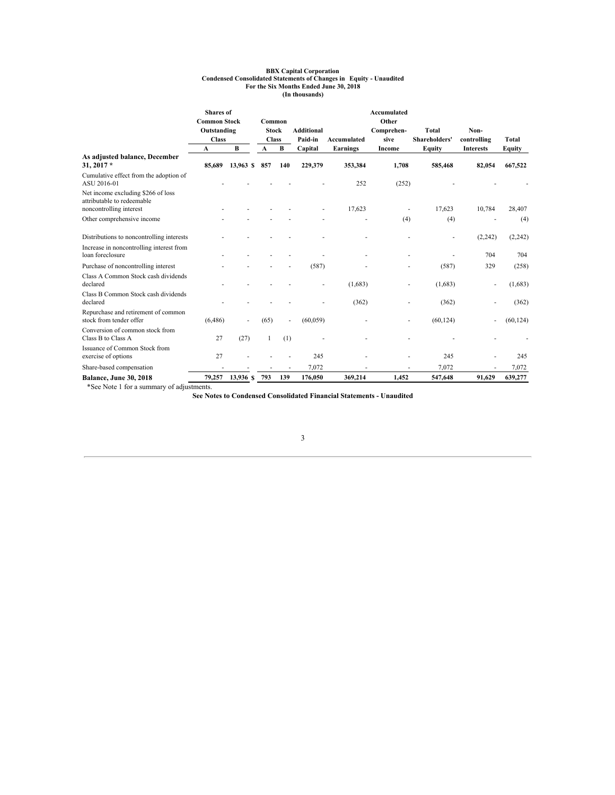# <span id="page-4-0"></span>BBX Capital Corporation<br>Condensed Consolidated Statements of Changes in Equity - Unaudited<br>For the Six Months Ended June 30, 2018<br>(In thousands)

|                                                                                             | <b>Shares</b> of<br><b>Common Stock</b><br>Outstanding<br><b>Class</b> |               | Common<br><b>Stock</b><br><b>Class</b> |     | Additional<br>Paid-in | Accumulated | Accumulated<br>Other<br>Comprehen-<br>sive | Total<br>Shareholders' | Non-<br>controlling | Total     |
|---------------------------------------------------------------------------------------------|------------------------------------------------------------------------|---------------|----------------------------------------|-----|-----------------------|-------------|--------------------------------------------|------------------------|---------------------|-----------|
|                                                                                             | A                                                                      | $\bf{B}$      | A                                      | B   | Capital               | Earnings    | Income                                     | <b>Equity</b>          | <b>Interests</b>    | Equity    |
| As adjusted balance, December<br>31, 2017 *                                                 | 85,689                                                                 | $13,963$ \$   | 857                                    | 140 | 229,379               | 353,384     | 1,708                                      | 585,468                | 82,054              | 667,522   |
| Cumulative effect from the adoption of<br>ASU 2016-01                                       |                                                                        |               |                                        |     |                       | 252         | (252)                                      |                        |                     |           |
| Net income excluding \$266 of loss<br>attributable to redeemable<br>noncontrolling interest |                                                                        |               |                                        |     |                       | 17,623      |                                            | 17,623                 | 10,784              | 28,407    |
| Other comprehensive income                                                                  |                                                                        |               |                                        |     |                       |             | (4)                                        | (4)                    |                     | (4)       |
| Distributions to noncontrolling interests                                                   |                                                                        |               |                                        |     |                       |             |                                            |                        | (2, 242)            | (2,242)   |
| Increase in noncontrolling interest from<br>loan foreclosure                                |                                                                        |               |                                        |     |                       |             |                                            |                        | 704                 | 704       |
| Purchase of noncontrolling interest                                                         |                                                                        |               |                                        |     | (587)                 |             |                                            | (587)                  | 329                 | (258)     |
| Class A Common Stock cash dividends<br>declared                                             |                                                                        |               |                                        |     |                       | (1,683)     |                                            | (1,683)                |                     | (1,683)   |
| Class B Common Stock cash dividends<br>declared                                             |                                                                        |               |                                        |     |                       | (362)       |                                            | (362)                  |                     | (362)     |
| Repurchase and retirement of common<br>stock from tender offer                              | (6, 486)                                                               |               | (65)                                   |     | (60, 059)             |             |                                            | (60, 124)              |                     | (60, 124) |
| Conversion of common stock from<br>Class B to Class A                                       | 27                                                                     | (27)          | 1                                      | (1) |                       |             |                                            |                        |                     |           |
| Issuance of Common Stock from<br>exercise of options                                        | 27                                                                     |               |                                        |     | 245                   |             |                                            | 245                    |                     | 245       |
| Share-based compensation                                                                    |                                                                        |               |                                        |     | 7,072                 |             |                                            | 7,072                  |                     | 7,072     |
| Balance, June 30, 2018                                                                      | 79,257                                                                 | 13,936 \$ 793 |                                        | 139 | 176,050               | 369,214     | 1,452                                      | 547,648                | 91,629              | 639,277   |

\*See Note 1 for a summary of adjustments.

**See Notes to Condensed Consolidated Financial Statements - Unaudited**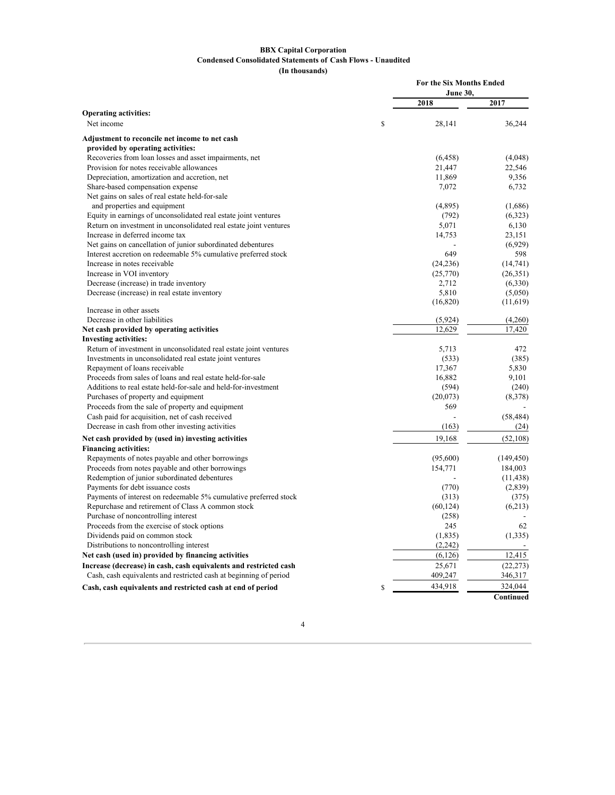# **BBX Capital Corporation**

# **Condensed Consolidated Statements of Cash Flows - Unaudited**

<span id="page-5-0"></span>**(In thousands)**

|                                                                                     | For the Six Months Ended<br>June 30, |            |
|-------------------------------------------------------------------------------------|--------------------------------------|------------|
|                                                                                     | 2018                                 | 2017       |
| <b>Operating activities:</b>                                                        |                                      |            |
| Net income                                                                          | \$<br>28,141                         | 36,244     |
| Adjustment to reconcile net income to net cash                                      |                                      |            |
| provided by operating activities:                                                   |                                      |            |
| Recoveries from loan losses and asset impairments, net                              | (6, 458)                             | (4,048)    |
| Provision for notes receivable allowances                                           | 21,447                               | 22,546     |
| Depreciation, amortization and accretion, net                                       | 11,869                               | 9,356      |
| Share-based compensation expense                                                    | 7,072                                | 6,732      |
| Net gains on sales of real estate held-for-sale                                     |                                      |            |
| and properties and equipment                                                        | (4,895)                              | (1,686)    |
| Equity in earnings of unconsolidated real estate joint ventures                     | (792)                                | (6,323)    |
| Return on investment in unconsolidated real estate joint ventures                   | 5,071                                | 6,130      |
| Increase in deferred income tax                                                     | 14,753                               | 23,151     |
| Net gains on cancellation of junior subordinated debentures                         |                                      | (6,929)    |
| Interest accretion on redeemable 5% cumulative preferred stock                      | 649                                  | 598        |
| Increase in notes receivable                                                        | (24, 236)                            | (14, 741)  |
| Increase in VOI inventory                                                           | (25,770)                             | (26, 351)  |
| Decrease (increase) in trade inventory                                              | 2,712                                | (6,330)    |
| Decrease (increase) in real estate inventory                                        | 5,810                                | (5,050)    |
|                                                                                     | (16, 820)                            | (11,619)   |
| Increase in other assets<br>Decrease in other liabilities                           | (5, 924)                             | (4,260)    |
| Net cash provided by operating activities                                           | 12,629                               | 17,420     |
| <b>Investing activities:</b>                                                        |                                      |            |
| Return of investment in unconsolidated real estate joint ventures                   | 5,713                                | 472        |
| Investments in unconsolidated real estate joint ventures                            | (533)                                | (385)      |
| Repayment of loans receivable                                                       | 17,367                               | 5,830      |
| Proceeds from sales of loans and real estate held-for-sale                          | 16,882                               | 9,101      |
| Additions to real estate held-for-sale and held-for-investment                      | (594)                                | (240)      |
| Purchases of property and equipment                                                 | (20,073)                             | (8,378)    |
| Proceeds from the sale of property and equipment                                    | 569                                  |            |
| Cash paid for acquisition, net of cash received                                     |                                      | (58, 484)  |
| Decrease in cash from other investing activities                                    | (163)                                | (24)       |
|                                                                                     |                                      |            |
| Net cash provided by (used in) investing activities<br><b>Financing activities:</b> | 19,168                               | (52, 108)  |
| Repayments of notes payable and other borrowings                                    | (95,600)                             | (149, 450) |
| Proceeds from notes payable and other borrowings                                    | 154,771                              | 184,003    |
| Redemption of junior subordinated debentures                                        |                                      | (11, 438)  |
| Payments for debt issuance costs                                                    | (770)                                | (2,839)    |
| Payments of interest on redeemable 5% cumulative preferred stock                    | (313)                                | (375)      |
| Repurchase and retirement of Class A common stock                                   | (60, 124)                            | (6,213)    |
| Purchase of noncontrolling interest                                                 | (258)                                |            |
| Proceeds from the exercise of stock options                                         | 245                                  | 62         |
| Dividends paid on common stock                                                      | (1, 835)                             | (1, 335)   |
| Distributions to noncontrolling interest                                            | (2, 242)                             |            |
| Net cash (used in) provided by financing activities                                 | (6, 126)                             | 12,415     |
| Increase (decrease) in cash, cash equivalents and restricted cash                   | 25,671                               | (22, 273)  |
| Cash, cash equivalents and restricted cash at beginning of period                   | 409,247                              | 346,317    |
| Cash, cash equivalents and restricted cash at end of period                         | \$<br>434,918                        | 324,044    |

**Continued**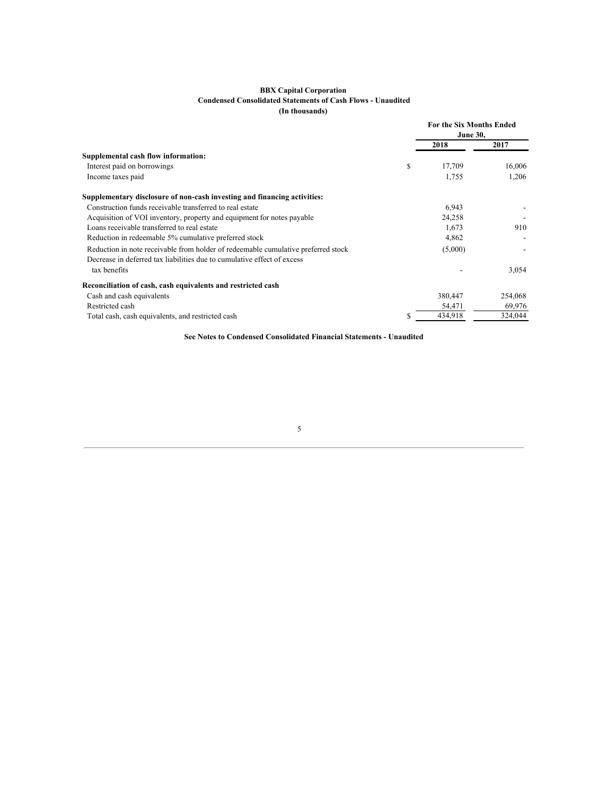# **BBX Capital Corporation Condensed Consolidated Statements of Cash Flows - Unaudited (In thousands)**

|                                                                                   |    | For the Six Months Ended |         |
|-----------------------------------------------------------------------------------|----|--------------------------|---------|
|                                                                                   |    | <b>June 30,</b>          |         |
|                                                                                   |    | 2018                     | 2017    |
| Supplemental cash flow information:                                               |    |                          |         |
| Interest paid on borrowings                                                       | \$ | 17,709                   | 16,006  |
| Income taxes paid                                                                 |    | 1,755                    | 1,206   |
| Supplementary disclosure of non-cash investing and financing activities:          |    |                          |         |
| Construction funds receivable transferred to real estate                          |    | 6,943                    |         |
| Acquisition of VOI inventory, property and equipment for notes payable            |    | 24,258                   |         |
| Loans receivable transferred to real estate                                       |    | 1,673                    | 910     |
| Reduction in redeemable 5% cumulative preferred stock                             |    | 4,862                    |         |
| Reduction in note receivable from holder of redeemable cumulative preferred stock |    | (5,000)                  |         |
| Decrease in deferred tax liabilities due to cumulative effect of excess           |    |                          |         |
| tax benefits                                                                      |    |                          | 3,054   |
| Reconciliation of cash, cash equivalents and restricted cash                      |    |                          |         |
| Cash and cash equivalents                                                         |    | 380,447                  | 254,068 |
| Restricted cash                                                                   |    | 54,471                   | 69,976  |
| Total cash, cash equivalents, and restricted cash                                 | S  | 434.918                  | 324,044 |

**See Notes to Condensed Consolidated Financial Statements - Unaudited**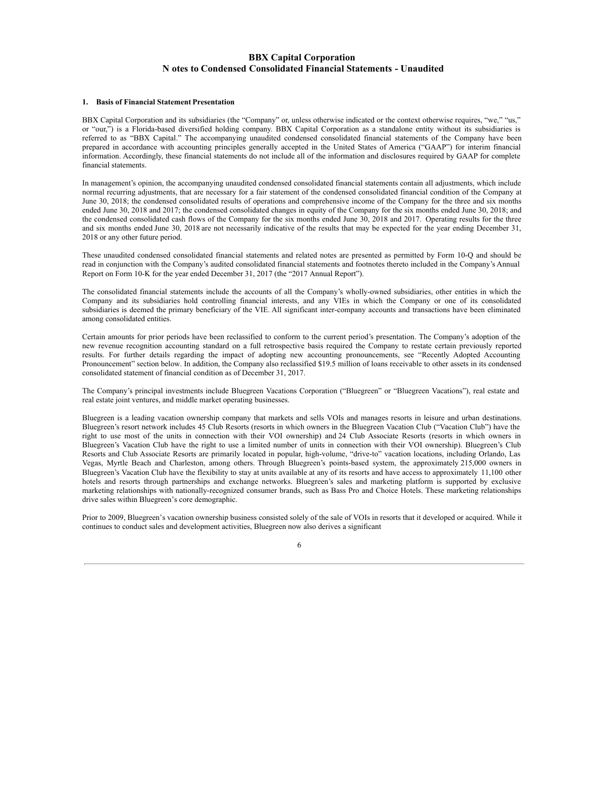# <span id="page-7-0"></span>**BBX Capital Corporation N otes to Condensed Consolidated Financial Statements - Unaudited**

## **1. Basis of Financial Statement Presentation**

BBX Capital Corporation and its subsidiaries (the "Company" or, unless otherwise indicated or the context otherwise requires, "we," "us," or "our,") is a Florida-based diversified holding company. BBX Capital Corporation as a standalone entity without its subsidiaries is referred to as "BBX Capital." The accompanying unaudited condensed consolidated financial statements of the Company have been prepared in accordance with accounting principles generally accepted in the United States of America ("GAAP") for interim financial information. Accordingly, these financial statements do not include all of the information and disclosures required by GAAP for complete financial statements.

In management's opinion, the accompanying unaudited condensed consolidated financial statements contain all adjustments, which include normal recurring adjustments, that are necessary for a fair statement of the condensed consolidated financial condition of the Company at June 30, 2018; the condensed consolidated results of operations and comprehensive income of the Company for the three and six months ended June 30, 2018 and 2017; the condensed consolidated changes in equity of the Company for the six months ended June 30, 2018; and the condensed consolidated cash flows of the Company for the six months ended June 30, 2018 and 2017. Operating results for the three and six months ended June 30, 2018 are not necessarily indicative of the results that may be expected for the year ending December 31, 2018 or any other future period.

These unaudited condensed consolidated financial statements and related notes are presented as permitted by Form 10-Q and should be read in conjunction with the Company's audited consolidated financial statements and footnotes thereto included in the Company's Annual Report on Form 10-K for the year ended December 31, 2017 (the "2017 Annual Report").

The consolidated financial statements include the accounts of all the Company's wholly-owned subsidiaries, other entities in which the Company and its subsidiaries hold controlling financial interests, and any VIEs in which the Company or one of its consolidated subsidiaries is deemed the primary beneficiary of the VIE. All significant inter-company accounts and transactions have been eliminated among consolidated entities.

Certain amounts for prior periods have been reclassified to conform to the current period's presentation. The Company's adoption of the new revenue recognition accounting standard on a full retrospective basis required the Company to restate certain previously reported results. For further details regarding the impact of adopting new accounting pronouncements, see "Recently Adopted Accounting Pronouncement" section below. In addition, the Company also reclassified \$19.5 million of loans receivable to other assets in its condensed consolidated statement of financial condition as of December 31, 2017.

The Company's principal investments include Bluegreen Vacations Corporation ("Bluegreen" or "Bluegreen Vacations"), real estate and real estate joint ventures, and middle market operating businesses.

Bluegreen is a leading vacation ownership company that markets and sells VOIs and manages resorts in leisure and urban destinations. Bluegreen's resort network includes 45 Club Resorts (resorts in which owners in the Bluegreen Vacation Club ("Vacation Club") have the right to use most of the units in connection with their VOI ownership) and 24 Club Associate Resorts (resorts in which owners in Bluegreen's Vacation Club have the right to use a limited number of units in connection with their VOI ownership). Bluegreen's Club Resorts and Club Associate Resorts are primarily located in popular, high-volume, "drive-to" vacation locations, including Orlando, Las Vegas, Myrtle Beach and Charleston, among others. Through Bluegreen's points-based system, the approximately 215,000 owners in Bluegreen's Vacation Club have the flexibility to stay at units available at any of its resorts and have access to approximately 11,100 other hotels and resorts through partnerships and exchange networks. Bluegreen's sales and marketing platform is supported by exclusive marketing relationships with nationally-recognized consumer brands, such as Bass Pro and Choice Hotels. These marketing relationships drive sales within Bluegreen's core demographic.

Prior to 2009, Bluegreen's vacation ownership business consisted solely of the sale of VOIs in resorts that it developed or acquired. While it continues to conduct sales and development activities, Bluegreen now also derives a significant

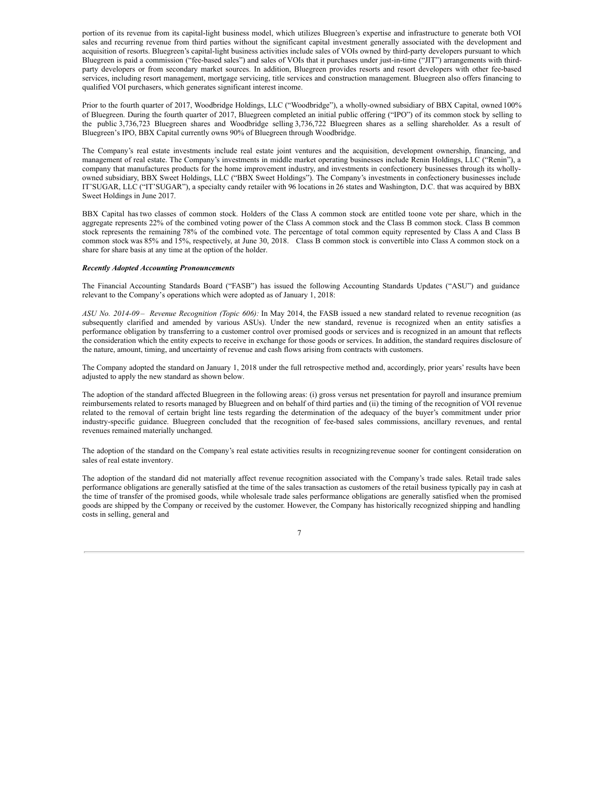portion of its revenue from its capital-light business model, which utilizes Bluegreen's expertise and infrastructure to generate both VOI sales and recurring revenue from third parties without the significant capital investment generally associated with the development and acquisition of resorts. Bluegreen's capital-light business activities include sales of VOIs owned by third-party developers pursuant to which Bluegreen is paid a commission ("fee-based sales") and sales of VOIs that it purchases under just-in-time ("JIT") arrangements with thirdparty developers or from secondary market sources. In addition, Bluegreen provides resorts and resort developers with other fee-based services, including resort management, mortgage servicing, title services and construction management. Bluegreen also offers financing to qualified VOI purchasers, which generates significant interest income.

Prior to the fourth quarter of 2017, Woodbridge Holdings, LLC ("Woodbridge"), a wholly-owned subsidiary of BBX Capital, owned 100% of Bluegreen. During the fourth quarter of 2017, Bluegreen completed an initial public offering ("IPO") of its common stock by selling to the public 3,736,723 Bluegreen shares and Woodbridge selling 3,736,722 Bluegreen shares as a selling shareholder. As a result of Bluegreen's IPO, BBX Capital currently owns 90% of Bluegreen through Woodbridge.

The Company's real estate investments include real estate joint ventures and the acquisition, development ownership, financing, and management of real estate. The Company's investments in middle market operating businesses include Renin Holdings, LLC ("Renin"), a company that manufactures products for the home improvement industry, and investments in confectionery businesses through its whollyowned subsidiary, BBX Sweet Holdings, LLC ("BBX Sweet Holdings"). The Company's investments in confectionery businesses include IT'SUGAR, LLC ("IT'SUGAR"), a specialty candy retailer with 96 locations in 26 states and Washington, D.C. that was acquired by BBX Sweet Holdings in June 2017.

BBX Capital has two classes of common stock. Holders of the Class A common stock are entitled toone vote per share, which in the aggregate represents 22% of the combined voting power of the Class A common stock and the Class B common stock. Class B common stock represents the remaining 78% of the combined vote. The percentage of total common equity represented by Class A and Class B common stock was 85% and 15%, respectively, at June 30, 2018. Class B common stock is convertible into Class A common stock on a share for share basis at any time at the option of the holder.

#### *Recently Adopted Accounting Pronouncements*

The Financial Accounting Standards Board ("FASB") has issued the following Accounting Standards Updates ("ASU") and guidance relevant to the Company's operations which were adopted as of January 1, 2018:

*ASU No. 2014-09* – *Revenue Recognition (Topic 606):* In May 2014, the FASB issued a new standard related to revenue recognition (as subsequently clarified and amended by various ASUs). Under the new standard, revenue is recognized when an entity satisfies a performance obligation by transferring to a customer control over promised goods or services and is recognized in an amount that reflects the consideration which the entity expects to receive in exchange for those goods or services. In addition, the standard requires disclosure of the nature, amount, timing, and uncertainty of revenue and cash flows arising from contracts with customers.

The Company adopted the standard on January 1, 2018 under the full retrospective method and, accordingly, prior years' results have been adjusted to apply the new standard as shown below.

The adoption of the standard affected Bluegreen in the following areas: (i) gross versus net presentation for payroll and insurance premium reimbursements related to resorts managed by Bluegreen and on behalf of third parties and (ii) the timing of the recognition of VOI revenue related to the removal of certain bright line tests regarding the determination of the adequacy of the buyer's commitment under prior industry-specific guidance. Bluegreen concluded that the recognition of fee-based sales commissions, ancillary revenues, and rental revenues remained materially unchanged.

The adoption of the standard on the Company's real estate activities results in recognizingrevenue sooner for contingent consideration on sales of real estate inventory.

The adoption of the standard did not materially affect revenue recognition associated with the Company's trade sales. Retail trade sales performance obligations are generally satisfied at the time of the sales transaction as customers of the retail business typically pay in cash at the time of transfer of the promised goods, while wholesale trade sales performance obligations are generally satisfied when the promised goods are shipped by the Company or received by the customer. However, the Company has historically recognized shipping and handling costs in selling, general and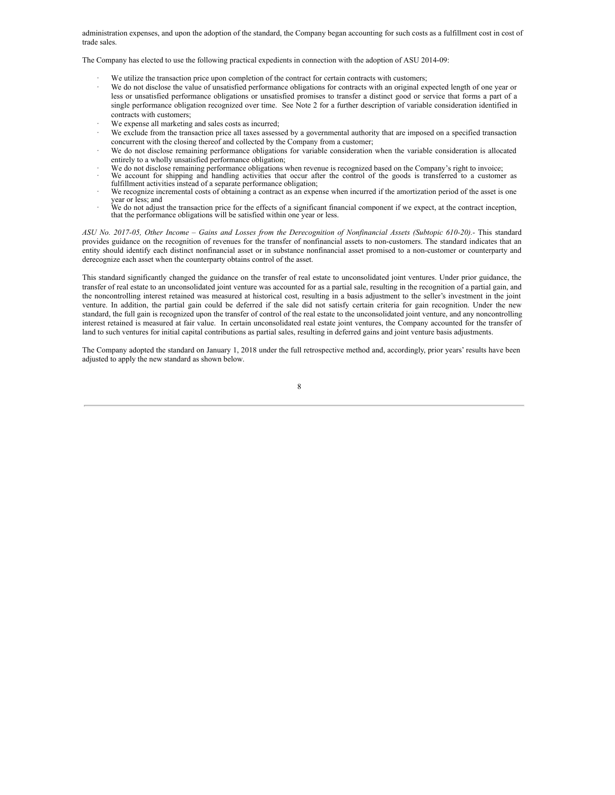administration expenses, and upon the adoption of the standard, the Company began accounting for such costs as a fulfillment cost in cost of trade sales.

The Company has elected to use the following practical expedients in connection with the adoption of ASU 2014-09:

- We utilize the transaction price upon completion of the contract for certain contracts with customers;
- We do not disclose the value of unsatisfied performance obligations for contracts with an original expected length of one year or less or unsatisfied performance obligations or unsatisfied promises to transfer a distinct good or service that forms a part of a single performance obligation recognized over time. See Note 2 for a further description of variable consideration identified in contracts with customers;
- We expense all marketing and sales costs as incurred;
- We exclude from the transaction price all taxes assessed by a governmental authority that are imposed on a specified transaction concurrent with the closing thereof and collected by the Company from a customer;
- We do not disclose remaining performance obligations for variable consideration when the variable consideration is allocated entirely to a wholly unsatisfied performance obligation;
- · We do not disclose remaining performance obligations when revenue is recognized based on the Company's right to invoice;
- We account for shipping and handling activities that occur after the control of the goods is transferred to a customer as fulfillment activities instead of a separate performance obligation;
- We recognize incremental costs of obtaining a contract as an expense when incurred if the amortization period of the asset is one year or less; and
- · We do not adjust the transaction price for the effects of a significant financial component if we expect, at the contract inception, that the performance obligations will be satisfied within one year or less.

ASU No. 2017-05, Other Income - Gains and Losses from the Derecognition of Nonfinancial Assets (Subtopic 610-20).- This standard provides guidance on the recognition of revenues for the transfer of nonfinancial assets to non-customers. The standard indicates that an entity should identify each distinct nonfinancial asset or in substance nonfinancial asset promised to a non-customer or counterparty and derecognize each asset when the counterparty obtains control of the asset.

This standard significantly changed the guidance on the transfer of real estate to unconsolidated joint ventures. Under prior guidance, the transfer of real estate to an unconsolidated joint venture was accounted for as a partial sale, resulting in the recognition of a partial gain, and the noncontrolling interest retained was measured at historical cost, resulting in a basis adjustment to the seller's investment in the joint venture. In addition, the partial gain could be deferred if the sale did not satisfy certain criteria for gain recognition. Under the new standard, the full gain is recognized upon the transfer of control of the real estate to the unconsolidated joint venture, and any noncontrolling interest retained is measured at fair value. In certain unconsolidated real estate joint ventures, the Company accounted for the transfer of land to such ventures for initial capital contributions as partial sales, resulting in deferred gains and joint venture basis adjustments.

The Company adopted the standard on January 1, 2018 under the full retrospective method and, accordingly, prior years' results have been adjusted to apply the new standard as shown below.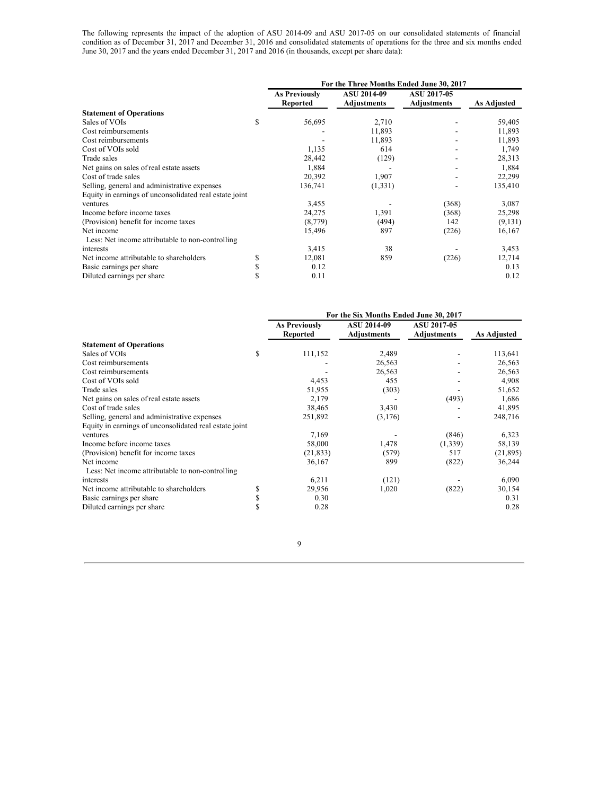The following represents the impact of the adoption of ASU 2014-09 and ASU 2017-05 on our consolidated statements of financial condition as of December 31, 2017 and December 31, 2016 and consolidated statements of operations for the three and six months ended June 30, 2017 and the years ended December 31, 2017 and 2016 (in thousands, except per share data):

|                                                        |    | For the Three Months Ended June 30, 2017 |                                          |                                          |             |  |  |
|--------------------------------------------------------|----|------------------------------------------|------------------------------------------|------------------------------------------|-------------|--|--|
|                                                        |    | <b>As Previously</b><br><b>Reported</b>  | <b>ASU 2014-09</b><br><b>Adjustments</b> | <b>ASU 2017-05</b><br><b>Adjustments</b> | As Adjusted |  |  |
| <b>Statement of Operations</b>                         |    |                                          |                                          |                                          |             |  |  |
| Sales of VOIs                                          | \$ | 56,695                                   | 2,710                                    |                                          | 59,405      |  |  |
| Cost reimbursements                                    |    |                                          | 11,893                                   |                                          | 11,893      |  |  |
| Cost reimbursements                                    |    |                                          | 11,893                                   |                                          | 11,893      |  |  |
| Cost of VOIs sold                                      |    | 1,135                                    | 614                                      |                                          | 1,749       |  |  |
| Trade sales                                            |    | 28,442                                   | (129)                                    |                                          | 28,313      |  |  |
| Net gains on sales of real estate assets               |    | 1,884                                    |                                          |                                          | 1,884       |  |  |
| Cost of trade sales                                    |    | 20,392                                   | 1,907                                    |                                          | 22,299      |  |  |
| Selling, general and administrative expenses           |    | 136,741                                  | (1,331)                                  |                                          | 135,410     |  |  |
| Equity in earnings of unconsolidated real estate joint |    |                                          |                                          |                                          |             |  |  |
| ventures                                               |    | 3,455                                    |                                          | (368)                                    | 3,087       |  |  |
| Income before income taxes                             |    | 24,275                                   | 1,391                                    | (368)                                    | 25,298      |  |  |
| (Provision) benefit for income taxes                   |    | (8,779)                                  | (494)                                    | 142                                      | (9,131)     |  |  |
| Net income                                             |    | 15,496                                   | 897                                      | (226)                                    | 16,167      |  |  |
| Less: Net income attributable to non-controlling       |    |                                          |                                          |                                          |             |  |  |
| interests                                              |    | 3,415                                    | 38                                       |                                          | 3,453       |  |  |
| Net income attributable to shareholders                | P. | 12,081                                   | 859                                      | (226)                                    | 12,714      |  |  |
| Basic earnings per share                               |    | 0.12                                     |                                          |                                          | 0.13        |  |  |
| Diluted earnings per share                             | S  | 0.11                                     |                                          |                                          | 0.12        |  |  |

|                                                        |    | For the Six Months Ended June 30, 2017 |                                   |                                          |             |  |  |
|--------------------------------------------------------|----|----------------------------------------|-----------------------------------|------------------------------------------|-------------|--|--|
|                                                        |    | <b>As Previously</b><br>Reported       | <b>ASU 2014-09</b><br>Adjustments | <b>ASU 2017-05</b><br><b>Adjustments</b> | As Adjusted |  |  |
| <b>Statement of Operations</b>                         |    |                                        |                                   |                                          |             |  |  |
| Sales of VOIs                                          | \$ | 111,152                                | 2,489                             |                                          | 113,641     |  |  |
| Cost reimbursements                                    |    |                                        | 26,563                            |                                          | 26,563      |  |  |
| Cost reimbursements                                    |    |                                        | 26,563                            |                                          | 26,563      |  |  |
| Cost of VOIs sold                                      |    | 4,453                                  | 455                               |                                          | 4,908       |  |  |
| Trade sales                                            |    | 51,955                                 | (303)                             |                                          | 51,652      |  |  |
| Net gains on sales of real estate assets               |    | 2,179                                  |                                   | (493)                                    | 1,686       |  |  |
| Cost of trade sales                                    |    | 38,465                                 | 3,430                             |                                          | 41,895      |  |  |
| Selling, general and administrative expenses           |    | 251,892                                | (3,176)                           |                                          | 248,716     |  |  |
| Equity in earnings of unconsolidated real estate joint |    |                                        |                                   |                                          |             |  |  |
| ventures                                               |    | 7,169                                  |                                   | (846)                                    | 6,323       |  |  |
| Income before income taxes                             |    | 58,000                                 | 1,478                             | (1,339)                                  | 58,139      |  |  |
| (Provision) benefit for income taxes                   |    | (21, 833)                              | (579)                             | 517                                      | (21, 895)   |  |  |
| Net income                                             |    | 36,167                                 | 899                               | (822)                                    | 36,244      |  |  |
| Less: Net income attributable to non-controlling       |    |                                        |                                   |                                          |             |  |  |
| interests                                              |    | 6,211                                  | (121)                             |                                          | 6,090       |  |  |
| Net income attributable to shareholders                | S  | 29,956                                 | 1,020                             | (822)                                    | 30,154      |  |  |
| Basic earnings per share                               |    | 0.30                                   |                                   |                                          | 0.31        |  |  |
| Diluted earnings per share                             | ъ  | 0.28                                   |                                   |                                          | 0.28        |  |  |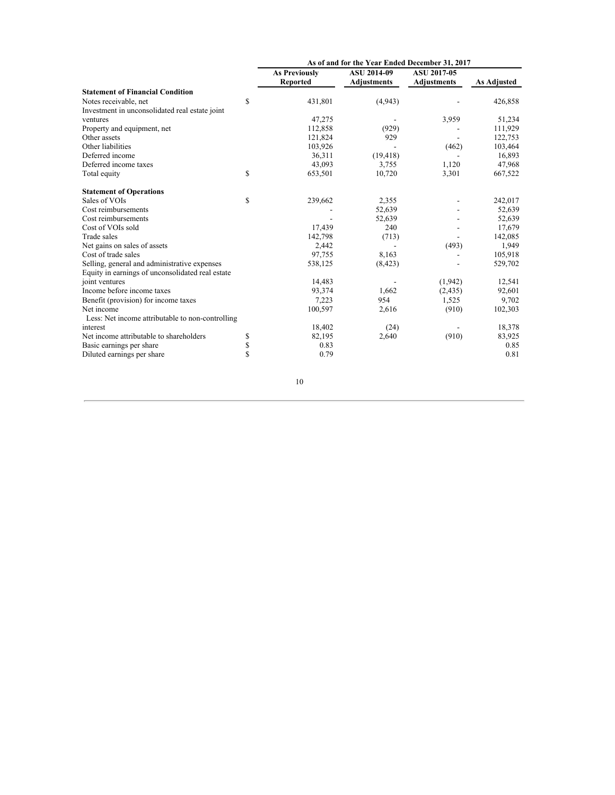|                                                                |    | As of and for the Year Ended December 31, 2017 |                                          |                                          |             |  |  |
|----------------------------------------------------------------|----|------------------------------------------------|------------------------------------------|------------------------------------------|-------------|--|--|
|                                                                |    | <b>As Previously</b><br>Reported               | <b>ASU 2014-09</b><br><b>Adjustments</b> | <b>ASU 2017-05</b><br><b>Adjustments</b> | As Adjusted |  |  |
| <b>Statement of Financial Condition</b>                        |    |                                                |                                          |                                          |             |  |  |
| Notes receivable, net                                          | \$ | 431,801                                        | (4, 943)                                 |                                          | 426,858     |  |  |
| Investment in unconsolidated real estate joint                 |    |                                                |                                          |                                          |             |  |  |
| ventures                                                       |    | 47,275                                         |                                          | 3,959                                    | 51,234      |  |  |
| Property and equipment, net                                    |    | 112,858                                        | (929)                                    |                                          | 111,929     |  |  |
| Other assets                                                   |    | 121,824                                        | 929                                      |                                          | 122,753     |  |  |
| Other liabilities                                              |    | 103,926                                        |                                          | (462)                                    | 103,464     |  |  |
| Deferred income                                                |    | 36,311                                         | (19, 418)                                |                                          | 16,893      |  |  |
| Deferred income taxes                                          |    | 43,093                                         | 3,755                                    | 1,120                                    | 47,968      |  |  |
| Total equity                                                   | S  | 653,501                                        | 10,720                                   | 3,301                                    | 667,522     |  |  |
| <b>Statement of Operations</b>                                 |    |                                                |                                          |                                          |             |  |  |
| Sales of VOIs                                                  | \$ | 239,662                                        | 2,355                                    |                                          | 242,017     |  |  |
| Cost reimbursements                                            |    |                                                | 52,639                                   |                                          | 52,639      |  |  |
| Cost reimbursements                                            |    |                                                | 52,639                                   |                                          | 52,639      |  |  |
| Cost of VOIs sold                                              |    | 17,439                                         | 240                                      |                                          | 17,679      |  |  |
| Trade sales                                                    |    | 142,798                                        | (713)                                    |                                          | 142,085     |  |  |
| Net gains on sales of assets                                   |    | 2,442                                          |                                          | (493)                                    | 1,949       |  |  |
| Cost of trade sales                                            |    | 97,755                                         | 8,163                                    |                                          | 105,918     |  |  |
| Selling, general and administrative expenses                   |    | 538,125                                        | (8,423)                                  |                                          | 529,702     |  |  |
| Equity in earnings of unconsolidated real estate               |    |                                                |                                          |                                          |             |  |  |
| joint ventures                                                 |    | 14,483                                         |                                          | (1,942)                                  | 12,541      |  |  |
| Income before income taxes                                     |    | 93,374                                         | 1,662                                    | (2, 435)                                 | 92,601      |  |  |
| Benefit (provision) for income taxes                           |    | 7,223                                          | 954                                      | 1,525                                    | 9,702       |  |  |
| Net income<br>Less: Net income attributable to non-controlling |    | 100,597                                        | 2,616                                    | (910)                                    | 102,303     |  |  |
| interest                                                       |    | 18,402                                         | (24)                                     |                                          | 18,378      |  |  |
| Net income attributable to shareholders                        | \$ | 82,195                                         | 2,640                                    | (910)                                    | 83,925      |  |  |
| Basic earnings per share                                       | \$ | 0.83                                           |                                          |                                          | 0.85        |  |  |
| Diluted earnings per share                                     | Ŝ  | 0.79                                           |                                          |                                          | 0.81        |  |  |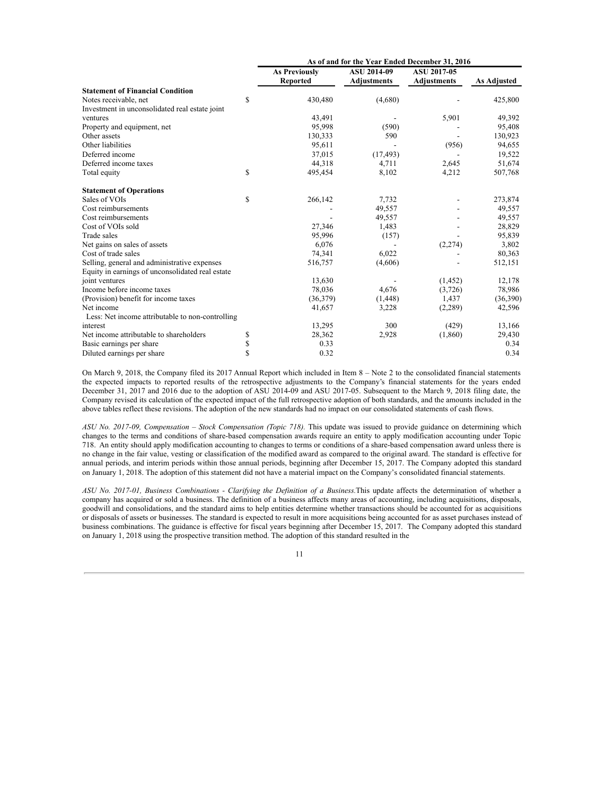|                                                  | As of and for the Year Ended December 31, 2016 |                                          |                                   |             |  |  |
|--------------------------------------------------|------------------------------------------------|------------------------------------------|-----------------------------------|-------------|--|--|
|                                                  | <b>As Previously</b><br><b>Reported</b>        | <b>ASU 2014-09</b><br><b>Adjustments</b> | ASU 2017-05<br><b>Adjustments</b> | As Adjusted |  |  |
| <b>Statement of Financial Condition</b>          |                                                |                                          |                                   |             |  |  |
| Notes receivable, net                            | \$<br>430,480                                  | (4,680)                                  |                                   | 425,800     |  |  |
| Investment in unconsolidated real estate joint   |                                                |                                          |                                   |             |  |  |
| ventures                                         | 43,491                                         |                                          | 5,901                             | 49,392      |  |  |
| Property and equipment, net                      | 95,998                                         | (590)                                    |                                   | 95,408      |  |  |
| Other assets                                     | 130,333                                        | 590                                      |                                   | 130,923     |  |  |
| Other liabilities                                | 95,611                                         |                                          | (956)                             | 94,655      |  |  |
| Deferred income                                  | 37,015                                         | (17, 493)                                |                                   | 19,522      |  |  |
| Deferred income taxes                            | 44,318                                         | 4,711                                    | 2,645                             | 51,674      |  |  |
| Total equity                                     | \$<br>495,454                                  | 8,102                                    | 4,212                             | 507,768     |  |  |
| <b>Statement of Operations</b>                   |                                                |                                          |                                   |             |  |  |
| Sales of VOIs                                    | \$<br>266,142                                  | 7,732                                    |                                   | 273,874     |  |  |
| Cost reimbursements                              |                                                | 49,557                                   |                                   | 49,557      |  |  |
| Cost reimbursements                              |                                                | 49,557                                   |                                   | 49,557      |  |  |
| Cost of VOIs sold                                | 27,346                                         | 1,483                                    |                                   | 28,829      |  |  |
| Trade sales                                      | 95,996                                         | (157)                                    |                                   | 95,839      |  |  |
| Net gains on sales of assets                     | 6,076                                          |                                          | (2,274)                           | 3,802       |  |  |
| Cost of trade sales                              | 74,341                                         | 6,022                                    |                                   | 80,363      |  |  |
| Selling, general and administrative expenses     | 516,757                                        | (4,606)                                  |                                   | 512,151     |  |  |
| Equity in earnings of unconsolidated real estate |                                                |                                          |                                   |             |  |  |
| joint ventures                                   | 13,630                                         |                                          | (1, 452)                          | 12,178      |  |  |
| Income before income taxes                       | 78,036                                         | 4,676                                    | (3,726)                           | 78,986      |  |  |
| (Provision) benefit for income taxes             | (36,379)                                       | (1, 448)                                 | 1,437                             | (36,390)    |  |  |
| Net income                                       | 41,657                                         | 3,228                                    | (2,289)                           | 42,596      |  |  |
| Less: Net income attributable to non-controlling |                                                |                                          |                                   |             |  |  |
| interest                                         | 13,295                                         | 300                                      | (429)                             | 13,166      |  |  |
| Net income attributable to shareholders          | \$<br>28,362                                   | 2,928                                    | (1,860)                           | 29,430      |  |  |
| Basic earnings per share                         | \$<br>0.33                                     |                                          |                                   | 0.34        |  |  |
| Diluted earnings per share                       | \$<br>0.32                                     |                                          |                                   | 0.34        |  |  |

On March 9, 2018, the Company filed its 2017 Annual Report which included in Item 8 – Note 2 to the consolidated financial statements the expected impacts to reported results of the retrospective adjustments to the Company's financial statements for the years ended December 31, 2017 and 2016 due to the adoption of ASU 2014-09 and ASU 2017-05. Subsequent to the March 9, 2018 filing date, the Company revised its calculation of the expected impact of the full retrospective adoption of both standards, and the amounts included in the above tables reflect these revisions. The adoption of the new standards had no impact on our consolidated statements of cash flows.

*ASU No. 2017-09, Compensation – Stock Compensation (Topic 718).* This update was issued to provide guidance on determining which changes to the terms and conditions of share-based compensation awards require an entity to apply modification accounting under Topic 718. An entity should apply modification accounting to changes to terms or conditions of a share-based compensation award unless there is no change in the fair value, vesting or classification of the modified award as compared to the original award. The standard is effective for annual periods, and interim periods within those annual periods, beginning after December 15, 2017. The Company adopted this standard on January 1, 2018. The adoption of this statement did not have a material impact on the Company's consolidated financial statements.

*ASU No. 2017-01, Business Combinations - Clarifying the Definition of a Business.*This update affects the determination of whether a company has acquired or sold a business. The definition of a business affects many areas of accounting, including acquisitions, disposals, goodwill and consolidations, and the standard aims to help entities determine whether transactions should be accounted for as acquisitions or disposals of assets or businesses. The standard is expected to result in more acquisitions being accounted for as asset purchases instead of business combinations. The guidance is effective for fiscal years beginning after December 15, 2017. The Company adopted this standard on January 1, 2018 using the prospective transition method. The adoption of this standard resulted in the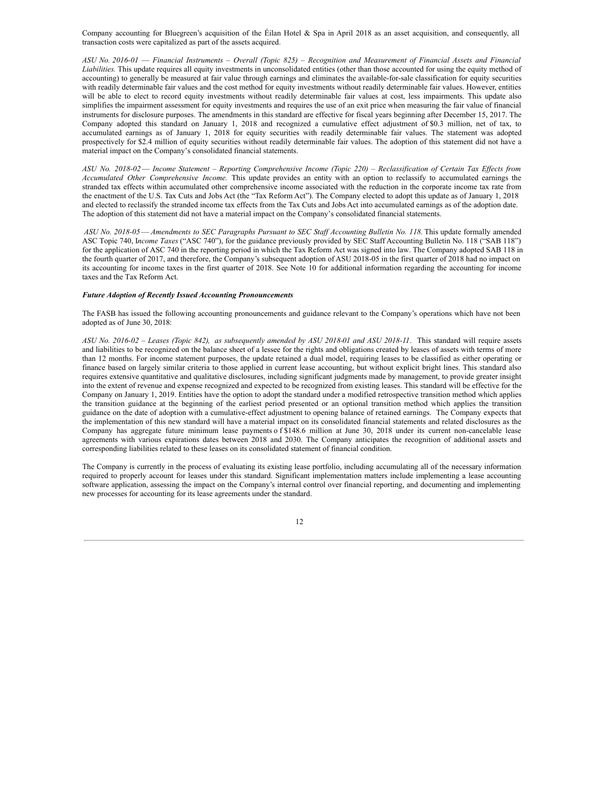Company accounting for Bluegreen's acquisition of the Éilan Hotel & Spa in April 2018 as an asset acquisition, and consequently, all transaction costs were capitalized as part of the assets acquired.

ASU No. 2016-01 - Financial Instruments - Overall (Topic 825) - Recognition and Measurement of Financial Assets and Financial *Liabilities.* This update requires all equity investments in unconsolidated entities (other than those accounted for using the equity method of accounting) to generally be measured at fair value through earnings and eliminates the available-for-sale classification for equity securities with readily determinable fair values and the cost method for equity investments without readily determinable fair values. However, entities will be able to elect to record equity investments without readily determinable fair values at cost, less impairments. This update also simplifies the impairment assessment for equity investments and requires the use of an exit price when measuring the fair value of financial instruments for disclosure purposes. The amendments in this standard are effective for fiscal years beginning after December 15, 2017. The Company adopted this standard on January 1, 2018 and recognized a cumulative effect adjustment of \$0.3 million, net of tax, to accumulated earnings as of January 1, 2018 for equity securities with readily determinable fair values. The statement was adopted prospectively for \$2.4 million of equity securities without readily determinable fair values. The adoption of this statement did not have a material impact on the Company's consolidated financial statements.

ASU No. 2018-02 - Income Statement - Reporting Comprehensive Income (Topic 220) - Reclassification of Certain Tax Effects from *Accumulated Other Comprehensive Income.* This update provides an entity with an option to reclassify to accumulated earnings the stranded tax effects within accumulated other comprehensive income associated with the reduction in the corporate income tax rate from the enactment of the U.S. Tax Cuts and Jobs Act (the "Tax Reform Act"). The Company elected to adopt this update as of January 1, 2018 and elected to reclassify the stranded income tax effects from the Tax Cuts and Jobs Act into accumulated earnings as of the adoption date. The adoption of this statement did not have a material impact on the Company's consolidated financial statements.

ASU No. 2018-05 - Amendments to SEC Paragraphs Pursuant to SEC Staff Accounting Bulletin No. 118. This update formally amended ASC Topic 740, I*ncome Taxes* ("ASC 740"), for the guidance previously provided by SEC Staff Accounting Bulletin No. 118 ("SAB 118") for the application of ASC 740 in the reporting period in which the Tax Reform Act was signed into law. The Company adopted SAB 118 in the fourth quarter of 2017, and therefore, the Company's subsequent adoption of ASU 2018-05 in the first quarter of 2018 had no impact on its accounting for income taxes in the first quarter of 2018. See Note 10 for additional information regarding the accounting for income taxes and the Tax Reform Act.

### *Future Adoption of Recently Issued Accounting Pronouncements*

The FASB has issued the following accounting pronouncements and guidance relevant to the Company's operations which have not been adopted as of June 30, 2018:

ASU No. 2016-02 - Leases (Topic 842), as subsequently amended by ASU 2018-01 and ASU 2018-11. This standard will require assets and liabilities to be recognized on the balance sheet of a lessee for the rights and obligations created by leases of assets with terms of more than 12 months. For income statement purposes, the update retained a dual model, requiring leases to be classified as either operating or finance based on largely similar criteria to those applied in current lease accounting, but without explicit bright lines. This standard also requires extensive quantitative and qualitative disclosures, including significant judgments made by management, to provide greater insight into the extent of revenue and expense recognized and expected to be recognized from existing leases. This standard will be effective for the Company on January 1, 2019. Entities have the option to adopt the standard under a modified retrospective transition method which applies the transition guidance at the beginning of the earliest period presented or an optional transition method which applies the transition guidance on the date of adoption with a cumulative-effect adjustment to opening balance of retained earnings. The Company expects that the implementation of this new standard will have a material impact on its consolidated financial statements and related disclosures as the Company has aggregate future minimum lease payments o f \$148.6 million at June 30, 2018 under its current non-cancelable lease agreements with various expirations dates between 2018 and 2030. The Company anticipates the recognition of additional assets and corresponding liabilities related to these leases on its consolidated statement of financial condition.

The Company is currently in the process of evaluating its existing lease portfolio, including accumulating all of the necessary information required to properly account for leases under this standard. Significant implementation matters include implementing a lease accounting software application, assessing the impact on the Company's internal control over financial reporting, and documenting and implementing new processes for accounting for its lease agreements under the standard.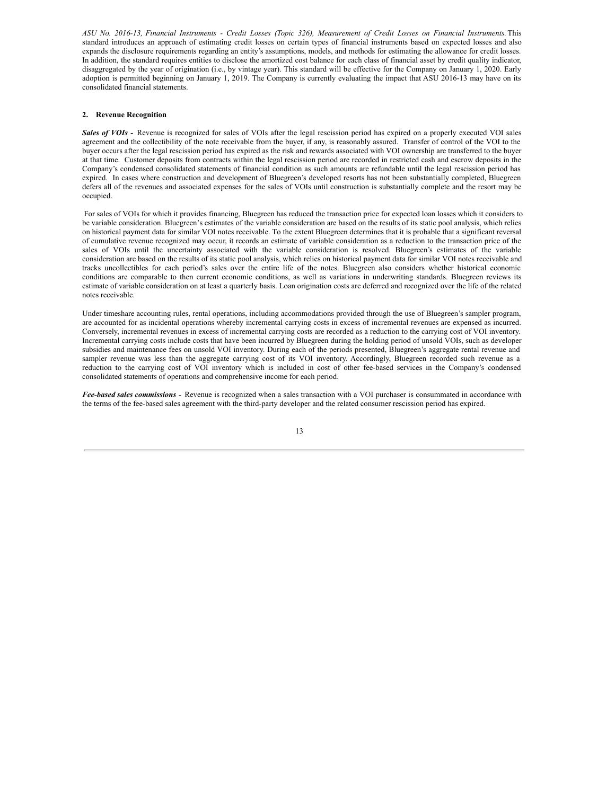ASU No. 2016-13, Financial Instruments - Credit Losses (Topic 326), Measurement of Credit Losses on Financial Instruments. This standard introduces an approach of estimating credit losses on certain types of financial instruments based on expected losses and also expands the disclosure requirements regarding an entity's assumptions, models, and methods for estimating the allowance for credit losses. In addition, the standard requires entities to disclose the amortized cost balance for each class of financial asset by credit quality indicator, disaggregated by the year of origination (i.e., by vintage year). This standard will be effective for the Company on January 1, 2020. Early adoption is permitted beginning on January 1, 2019. The Company is currently evaluating the impact that ASU 2016-13 may have on its consolidated financial statements.

## **2. Revenue Recognition**

**Sales of VOIs** - Revenue is recognized for sales of VOIs after the legal rescission period has expired on a properly executed VOI sales agreement and the collectibility of the note receivable from the buyer, if any, is reasonably assured. Transfer of control of the VOI to the buyer occurs after the legal rescission period has expired as the risk and rewards associated with VOI ownership are transferred to the buyer at that time. Customer deposits from contracts within the legal rescission period are recorded in restricted cash and escrow deposits in the Company's condensed consolidated statements of financial condition as such amounts are refundable until the legal rescission period has expired. In cases where construction and development of Bluegreen's developed resorts has not been substantially completed, Bluegreen defers all of the revenues and associated expenses for the sales of VOIs until construction is substantially complete and the resort may be occupied.

For sales of VOIs for which it provides financing, Bluegreen has reduced the transaction price for expected loan losses which it considers to be variable consideration. Bluegreen's estimates of the variable consideration are based on the results of its static pool analysis, which relies on historical payment data for similar VOI notes receivable. To the extent Bluegreen determines that it is probable that a significant reversal of cumulative revenue recognized may occur, it records an estimate of variable consideration as a reduction to the transaction price of the sales of VOIs until the uncertainty associated with the variable consideration is resolved. Bluegreen's estimates of the variable consideration are based on the results of its static pool analysis, which relies on historical payment data for similar VOI notes receivable and tracks uncollectibles for each period's sales over the entire life of the notes. Bluegreen also considers whether historical economic conditions are comparable to then current economic conditions, as well as variations in underwriting standards. Bluegreen reviews its estimate of variable consideration on at least a quarterly basis. Loan origination costs are deferred and recognized over the life of the related notes receivable.

Under timeshare accounting rules, rental operations, including accommodations provided through the use of Bluegreen's sampler program, are accounted for as incidental operations whereby incremental carrying costs in excess of incremental revenues are expensed as incurred. Conversely, incremental revenues in excess of incremental carrying costs are recorded as a reduction to the carrying cost of VOI inventory. Incremental carrying costs include costs that have been incurred by Bluegreen during the holding period of unsold VOIs, such as developer subsidies and maintenance fees on unsold VOI inventory. During each of the periods presented, Bluegreen's aggregate rental revenue and sampler revenue was less than the aggregate carrying cost of its VOI inventory. Accordingly, Bluegreen recorded such revenue as a reduction to the carrying cost of VOI inventory which is included in cost of other fee-based services in the Company's condensed consolidated statements of operations and comprehensive income for each period.

*Fee-based sales commissions -* Revenue is recognized when a sales transaction with a VOI purchaser is consummated in accordance with the terms of the fee-based sales agreement with the third-party developer and the related consumer rescission period has expired.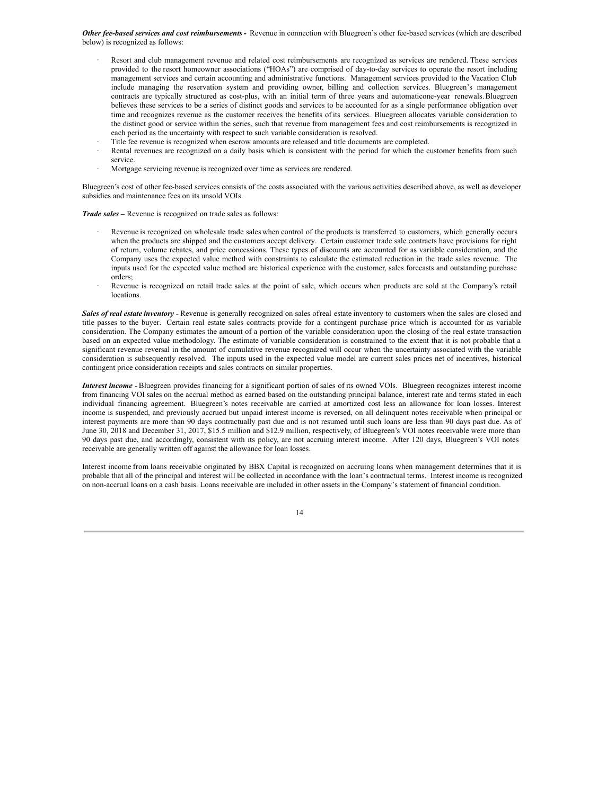*Other fee-based services and cost reimbursements -* Revenue in connection with Bluegreen's other fee-based services (which are described below) is recognized as follows:

- Resort and club management revenue and related cost reimbursements are recognized as services are rendered. These services provided to the resort homeowner associations ("HOAs") are comprised of day-to-day services to operate the resort including management services and certain accounting and administrative functions. Management services provided to the Vacation Club include managing the reservation system and providing owner, billing and collection services. Bluegreen's management contracts are typically structured as cost-plus, with an initial term of three years and automaticone-year renewals.Bluegreen believes these services to be a series of distinct goods and services to be accounted for as a single performance obligation over time and recognizes revenue as the customer receives the benefits of its services. Bluegreen allocates variable consideration to the distinct good or service within the series, such that revenue from management fees and cost reimbursements is recognized in each period as the uncertainty with respect to such variable consideration is resolved.
- Title fee revenue is recognized when escrow amounts are released and title documents are completed.
- Rental revenues are recognized on a daily basis which is consistent with the period for which the customer benefits from such service.
- Mortgage servicing revenue is recognized over time as services are rendered.

Bluegreen's cost of other fee-based services consists of the costs associated with the various activities described above, as well as developer subsidies and maintenance fees on its unsold VOIs.

*Trade sales –* Revenue is recognized on trade sales as follows:

- Revenue is recognized on wholesale trade sales when control of the products is transferred to customers, which generally occurs when the products are shipped and the customers accept delivery. Certain customer trade sale contracts have provisions for right of return, volume rebates, and price concessions. These types of discounts are accounted for as variable consideration, and the Company uses the expected value method with constraints to calculate the estimated reduction in the trade sales revenue. The inputs used for the expected value method are historical experience with the customer, sales forecasts and outstanding purchase orders;
- Revenue is recognized on retail trade sales at the point of sale, which occurs when products are sold at the Company's retail locations.

*Sales of real estate inventory -* Revenue is generally recognized on sales ofreal estate inventory to customers when the sales are closed and title passes to the buyer. Certain real estate sales contracts provide for a contingent purchase price which is accounted for as variable consideration. The Company estimates the amount of a portion of the variable consideration upon the closing of the real estate transaction based on an expected value methodology. The estimate of variable consideration is constrained to the extent that it is not probable that a significant revenue reversal in the amount of cumulative revenue recognized will occur when the uncertainty associated with the variable consideration is subsequently resolved. The inputs used in the expected value model are current sales prices net of incentives, historical contingent price consideration receipts and sales contracts on similar properties.

*Interest income -*Bluegreen provides financing for a significant portion of sales of its owned VOIs. Bluegreen recognizes interest income from financing VOI sales on the accrual method as earned based on the outstanding principal balance, interest rate and terms stated in each individual financing agreement. Bluegreen's notes receivable are carried at amortized cost less an allowance for loan losses. Interest income is suspended, and previously accrued but unpaid interest income is reversed, on all delinquent notes receivable when principal or interest payments are more than 90 days contractually past due and is not resumed until such loans are less than 90 days past due. As of June 30, 2018 and December 31, 2017, \$15.5 million and \$12.9 million, respectively, of Bluegreen's VOI notes receivable were more than 90 days past due, and accordingly, consistent with its policy, are not accruing interest income. After 120 days, Bluegreen's VOI notes receivable are generally written off against the allowance for loan losses.

Interest income from loans receivable originated by BBX Capital is recognized on accruing loans when management determines that it is probable that all of the principal and interest will be collected in accordance with the loan's contractual terms. Interest income is recognized on non-accrual loans on a cash basis. Loans receivable are included in other assets in the Company's statement of financial condition.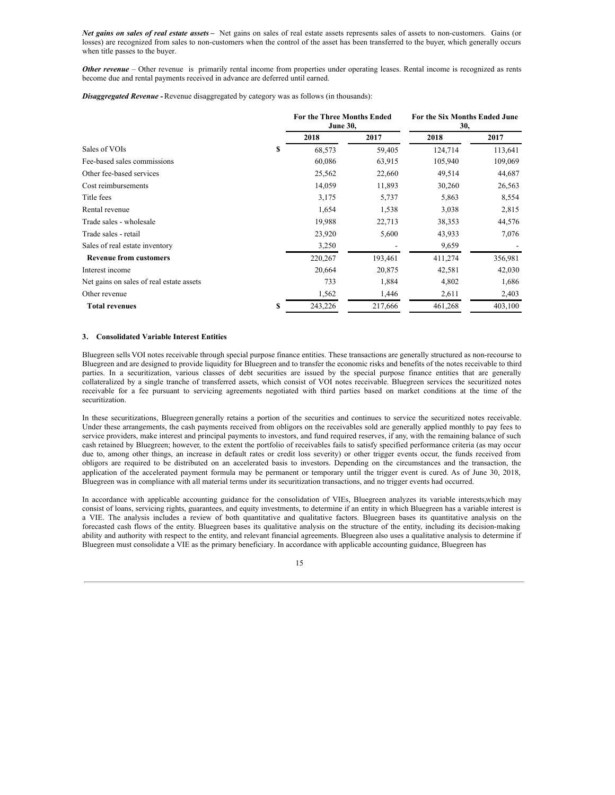*Net gains on sales of real estate assets –* Net gains on sales of real estate assets represents sales of assets to non-customers. Gains (or losses) are recognized from sales to non-customers when the control of the asset has been transferred to the buyer, which generally occurs when title passes to the buyer.

*Other revenue* – Other revenue is primarily rental income from properties under operating leases. Rental income is recognized as rents become due and rental payments received in advance are deferred until earned.

*Disaggregated Revenue -*Revenue disaggregated by category was as follows (in thousands):

|                                          | <b>For the Three Months Ended</b><br><b>June 30,</b> |         | For the Six Months Ended June<br>30, |         |  |
|------------------------------------------|------------------------------------------------------|---------|--------------------------------------|---------|--|
|                                          | 2018                                                 | 2017    | 2018                                 | 2017    |  |
| Sales of VOIs                            | \$<br>68,573                                         | 59,405  | 124,714                              | 113,641 |  |
| Fee-based sales commissions              | 60,086                                               | 63,915  | 105,940                              | 109,069 |  |
| Other fee-based services                 | 25,562                                               | 22,660  | 49,514                               | 44,687  |  |
| Cost reimbursements                      | 14,059                                               | 11,893  | 30,260                               | 26,563  |  |
| Title fees                               | 3,175                                                | 5,737   | 5,863                                | 8,554   |  |
| Rental revenue                           | 1,654                                                | 1,538   | 3,038                                | 2,815   |  |
| Trade sales - wholesale                  | 19,988                                               | 22,713  | 38,353                               | 44,576  |  |
| Trade sales - retail                     | 23,920                                               | 5,600   | 43,933                               | 7,076   |  |
| Sales of real estate inventory           | 3,250                                                |         | 9,659                                |         |  |
| <b>Revenue from customers</b>            | 220,267                                              | 193,461 | 411,274                              | 356,981 |  |
| Interest income                          | 20,664                                               | 20,875  | 42,581                               | 42,030  |  |
| Net gains on sales of real estate assets | 733                                                  | 1,884   | 4,802                                | 1,686   |  |
| Other revenue                            | 1,562                                                | 1,446   | 2,611                                | 2,403   |  |
| <b>Total revenues</b>                    | \$<br>243,226                                        | 217,666 | 461,268                              | 403,100 |  |

## **3. Consolidated Variable Interest Entities**

Bluegreen sells VOI notes receivable through special purpose finance entities. These transactions are generally structured as non-recourse to Bluegreen and are designed to provide liquidity for Bluegreen and to transfer the economic risks and benefits of the notes receivable to third parties. In a securitization, various classes of debt securities are issued by the special purpose finance entities that are generally collateralized by a single tranche of transferred assets, which consist of VOI notes receivable. Bluegreen services the securitized notes receivable for a fee pursuant to servicing agreements negotiated with third parties based on market conditions at the time of the securitization.

In these securitizations, Bluegreen generally retains a portion of the securities and continues to service the securitized notes receivable. Under these arrangements, the cash payments received from obligors on the receivables sold are generally applied monthly to pay fees to service providers, make interest and principal payments to investors, and fund required reserves, if any, with the remaining balance of such cash retained by Bluegreen; however, to the extent the portfolio of receivables fails to satisfy specified performance criteria (as may occur due to, among other things, an increase in default rates or credit loss severity) or other trigger events occur, the funds received from obligors are required to be distributed on an accelerated basis to investors. Depending on the circumstances and the transaction, the application of the accelerated payment formula may be permanent or temporary until the trigger event is cured. As of June 30, 2018, Bluegreen was in compliance with all material terms under its securitization transactions, and no trigger events had occurred.

In accordance with applicable accounting guidance for the consolidation of VIEs, Bluegreen analyzes its variable interests,which may consist of loans, servicing rights, guarantees, and equity investments, to determine if an entity in which Bluegreen has a variable interest is a VIE. The analysis includes a review of both quantitative and qualitative factors. Bluegreen bases its quantitative analysis on the forecasted cash flows of the entity. Bluegreen bases its qualitative analysis on the structure of the entity, including its decision-making ability and authority with respect to the entity, and relevant financial agreements. Bluegreen also uses a qualitative analysis to determine if Bluegreen must consolidate a VIE as the primary beneficiary. In accordance with applicable accounting guidance, Bluegreen has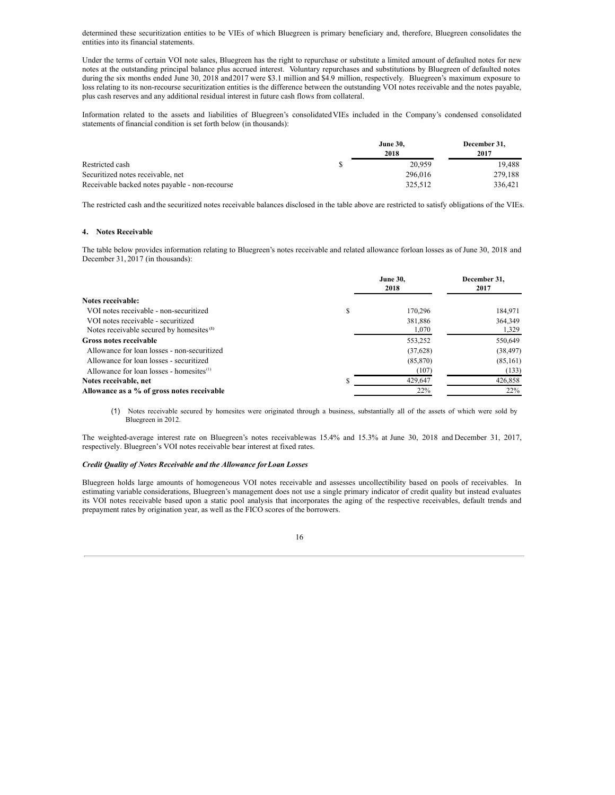determined these securitization entities to be VIEs of which Bluegreen is primary beneficiary and, therefore, Bluegreen consolidates the entities into its financial statements.

Under the terms of certain VOI note sales, Bluegreen has the right to repurchase or substitute a limited amount of defaulted notes for new notes at the outstanding principal balance plus accrued interest. Voluntary repurchases and substitutions by Bluegreen of defaulted notes during the six months ended June 30, 2018 and2017 were \$3.1 million and \$4.9 million, respectively. Bluegreen's maximum exposure to loss relating to its non-recourse securitization entities is the difference between the outstanding VOI notes receivable and the notes payable, plus cash reserves and any additional residual interest in future cash flows from collateral.

Information related to the assets and liabilities of Bluegreen's consolidated VIEs included in the Company's condensed consolidated statements of financial condition is set forth below (in thousands):

|                                                | <b>June 30.</b><br>2018 | December 31,<br>2017 |
|------------------------------------------------|-------------------------|----------------------|
| Restricted cash                                | 20,959                  | 19.488               |
| Securitized notes receivable, net              | 296,016                 | 279,188              |
| Receivable backed notes payable - non-recourse | 325.512                 | 336.421              |

The restricted cash and the securitized notes receivable balances disclosed in the table above are restricted to satisfy obligations of the VIEs.

## **4. Notes Receivable**

The table below provides information relating to Bluegreen's notes receivable and related allowance forloan losses as of June 30, 2018 and December 31, 2017 (in thousands):

|                                                      | <b>June 30,</b><br>2018 | December 31.<br>2017 |
|------------------------------------------------------|-------------------------|----------------------|
| Notes receivable:                                    |                         |                      |
| VOI notes receivable - non-securitized               | \$<br>170,296           | 184.971              |
| VOI notes receivable - securitized                   | 381,886                 | 364,349              |
| Notes receivable secured by homesites <sup>(1)</sup> | 1,070                   | 1,329                |
| Gross notes receivable                               | 553.252                 | 550,649              |
| Allowance for loan losses - non-securitized          | (37,628)                | (38, 497)            |
| Allowance for loan losses - securitized              | (85, 870)               | (85,161)             |
| Allowance for loan losses - homesites $^{(1)}$       | (107)                   | (133)                |
| Notes receivable, net                                | 429,647                 | 426,858              |
| Allowance as a % of gross notes receivable           | 22%                     | 22%                  |

(1) Notes receivable secured by homesites were originated through a business, substantially all of the assets of which were sold by Bluegreen in 2012.

The weighted-average interest rate on Bluegreen's notes receivablewas 15.4% and 15.3% at June 30, 2018 and December 31, 2017, respectively. Bluegreen's VOI notes receivable bear interest at fixed rates.

## *Credit Quality of Notes Receivable and the Allowance forLoan Losses*

Bluegreen holds large amounts of homogeneous VOI notes receivable and assesses uncollectibility based on pools of receivables. In estimating variable considerations, Bluegreen's management does not use a single primary indicator of credit quality but instead evaluates its VOI notes receivable based upon a static pool analysis that incorporates the aging of the respective receivables, default trends and prepayment rates by origination year, as well as the FICO scores of the borrowers.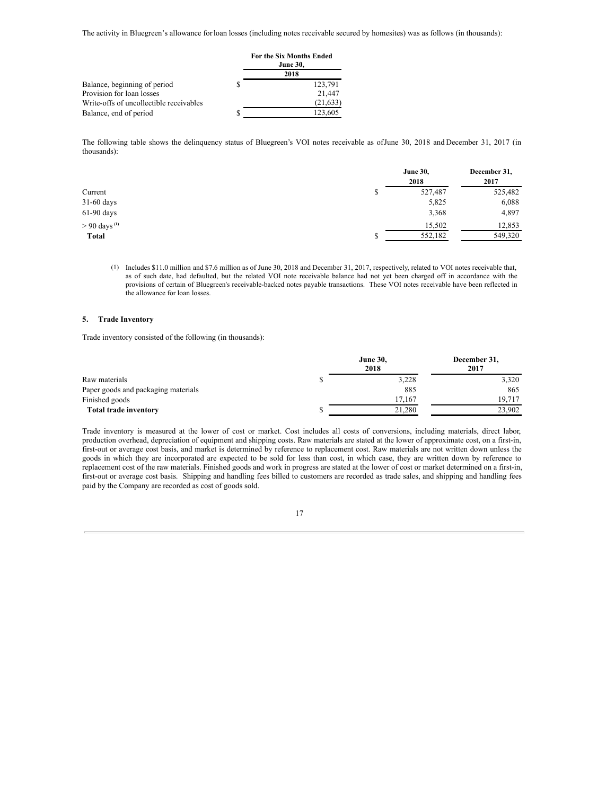The activity in Bluegreen's allowance forloan losses (including notes receivable secured by homesites) was as follows (in thousands):

|                                         | For the Six Months Ended<br><b>June 30,</b> |
|-----------------------------------------|---------------------------------------------|
|                                         | 2018                                        |
| Balance, beginning of period            | 123.791                                     |
| Provision for loan losses               | 21.447                                      |
| Write-offs of uncollectible receivables | (21, 633)                                   |
| Balance, end of period                  | 123.605                                     |

The following table shows the delinquency status of Bluegreen's VOI notes receivable as ofJune 30, 2018 and December 31, 2017 (in thousands):

|                            |   | <b>June 30,</b><br>2018 | December 31,<br>2017 |
|----------------------------|---|-------------------------|----------------------|
| Current                    | P | 527,487                 | 525,482              |
| $31-60$ days               |   | 5,825                   | 6,088                |
| $61-90$ days               |   | 3,368                   | 4,897                |
| $> 90$ days <sup>(1)</sup> |   | 15.502                  | 12,853               |
| <b>Total</b>               |   | 552,182                 | 549,320              |

(1) Includes \$11.0 million and \$7.6 million as of June 30, 2018 and December 31, 2017, respectively, related to VOI notes receivable that, as of such date, had defaulted, but the related VOI note receivable balance had not yet been charged off in accordance with the provisions of certain of Bluegreen's receivable-backed notes payable transactions. These VOI notes receivable have been reflected in the allowance for loan losses.

## **5. Trade Inventory**

Trade inventory consisted of the following (in thousands):

|                                     | <b>June 30,</b><br>2018 | December 31,<br>2017 |  |
|-------------------------------------|-------------------------|----------------------|--|
| Raw materials                       | 3.228                   | 3,320                |  |
| Paper goods and packaging materials | 885                     | 865                  |  |
| Finished goods                      | 17.167                  | 19.717               |  |
| <b>Total trade inventory</b>        | 21.280                  | 23,902               |  |

Trade inventory is measured at the lower of cost or market. Cost includes all costs of conversions, including materials, direct labor, production overhead, depreciation of equipment and shipping costs. Raw materials are stated at the lower of approximate cost, on a first-in, first-out or average cost basis, and market is determined by reference to replacement cost. Raw materials are not written down unless the goods in which they are incorporated are expected to be sold for less than cost, in which case, they are written down by reference to replacement cost of the raw materials. Finished goods and work in progress are stated at the lower of cost or market determined on a first-in, first-out or average cost basis. Shipping and handling fees billed to customers are recorded as trade sales, and shipping and handling fees paid by the Company are recorded as cost of goods sold.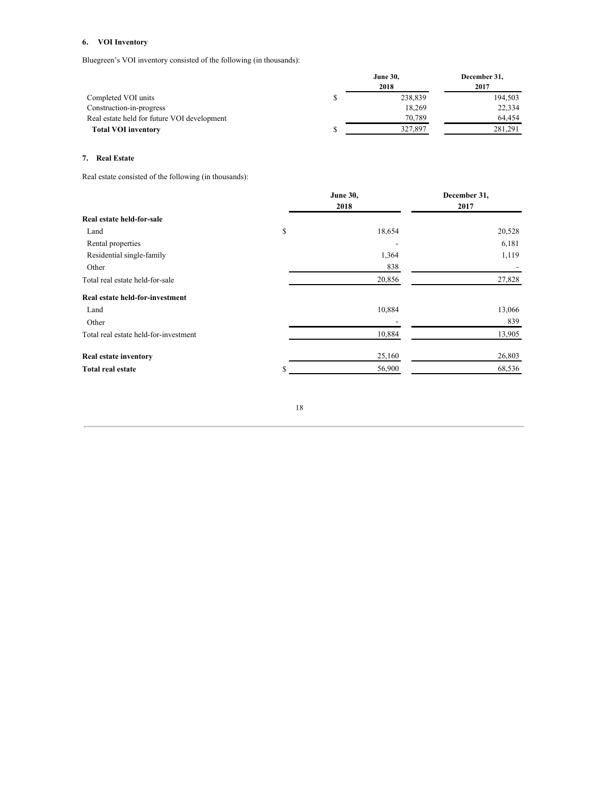# **6. VOI Inventory**

Bluegreen's VOI inventory consisted of the following (in thousands):

|                                             | <b>June 30,</b> | December 31, |
|---------------------------------------------|-----------------|--------------|
|                                             | 2018            | 2017         |
| Completed VOI units                         | 238,839         | 194,503      |
| Construction-in-progress                    | 18.269          | 22,334       |
| Real estate held for future VOI development | 70.789          | 64.454       |
| <b>Total VOI inventory</b>                  | 327,897         | 281.291      |

# **7. Real Estate**

Real estate consisted of the following (in thousands):

|                                       | <b>June 30,</b> |        | December 31, |
|---------------------------------------|-----------------|--------|--------------|
|                                       |                 | 2018   | 2017         |
| Real estate held-for-sale             |                 |        |              |
| Land                                  | \$              | 18,654 | 20,528       |
| Rental properties                     |                 |        | 6,181        |
| Residential single-family             |                 | 1,364  | 1,119        |
| Other                                 |                 | 838    |              |
| Total real estate held-for-sale       |                 | 20,856 | 27,828       |
| Real estate held-for-investment       |                 |        |              |
| Land                                  |                 | 10,884 | 13,066       |
| Other                                 |                 |        | 839          |
| Total real estate held-for-investment |                 | 10,884 | 13,905       |
| Real estate inventory                 |                 | 25,160 | 26,803       |
| <b>Total real estate</b>              | \$              | 56,900 | 68,536       |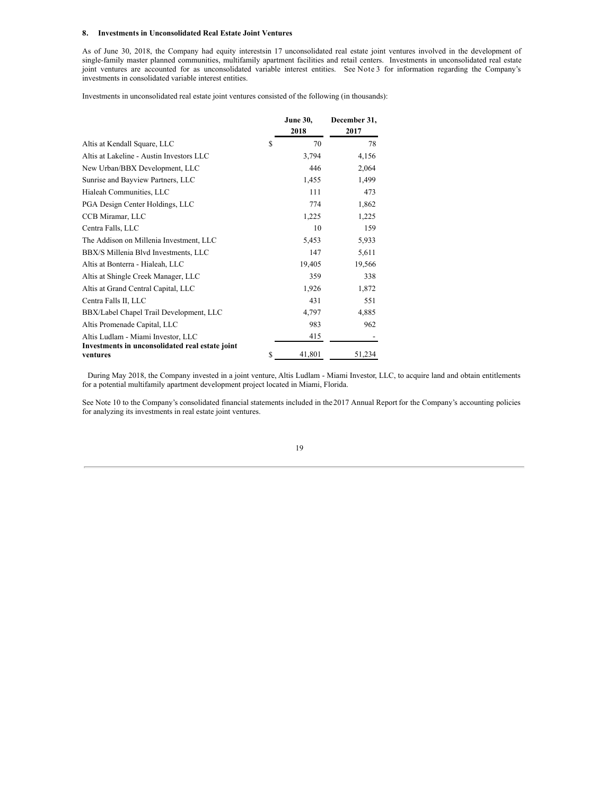## **8. Investments in Unconsolidated Real Estate Joint Ventures**

As of June 30, 2018, the Company had equity interestsin 17 unconsolidated real estate joint ventures involved in the development of single-family master planned communities, multifamily apartment facilities and retail centers. Investments in unconsolidated real estate joint ventures are accounted for as unconsolidated variable interest entities. See Note 3 for information regarding the Company's investments in consolidated variable interest entities.

Investments in unconsolidated real estate joint ventures consisted of the following (in thousands):

|                                                             |               | <b>June 30,</b><br>2018 | December 31,<br>2017 |
|-------------------------------------------------------------|---------------|-------------------------|----------------------|
| Altis at Kendall Square, LLC                                | <sup>\$</sup> | 70                      | 78                   |
| Altis at Lakeline - Austin Investors LLC                    |               | 3,794                   | 4,156                |
| New Urban/BBX Development, LLC                              |               | 446                     | 2,064                |
| Sunrise and Bayview Partners, LLC                           |               | 1,455                   | 1,499                |
| Hialeah Communities, LLC                                    |               | 111                     | 473                  |
| PGA Design Center Holdings, LLC                             |               | 774                     | 1,862                |
| CCB Miramar, LLC                                            |               | 1,225                   | 1,225                |
| Centra Falls, LLC                                           |               | 10                      | 159                  |
| The Addison on Millenia Investment, LLC                     |               | 5,453                   | 5,933                |
| BBX/S Millenia Blvd Investments, LLC                        |               | 147                     | 5,611                |
| Altis at Bonterra - Hialeah, LLC                            |               | 19,405                  | 19,566               |
| Altis at Shingle Creek Manager, LLC                         |               | 359                     | 338                  |
| Altis at Grand Central Capital, LLC                         |               | 1,926                   | 1,872                |
| Centra Falls II, LLC                                        |               | 431                     | 551                  |
| BBX/Label Chapel Trail Development, LLC                     |               | 4,797                   | 4,885                |
| Altis Promenade Capital, LLC                                |               | 983                     | 962                  |
| Altis Ludlam - Miami Investor, LLC                          |               | 415                     |                      |
| Investments in unconsolidated real estate joint<br>ventures | S             | 41,801                  | 51,234               |

During May 2018, the Company invested in a joint venture, Altis Ludlam - Miami Investor, LLC, to acquire land and obtain entitlements for a potential multifamily apartment development project located in Miami, Florida.

See Note 10 to the Company's consolidated financial statements included in the 2017 Annual Report for the Company's accounting policies for analyzing its investments in real estate joint ventures.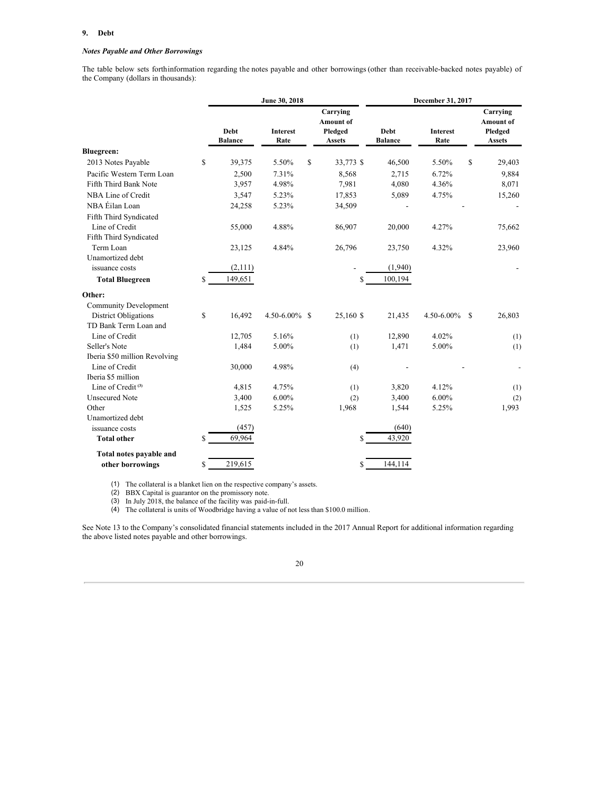## **9. Debt**

# *Notes Payable and Other Borrowings*

The table below sets forthinformation regarding the notes payable and other borrowings (other than receivable-backed notes payable) of the Company (dollars in thousands):

|                                             |    | June 30, 2018          |                         |                                                          | December 31, 2017      |                         |              |                                                          |
|---------------------------------------------|----|------------------------|-------------------------|----------------------------------------------------------|------------------------|-------------------------|--------------|----------------------------------------------------------|
|                                             |    | Debt<br><b>Balance</b> | <b>Interest</b><br>Rate | Carrying<br><b>Amount</b> of<br>Pledged<br><b>Assets</b> | Debt<br><b>Balance</b> | <b>Interest</b><br>Rate |              | Carrying<br><b>Amount of</b><br>Pledged<br><b>Assets</b> |
| <b>Bluegreen:</b>                           |    |                        |                         |                                                          |                        |                         |              |                                                          |
| 2013 Notes Payable                          | \$ | 39,375                 | $\mathbf S$<br>5.50%    | 33,773 \$                                                | 46,500                 | 5.50%                   | \$           | 29,403                                                   |
| Pacific Western Term Loan                   |    | 2,500                  | 7.31%                   | 8,568                                                    | 2,715                  | 6.72%                   |              | 9,884                                                    |
| Fifth Third Bank Note                       |    | 3,957                  | 4.98%                   | 7,981                                                    | 4,080                  | 4.36%                   |              | 8,071                                                    |
| NBA Line of Credit                          |    | 3,547                  | 5.23%                   | 17,853                                                   | 5,089                  | 4.75%                   |              | 15,260                                                   |
| NBA Éilan Loan                              |    | 24,258                 | 5.23%                   | 34,509                                                   |                        |                         |              |                                                          |
| Fifth Third Syndicated                      |    |                        |                         |                                                          |                        |                         |              |                                                          |
| Line of Credit                              |    | 55,000                 | 4.88%                   | 86,907                                                   | 20,000                 | 4.27%                   |              | 75,662                                                   |
| Fifth Third Syndicated                      |    |                        |                         |                                                          |                        |                         |              |                                                          |
| Term Loan                                   |    | 23,125                 | 4.84%                   | 26,796                                                   | 23,750                 | 4.32%                   |              | 23,960                                                   |
| Unamortized debt                            |    |                        |                         |                                                          |                        |                         |              |                                                          |
| issuance costs                              |    | (2,111)                |                         |                                                          | (1,940)                |                         |              |                                                          |
| <b>Total Bluegreen</b>                      | \$ | 149,651                |                         | S                                                        | 100,194                |                         |              |                                                          |
| Other:                                      |    |                        |                         |                                                          |                        |                         |              |                                                          |
| <b>Community Development</b>                |    |                        |                         |                                                          |                        |                         |              |                                                          |
| <b>District Obligations</b>                 | \$ | 16,492                 | $4.50 - 6.00\%$ \$      | 25,160 \$                                                | 21,435                 | 4.50-6.00%              | <sup>S</sup> | 26,803                                                   |
| TD Bank Term Loan and                       |    |                        |                         |                                                          |                        |                         |              |                                                          |
| Line of Credit                              |    | 12,705                 | 5.16%                   | (1)                                                      | 12,890                 | 4.02%                   |              | (1)                                                      |
| Seller's Note                               |    | 1,484                  | 5.00%                   | (1)                                                      | 1,471                  | 5.00%                   |              | (1)                                                      |
| Iberia \$50 million Revolving               |    |                        |                         |                                                          |                        |                         |              |                                                          |
| Line of Credit                              |    | 30,000                 | 4.98%                   | (4)                                                      |                        |                         |              |                                                          |
| Iberia \$5 million                          |    |                        |                         |                                                          |                        |                         |              |                                                          |
| Line of Credit <sup>(3)</sup>               |    | 4,815                  | 4.75%                   | (1)                                                      | 3,820                  | 4.12%                   |              | (1)                                                      |
| <b>Unsecured Note</b>                       |    | 3,400                  | $6.00\%$                | (2)                                                      | 3,400                  | $6.00\%$                |              | (2)                                                      |
| Other                                       |    | 1,525                  | 5.25%                   | 1,968                                                    | 1,544                  | 5.25%                   |              | 1,993                                                    |
| Unamortized debt                            |    |                        |                         |                                                          |                        |                         |              |                                                          |
| issuance costs                              |    | (457)                  |                         |                                                          | (640)                  |                         |              |                                                          |
| <b>Total other</b>                          | S  | 69,964                 |                         | S                                                        | 43,920                 |                         |              |                                                          |
| Total notes payable and<br>other borrowings | S  | 219,615                |                         | S                                                        | 144,114                |                         |              |                                                          |

(1) The collateral is a blanket lien on the respective company's assets.

(2) BBX Capital is guarantor on the promissory note.

(3) In July 2018, the balance of the facility was paid-in-full.

(4) The collateral is units of Woodbridge having a value of not less than \$100.0 million.

See Note 13 to the Company's consolidated financial statements included in the 2017 Annual Report for additional information regarding the above listed notes payable and other borrowings.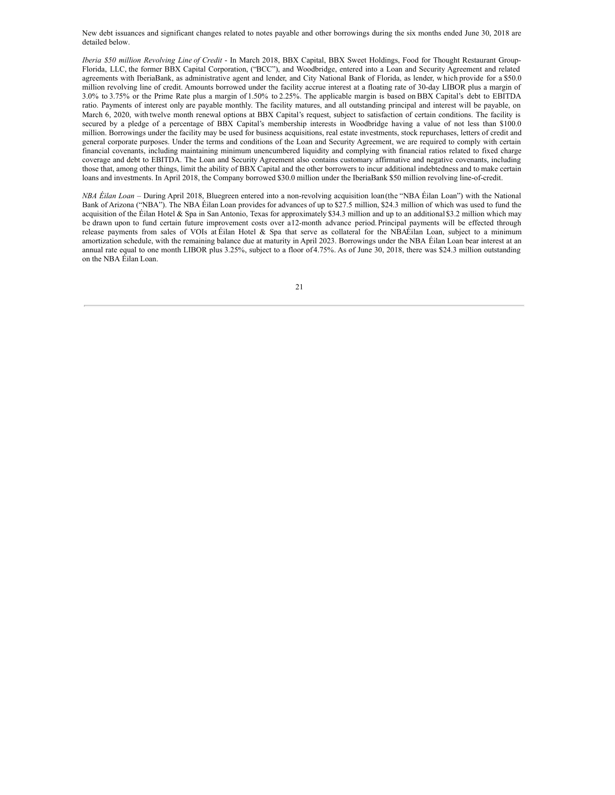New debt issuances and significant changes related to notes payable and other borrowings during the six months ended June 30, 2018 are detailed below.

*Iberia \$50 million Revolving Line of Credit* - In March 2018, BBX Capital, BBX Sweet Holdings, Food for Thought Restaurant Group-Florida, LLC, the former BBX Capital Corporation, ("BCC"), and Woodbridge, entered into a Loan and Security Agreement and related agreements with IberiaBank, as administrative agent and lender, and City National Bank of Florida, as lender, w hich provide for a \$50.0 million revolving line of credit. Amounts borrowed under the facility accrue interest at a floating rate of 30-day LIBOR plus a margin of 3.0% to 3.75% or the Prime Rate plus a margin of 1.50% to 2.25%. The applicable margin is based on BBX Capital's debt to EBITDA ratio. Payments of interest only are payable monthly. The facility matures, and all outstanding principal and interest will be payable, on March 6, 2020, with twelve month renewal options at BBX Capital's request, subject to satisfaction of certain conditions. The facility is secured by a pledge of a percentage of BBX Capital's membership interests in Woodbridge having a value of not less than \$100.0 million. Borrowings under the facility may be used for business acquisitions, real estate investments, stock repurchases, letters of credit and general corporate purposes. Under the terms and conditions of the Loan and Security Agreement, we are required to comply with certain financial covenants, including maintaining minimum unencumbered liquidity and complying with financial ratios related to fixed charge coverage and debt to EBITDA. The Loan and Security Agreement also contains customary affirmative and negative covenants, including those that, among other things, limit the ability of BBX Capital and the other borrowers to incur additional indebtedness and to make certain loans and investments. In April 2018, the Company borrowed \$30.0 million under the IberiaBank \$50 million revolving line-of-credit.

*NBA Éilan Loan* – During April 2018, Bluegreen entered into a non-revolving acquisition loan(the "NBA Éilan Loan") with the National Bank of Arizona ("NBA"). The NBA Éilan Loan provides for advances of up to \$27.5 million, \$24.3 million of which was used to fund the acquisition of the Éilan Hotel & Spa in San Antonio, Texas for approximately \$34.3 million and up to an additional \$3.2 million which may be drawn upon to fund certain future improvement costs over a12-month advance period. Principal payments will be effected through release payments from sales of VOIs at Éilan Hotel & Spa that serve as collateral for the NBAÉilan Loan, subject to a minimum amortization schedule, with the remaining balance due at maturity in April 2023. Borrowings under the NBA Éilan Loan bear interest at an annual rate equal to one month LIBOR plus 3.25%, subject to a floor of 4.75%. As of June 30, 2018, there was \$24.3 million outstanding on the NBA Éilan Loan.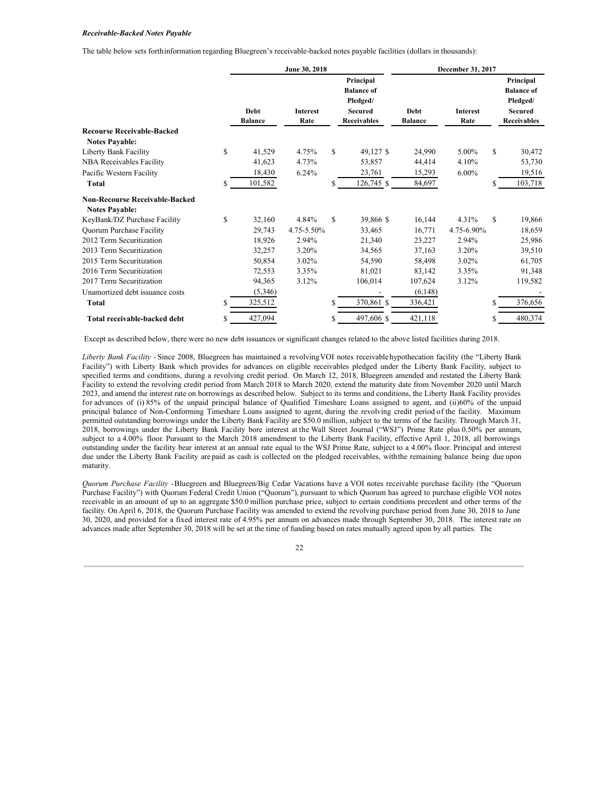## *Receivable-Backed Notes Payable*

The table below sets forthinformation regarding Bluegreen's receivable-backed notes payable facilities (dollars in thousands):

|                                                                |    | June 30, 2018                 |                         |               |                                                                                    | December 31, 2017             |                         |    |                                                                                    |
|----------------------------------------------------------------|----|-------------------------------|-------------------------|---------------|------------------------------------------------------------------------------------|-------------------------------|-------------------------|----|------------------------------------------------------------------------------------|
|                                                                |    | <b>Debt</b><br><b>Balance</b> | <b>Interest</b><br>Rate |               | Principal<br><b>Balance of</b><br>Pledged/<br><b>Secured</b><br><b>Receivables</b> | <b>Debt</b><br><b>Balance</b> | <b>Interest</b><br>Rate |    | Principal<br><b>Balance of</b><br>Pledged/<br><b>Secured</b><br><b>Receivables</b> |
| <b>Recourse Receivable-Backed</b><br><b>Notes Payable:</b>     |    |                               |                         |               |                                                                                    |                               |                         |    |                                                                                    |
| Liberty Bank Facility                                          | S  | 41,529                        | 4.75%                   | \$            | 49,127 \$                                                                          | 24,990                        | 5.00%                   | \$ | 30,472                                                                             |
| <b>NBA Receivables Facility</b>                                |    | 41,623                        | 4.73%                   |               | 53,857                                                                             | 44,414                        | 4.10%                   |    | 53,730                                                                             |
| Pacific Western Facility                                       |    | 18,430                        | $6.24\%$                |               | 23,761                                                                             | 15,293                        | $6.00\%$                |    | 19,516                                                                             |
| <b>Total</b>                                                   | \$ | 101,582                       |                         | \$            | 126,745 \$                                                                         | 84,697                        |                         | S  | 103,718                                                                            |
| <b>Non-Recourse Receivable-Backed</b><br><b>Notes Payable:</b> |    |                               |                         |               |                                                                                    |                               |                         |    |                                                                                    |
| KeyBank/DZ Purchase Facility                                   | S  | 32,160                        | 4.84%                   | <sup>\$</sup> | 39,866 \$                                                                          | 16,144                        | 4.31%                   | S  | 19,866                                                                             |
| Quorum Purchase Facility                                       |    | 29,743                        | 4.75-5.50%              |               | 33,465                                                                             | 16,771                        | 4.75-6.90%              |    | 18,659                                                                             |
| 2012 Term Securitization                                       |    | 18,926                        | 2.94%                   |               | 21,340                                                                             | 23,227                        | 2.94%                   |    | 25,986                                                                             |
| 2013 Term Securitization                                       |    | 32,257                        | 3.20%                   |               | 34,565                                                                             | 37,163                        | 3.20%                   |    | 39,510                                                                             |
| 2015 Term Securitization                                       |    | 50,854                        | 3.02%                   |               | 54,590                                                                             | 58,498                        | 3.02%                   |    | 61,705                                                                             |
| 2016 Term Securitization                                       |    | 72,553                        | 3.35%                   |               | 81,021                                                                             | 83,142                        | 3.35%                   |    | 91,348                                                                             |
| 2017 Term Securitization                                       |    | 94,365                        | 3.12%                   |               | 106,014                                                                            | 107,624                       | 3.12%                   |    | 119,582                                                                            |
| Unamortized debt issuance costs                                |    | (5,346)                       |                         |               |                                                                                    | (6,148)                       |                         |    |                                                                                    |
| Total                                                          | \$ | 325,512                       |                         | S             | 370,861 \$                                                                         | 336,421                       |                         | S  | 376,656                                                                            |
| Total receivable-backed debt                                   |    | 427,094                       |                         | S             | 497,606 \$                                                                         | 421,118                       |                         | S  | 480,374                                                                            |

Except as described below, there were no new debt issuances or significant changes related to the above listed facilities during 2018.

*Liberty Bank Facility -* Since 2008, Bluegreen has maintained a revolvingVOI notes receivable hypothecation facility (the "Liberty Bank Facility") with Liberty Bank which provides for advances on eligible receivables pledged under the Liberty Bank Facility, subject to specified terms and conditions, during a revolving credit period. On March 12, 2018, Bluegreen amended and restated the Liberty Bank Facility to extend the revolving credit period from March 2018 to March 2020, extend the maturity date from November 2020 until March 2023, and amend the interest rate on borrowings as described below. Subject to its terms and conditions, the Liberty Bank Facility provides for advances of (i) 85% of the unpaid principal balance of Qualified Timeshare Loans assigned to agent, and (ii)60% of the unpaid principal balance of Non-Conforming Timeshare Loans assigned to agent, during the revolving credit period of the facility. Maximum permitted outstanding borrowings under the Liberty Bank Facility are \$50.0 million, subject to the terms of the facility. Through March 31, 2018, borrowings under the Liberty Bank Facility bore interest at the Wall Street Journal ("WSJ") Prime Rate plus 0.50% per annum, subject to a 4.00% floor. Pursuant to the March 2018 amendment to the Liberty Bank Facility, effective April 1, 2018, all borrowings outstanding under the facility bear interest at an annual rate equal to the WSJ Prime Rate, subject to a 4.00% floor. Principal and interest due under the Liberty Bank Facility are paid as cash is collected on the pledged receivables, withthe remaining balance being due upon maturity.

*Quorum Purchase Facility -*Bluegreen and Bluegreen/Big Cedar Vacations have a VOI notes receivable purchase facility (the "Quorum Purchase Facility") with Quorum Federal Credit Union ("Quorum"), pursuant to which Quorum has agreed to purchase eligible VOI notes receivable in an amount of up to an aggregate \$50.0 million purchase price, subject to certain conditions precedent and other terms of the facility. On April 6, 2018, the Quorum Purchase Facility was amended to extend the revolving purchase period from June 30, 2018 to June 30, 2020, and provided for a fixed interest rate of 4.95% per annum on advances made through September 30, 2018. The interest rate on advances made after September 30, 2018 will be set at the time of funding based on rates mutually agreed upon by all parties. The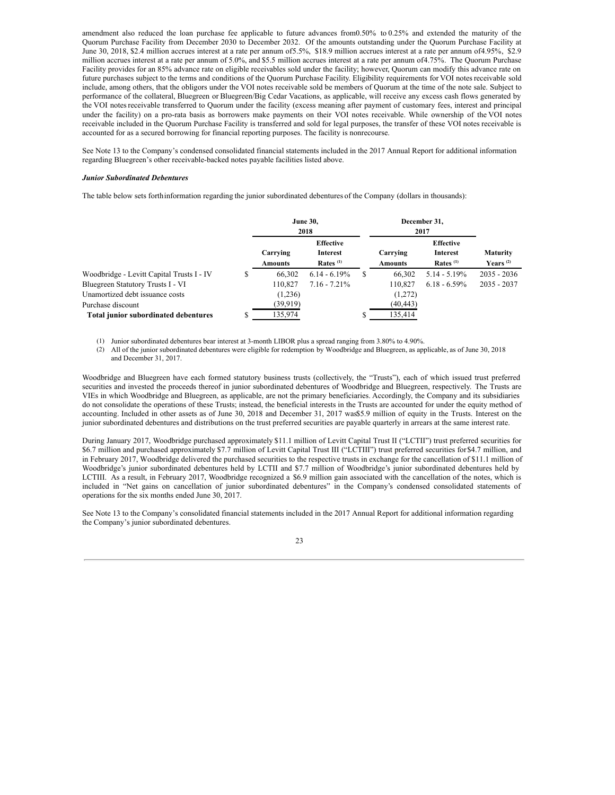amendment also reduced the loan purchase fee applicable to future advances from0.50% to 0.25% and extended the maturity of the Quorum Purchase Facility from December 2030 to December 2032. Of the amounts outstanding under the Quorum Purchase Facility at June 30, 2018, \$2.4 million accrues interest at a rate per annum of5.5%, \$18.9 million accrues interest at a rate per annum of4.95%, \$2.9 million accrues interest at a rate per annum of 5.0%, and \$5.5 million accrues interest at a rate per annum of4.75%. The Quorum Purchase Facility provides for an 85% advance rate on eligible receivables sold under the facility; however, Quorum can modify this advance rate on future purchases subject to the terms and conditions of the Quorum Purchase Facility. Eligibility requirements for VOI notesreceivable sold include, among others, that the obligors under the VOI notes receivable sold be members of Quorum at the time of the note sale. Subject to performance of the collateral, Bluegreen or Bluegreen/Big Cedar Vacations, as applicable, will receive any excess cash flows generated by the VOI notes receivable transferred to Quorum under the facility (excess meaning after payment of customary fees, interest and principal under the facility) on a pro-rata basis as borrowers make payments on their VOI notes receivable. While ownership of the VOI notes receivable included in the Quorum Purchase Facility is transferred and sold for legal purposes, the transfer of these VOI notes receivable is accounted for as a secured borrowing for financial reporting purposes. The facility is nonrecourse.

See Note 13 to the Company's condensed consolidated financial statements included in the 2017 Annual Report for additional information regarding Bluegreen's other receivable-backed notes payable facilities listed above.

## *Junior Subordinated Debentures*

The table below sets forthinformation regarding the junior subordinated debentures of the Company (dollars in thousands):

|                                           |                            | <b>June 30,</b><br>2018                     | December 31,<br>2017 |                            |                                             |                                   |
|-------------------------------------------|----------------------------|---------------------------------------------|----------------------|----------------------------|---------------------------------------------|-----------------------------------|
|                                           | Carrying<br><b>Amounts</b> | <b>Effective</b><br>Interest<br>Rates $(1)$ |                      | Carrying<br><b>Amounts</b> | <b>Effective</b><br>Interest<br>Rates $(1)$ | <b>Maturity</b><br>Years $^{(2)}$ |
| Woodbridge - Levitt Capital Trusts I - IV | \$<br>66.302               | $6.14 - 6.19\%$                             | <sup>\$</sup>        | 66.302                     | $5.14 - 5.19\%$                             | $2035 - 2036$                     |
| Bluegreen Statutory Trusts I - VI         | 110,827                    | $7.16 - 7.21\%$                             |                      | 110.827                    | $6.18 - 6.59\%$                             | $2035 - 2037$                     |
| Unamortized debt issuance costs           | (1,236)                    |                                             |                      | (1,272)                    |                                             |                                   |
| Purchase discount                         | (39,919)                   |                                             |                      | (40,443)                   |                                             |                                   |
| Total junior subordinated debentures      | 135,974                    |                                             | S                    | 135.414                    |                                             |                                   |

(1) Junior subordinated debentures bear interest at 3-month LIBOR plus a spread ranging from 3.80% to 4.90%.

(2) All of the junior subordinated debentures were eligible for redemption by Woodbridge and Bluegreen, as applicable, as of June 30, 2018 and December 31, 2017.

Woodbridge and Bluegreen have each formed statutory business trusts (collectively, the "Trusts"), each of which issued trust preferred securities and invested the proceeds thereof in junior subordinated debentures of Woodbridge and Bluegreen, respectively. The Trusts are VIEs in which Woodbridge and Bluegreen, as applicable, are not the primary beneficiaries. Accordingly, the Company and its subsidiaries do not consolidate the operations of these Trusts; instead, the beneficial interests in the Trusts are accounted for under the equity method of accounting. Included in other assets as of June 30, 2018 and December 31, 2017 was\$5.9 million of equity in the Trusts. Interest on the junior subordinated debentures and distributions on the trust preferred securities are payable quarterly in arrears at the same interest rate.

During January 2017, Woodbridge purchased approximately \$11.1 million of Levitt Capital Trust II ("LCTII") trust preferred securities for \$6.7 million and purchased approximately \$7.7 million of Levitt Capital Trust III ("LCTIII") trust preferred securities for\$4.7 million, and in February 2017, Woodbridge delivered the purchased securities to the respective trusts in exchange for the cancellation of \$11.1 million of Woodbridge's junior subordinated debentures held by LCTII and \$7.7 million of Woodbridge's junior subordinated debentures held by LCTIII. As a result, in February 2017, Woodbridge recognized a \$6.9 million gain associated with the cancellation of the notes, which is included in "Net gains on cancellation of junior subordinated debentures" in the Company's condensed consolidated statements of operations for the six months ended June 30, 2017.

See Note 13 to the Company's consolidated financial statements included in the 2017 Annual Report for additional information regarding the Company's junior subordinated debentures.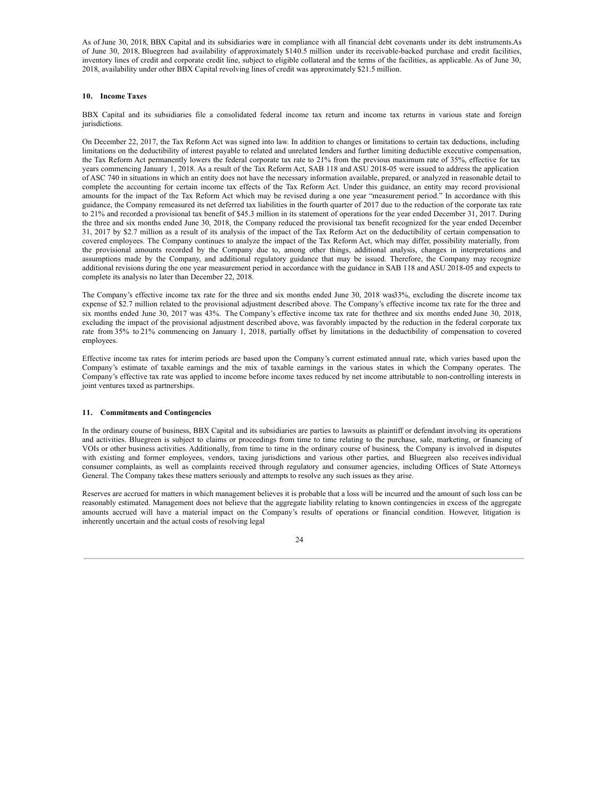As of June 30, 2018, BBX Capital and its subsidiaries were in compliance with all financial debt covenants under its debt instruments.As of June 30, 2018, Bluegreen had availability of approximately \$140.5 million under its receivable-backed purchase and credit facilities, inventory lines of credit and corporate credit line, subject to eligible collateral and the terms of the facilities, as applicable. As of June 30, 2018, availability under other BBX Capital revolving lines of credit was approximately \$21.5 million.

## **10. Income Taxes**

BBX Capital and its subsidiaries file a consolidated federal income tax return and income tax returns in various state and foreign jurisdictions.

On December 22, 2017, the Tax Reform Act was signed into law. In addition to changes or limitations to certain tax deductions, including limitations on the deductibility of interest payable to related and unrelated lenders and further limiting deductible executive compensation, the Tax Reform Act permanently lowers the federal corporate tax rate to 21% from the previous maximum rate of 35%, effective for tax years commencing January 1, 2018. As a result of the Tax Reform Act, SAB 118 and ASU 2018-05 were issued to address the application of ASC 740 in situations in which an entity does not have the necessary information available, prepared, or analyzed in reasonable detail to complete the accounting for certain income tax effects of the Tax Reform Act. Under this guidance, an entity may record provisional amounts for the impact of the Tax Reform Act which may be revised during a one year "measurement period." In accordance with this guidance, the Company remeasured its net deferred tax liabilities in the fourth quarter of 2017 due to the reduction of the corporate tax rate to 21% and recorded a provisional tax benefit of \$45.3 million in its statement of operations for the year ended December 31, 2017. During the three and six months ended June 30, 2018, the Company reduced the provisional tax benefit recognized for the year ended December 31, 2017 by \$2.7 million as a result of its analysis of the impact of the Tax Reform Act on the deductibility of certain compensation to covered employees. The Company continues to analyze the impact of the Tax Reform Act, which may differ, possibility materially, from the provisional amounts recorded by the Company due to, among other things, additional analysis, changes in interpretations and assumptions made by the Company, and additional regulatory guidance that may be issued. Therefore, the Company may recognize additional revisions during the one year measurement period in accordance with the guidance in SAB 118 and ASU 2018-05 and expects to complete its analysis no later than December 22, 2018.

The Company's effective income tax rate for the three and six months ended June 30, 2018 was33%, excluding the discrete income tax expense of \$2.7 million related to the provisional adjustment described above. The Company's effective income tax rate for the three and six months ended June 30, 2017 was 43%. The Company's effective income tax rate for thethree and six months ended June 30, 2018, excluding the impact of the provisional adjustment described above, was favorably impacted by the reduction in the federal corporate tax rate from 35% to 21% commencing on January 1, 2018, partially offset by limitations in the deductibility of compensation to covered employees.

Effective income tax rates for interim periods are based upon the Company's current estimated annual rate, which varies based upon the Company's estimate of taxable earnings and the mix of taxable earnings in the various states in which the Company operates. The Company's effective tax rate was applied to income before income taxes reduced by net income attributable to non-controlling interests in joint ventures taxed as partnerships.

## **11. Commitments and Contingencies**

In the ordinary course of business, BBX Capital and its subsidiaries are parties to lawsuits as plaintiff or defendant involving its operations and activities. Bluegreen is subject to claims or proceedings from time to time relating to the purchase, sale, marketing, or financing of VOIs or other business activities. Additionally, from time to time in the ordinary course of business, the Company is involved in disputes with existing and former employees, vendors, taxing jurisdictions and various other parties, and Bluegreen also receivesindividual consumer complaints, as well as complaints received through regulatory and consumer agencies, including Offices of State Attorneys General. The Company takes these matters seriously and attempts to resolve any such issues as they arise.

Reserves are accrued for matters in which management believes it is probable that a loss will be incurred and the amount of such loss can be reasonably estimated. Management does not believe that the aggregate liability relating to known contingencies in excess of the aggregate amounts accrued will have a material impact on the Company's results of operations or financial condition. However, litigation is inherently uncertain and the actual costs of resolving legal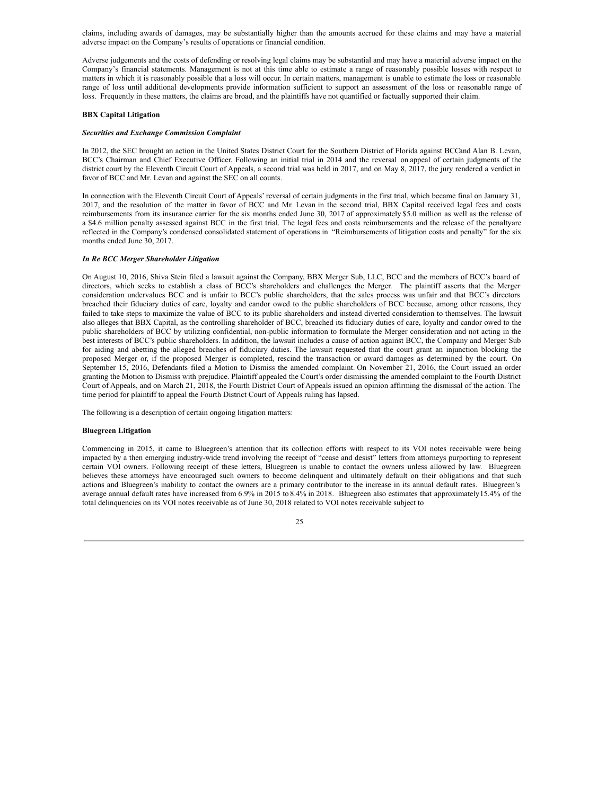claims, including awards of damages, may be substantially higher than the amounts accrued for these claims and may have a material adverse impact on the Company's results of operations or financial condition.

Adverse judgements and the costs of defending or resolving legal claims may be substantial and may have a material adverse impact on the Company's financial statements. Management is not at this time able to estimate a range of reasonably possible losses with respect to matters in which it is reasonably possible that a loss will occur. In certain matters, management is unable to estimate the loss or reasonable range of loss until additional developments provide information sufficient to support an assessment of the loss or reasonable range of loss. Frequently in these matters, the claims are broad, and the plaintiffs have not quantified or factually supported their claim.

## **BBX Capital Litigation**

# *Securities and Exchange Commission Complaint*

In 2012, the SEC brought an action in the United States District Court for the Southern District of Florida against BCCand Alan B. Levan, BCC's Chairman and Chief Executive Officer. Following an initial trial in 2014 and the reversal on appeal of certain judgments of the district court by the Eleventh Circuit Court of Appeals, a second trial was held in 2017, and on May 8, 2017, the jury rendered a verdict in favor of BCC and Mr. Levan and against the SEC on all counts.

In connection with the Eleventh Circuit Court of Appeals' reversal of certain judgments in the first trial, which became final on January 31, 2017, and the resolution of the matter in favor of BCC and Mr. Levan in the second trial, BBX Capital received legal fees and costs reimbursements from its insurance carrier for the six months ended June 30, 2017 of approximately \$5.0 million as well as the release of a \$4.6 million penalty assessed against BCC in the first trial. The legal fees and costs reimbursements and the release of the penaltyare reflected in the Company's condensed consolidated statement of operations in "Reimbursements of litigation costs and penalty" for the six months ended June 30, 2017.

## *In Re BCC Merger Shareholder Litigation*

On August 10, 2016, Shiva Stein filed a lawsuit against the Company, BBX Merger Sub, LLC, BCC and the members of BCC's board of directors, which seeks to establish a class of BCC's shareholders and challenges the Merger. The plaintiff asserts that the Merger consideration undervalues BCC and is unfair to BCC's public shareholders, that the sales process was unfair and that BCC's directors breached their fiduciary duties of care, loyalty and candor owed to the public shareholders of BCC because, among other reasons, they failed to take steps to maximize the value of BCC to its public shareholders and instead diverted consideration to themselves. The lawsuit also alleges that BBX Capital, as the controlling shareholder of BCC, breached its fiduciary duties of care, loyalty and candor owed to the public shareholders of BCC by utilizing confidential, non-public information to formulate the Merger consideration and not acting in the best interests of BCC's public shareholders. In addition, the lawsuit includes a cause of action against BCC, the Company and Merger Sub for aiding and abetting the alleged breaches of fiduciary duties. The lawsuit requested that the court grant an injunction blocking the proposed Merger or, if the proposed Merger is completed, rescind the transaction or award damages as determined by the court. On September 15, 2016, Defendants filed a Motion to Dismiss the amended complaint. On November 21, 2016, the Court issued an order granting the Motion to Dismiss with prejudice. Plaintiff appealed the Court's order dismissing the amended complaint to the Fourth District Court of Appeals, and on March 21, 2018, the Fourth District Court of Appeals issued an opinion affirming the dismissal of the action. The time period for plaintiff to appeal the Fourth District Court of Appeals ruling has lapsed.

The following is a description of certain ongoing litigation matters:

#### **Bluegreen Litigation**

Commencing in 2015, it came to Bluegreen's attention that its collection efforts with respect to its VOI notes receivable were being impacted by a then emerging industry-wide trend involving the receipt of "cease and desist" letters from attorneys purporting to represent certain VOI owners. Following receipt of these letters, Bluegreen is unable to contact the owners unless allowed by law. Bluegreen believes these attorneys have encouraged such owners to become delinquent and ultimately default on their obligations and that such actions and Bluegreen's inability to contact the owners are a primary contributor to the increase in its annual default rates. Bluegreen's average annual default rates have increased from 6.9% in 2015 to 8.4% in 2018. Bluegreen also estimates that approximately15.4% of the total delinquencies on its VOI notes receivable as of June 30, 2018 related to VOI notes receivable subject to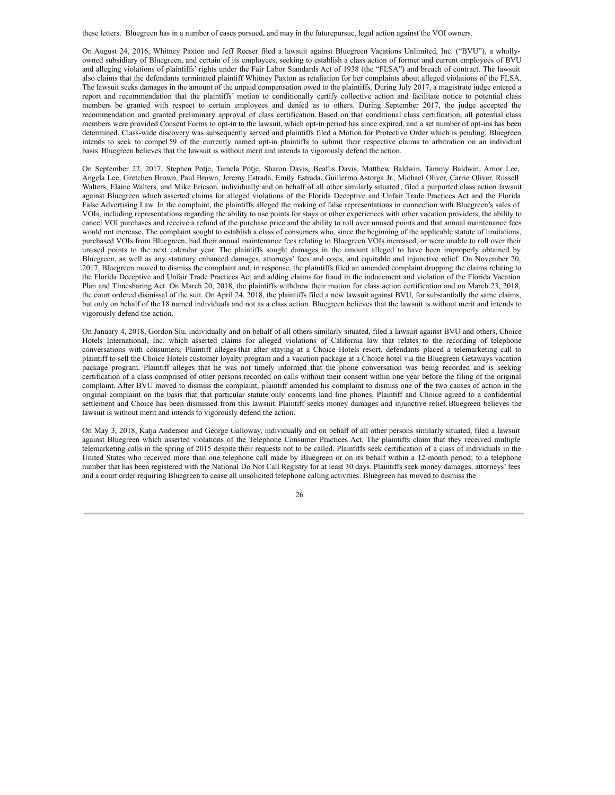these letters. Bluegreen has in a number of cases pursued, and may in the futurepursue, legal action against the VOI owners.

On August 24, 2016, Whitney Paxton and Jeff Reeser filed a lawsuit against Bluegreen Vacations Unlimited, Inc. ("BVU"), a whollyowned subsidiary of Bluegreen, and certain of its employees, seeking to establish a class action of former and current employees of BVU and alleging violations of plaintiffs' rights under the Fair Labor Standards Act of 1938 (the "FLSA") and breach of contract. The lawsuit also claims that the defendants terminated plaintiff Whitney Paxton as retaliation for her complaints about alleged violations of the FLSA. The lawsuit seeks damages in the amount of the unpaid compensation owed to the plaintiffs. During July 2017, a magistrate judge entered a report and recommendation that the plaintiffs' motion to conditionally certify collective action and facilitate notice to potential class members be granted with respect to certain employees and denied as to others. During September 2017, the judge accepted the recommendation and granted preliminary approval of class certification. Based on that conditional class certification, all potential class members were provided Consent Forms to opt-in to the lawsuit, which opt-in period has since expired, and a set number of opt-ins has been determined. Class-wide discovery was subsequently served and plaintiffs filed a Motion for Protective Order which is pending. Bluegreen intends to seek to compel 59 of the currently named opt-in plaintiffs to submit their respective claims to arbitration on an individual basis. Bluegreen believes that the lawsuit is without merit and intends to vigorously defend the action.

On September 22, 2017, Stephen Potje, Tamela Potje, Sharon Davis, Beafus Davis, Matthew Baldwin, Tammy Baldwin, Arnor Lee, Angela Lee, Gretchen Brown, Paul Brown, Jeremy Estrada, Emily Estrada, Guillermo Astorga Jr., Michael Oliver, Carrie Oliver, Russell Walters, Elaine Walters, and Mike Ericson, individually and on behalf of all other similarly situated , filed a purported class action lawsuit against Bluegreen which asserted claims for alleged violations of the Florida Deceptive and Unfair Trade Practices Act and the Florida False Advertising Law. In the complaint, the plaintiffs alleged the making of false representations in connection with Bluegreen's sales of VOIs, including representations regarding the ability to use points for stays or other experiences with other vacation providers, the ability to cancel VOI purchases and receive a refund of the purchase price and the ability to roll over unused points and that annual maintenance fees would not increase. The complaint sought to establish a class of consumers who, since the beginning of the applicable statute of limitations, purchased VOIs from Bluegreen, had their annual maintenance fees relating to Bluegreen VOIs increased, or were unable to roll over their unused points to the next calendar year. The plaintiffs sought damages in the amount alleged to have been improperly obtained by Bluegreen, as well as any statutory enhanced damages, attorneys' fees and costs, and equitable and injunctive relief. On November 20, 2017, Bluegreen moved to dismiss the complaint and, in response, the plaintiffs filed an amended complaint dropping the claims relating to the Florida Deceptive and Unfair Trade Practices Act and adding claims for fraud in the inducement and violation of the Florida Vacation Plan and Timesharing Act. On March 20, 2018, the plaintiffs withdrew their motion for class action certification and on March 23, 2018, the court ordered dismissal of the suit. On April 24, 2018, the plaintiffs filed a new lawsuit against BVU, for substantially the same claims, but only on behalf of the 18 named individuals and not as a class action. Bluegreen believes that the lawsuit is without merit and intends to vigorously defend the action.

On January 4, 2018, Gordon Siu, individually and on behalf of all others similarly situated, filed a lawsuit against BVU and others, Choice Hotels International, Inc. which asserted claims for alleged violations of California law that relates to the recording of telephone conversations with consumers. Plaintiff alleges that after staying at a Choice Hotels resort, defendants placed a telemarketing call to plaintiff to sell the Choice Hotels customer loyalty program and a vacation package at a Choice hotel via the Bluegreen Getaways vacation package program. Plaintiff alleges that he was not timely informed that the phone conversation was being recorded and is seeking certification of a class comprised of other persons recorded on calls without their consent within one year before the filing of the original complaint. After BVU moved to dismiss the complaint, plaintiff amended his complaint to dismiss one of the two causes of action in the original complaint on the basis that that particular statute only concerns land line phones. Plaintiff and Choice agreed to a confidential settlement and Choice has been dismissed from this lawsuit. Plaintiff seeks money damages and injunctive relief.Bluegreen believes the lawsuit is without merit and intends to vigorously defend the action.

On May 3, 2018, Katja Anderson and George Galloway, individually and on behalf of all other persons similarly situated, filed a lawsuit against Bluegreen which asserted violations of the Telephone Consumer Practices Act. The plaintiffs claim that they received multiple telemarketing calls in the spring of 2015 despite their requests not to be called. Plaintiffs seek certification of a class of individuals in the United States who received more than one telephone call made by Bluegreen or on its behalf within a 12-month period; to a telephone number that has been registered with the National Do Not Call Registry for at least 30 days. Plaintiffs seek money damages, attorneys' fees and a court order requiring Bluegreen to cease all unsolicited telephone calling activities. Bluegreen has moved to dismiss the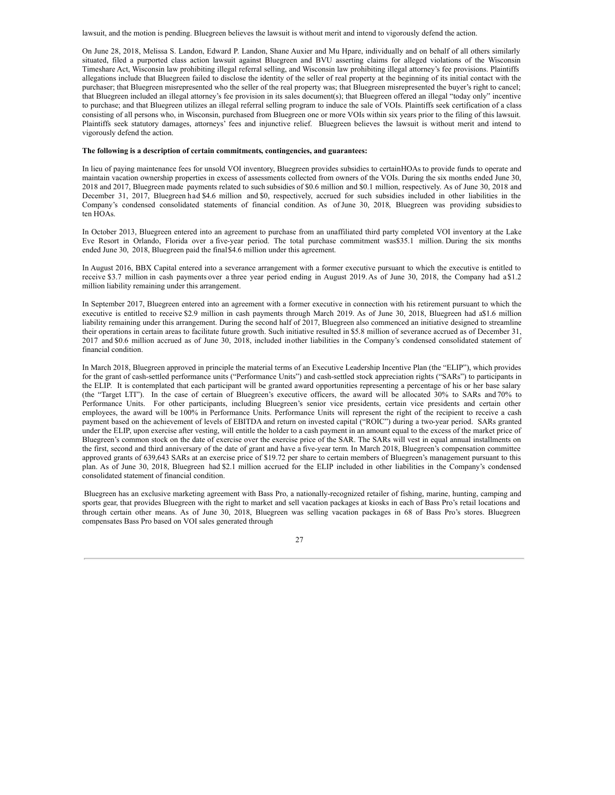lawsuit, and the motion is pending. Bluegreen believes the lawsuit is without merit and intend to vigorously defend the action.

On June 28, 2018, Melissa S. Landon, Edward P. Landon, Shane Auxier and Mu Hpare, individually and on behalf of all others similarly situated, filed a purported class action lawsuit against Bluegreen and BVU asserting claims for alleged violations of the Wisconsin Timeshare Act, Wisconsin law prohibiting illegal referral selling, and Wisconsin law prohibiting illegal attorney's fee provisions. Plaintiffs allegations include that Bluegreen failed to disclose the identity of the seller of real property at the beginning of its initial contact with the purchaser; that Bluegreen misrepresented who the seller of the real property was; that Bluegreen misrepresented the buyer's right to cancel; that Bluegreen included an illegal attorney's fee provision in its sales document(s); that Bluegreen offered an illegal "today only" incentive to purchase; and that Bluegreen utilizes an illegal referral selling program to induce the sale of VOIs. Plaintiffs seek certification of a class consisting of all persons who, in Wisconsin, purchased from Bluegreen one or more VOIs within six years prior to the filing of this lawsuit. Plaintiffs seek statutory damages, attorneys' fees and injunctive relief. Bluegreen believes the lawsuit is without merit and intend to vigorously defend the action.

### **The following is a description of certain commitments, contingencies, and guarantees:**

In lieu of paying maintenance fees for unsold VOI inventory, Bluegreen provides subsidies to certainHOAs to provide funds to operate and maintain vacation ownership properties in excess of assessments collected from owners of the VOIs. During the six months ended June 30, 2018 and 2017, Bluegreen made payments related to such subsidies of \$0.6 million and \$0.1 million, respectively. As of June 30, 2018 and December 31, 2017, Bluegreen had \$4.6 million and \$0, respectively, accrued for such subsidies included in other liabilities in the Company's condensed consolidated statements of financial condition. As of June 30, 2018, Bluegreen was providing subsidiesto ten HOAs.

In October 2013, Bluegreen entered into an agreement to purchase from an unaffiliated third party completed VOI inventory at the Lake Eve Resort in Orlando, Florida over a five-year period. The total purchase commitment was\$35.1 million. During the six months ended June 30, 2018, Bluegreen paid the final\$4.6 million under this agreement.

In August 2016, BBX Capital entered into a severance arrangement with a former executive pursuant to which the executive is entitled to receive \$3.7 million in cash payments over a three year period ending in August 2019.As of June 30, 2018, the Company had a\$1.2 million liability remaining under this arrangement.

In September 2017, Bluegreen entered into an agreement with a former executive in connection with his retirement pursuant to which the executive is entitled to receive \$2.9 million in cash payments through March 2019. As of June 30, 2018, Bluegreen had a\$1.6 million liability remaining under this arrangement. During the second half of 2017, Bluegreen also commenced an initiative designed to streamline their operations in certain areas to facilitate future growth. Such initiative resulted in \$5.8 million of severance accrued as of December 31, 2017 and \$0.6 million accrued as of June 30, 2018, included inother liabilities in the Company's condensed consolidated statement of financial condition.

In March 2018, Bluegreen approved in principle the material terms of an Executive Leadership Incentive Plan (the "ELIP"), which provides for the grant of cash-settled performance units ("Performance Units") and cash-settled stock appreciation rights ("SARs") to participants in the ELIP. It is contemplated that each participant will be granted award opportunities representing a percentage of his or her base salary (the "Target LTI"). In the case of certain of Bluegreen's executive officers, the award will be allocated 30% to SARs and 70% to Performance Units. For other participants, including Bluegreen's senior vice presidents, certain vice presidents and certain other employees, the award will be 100% in Performance Units. Performance Units will represent the right of the recipient to receive a cash payment based on the achievement of levels of EBITDA and return on invested capital ("ROIC") during a two-year period. SARs granted under the ELIP, upon exercise after vesting, will entitle the holder to a cash payment in an amount equal to the excess of the market price of Bluegreen's common stock on the date of exercise over the exercise price of the SAR. The SARs will vest in equal annual installments on the first, second and third anniversary of the date of grant and have a five-year term. In March 2018, Bluegreen's compensation committee approved grants of 639,643 SARs at an exercise price of \$19.72 per share to certain members of Bluegreen's management pursuant to this plan. As of June 30, 2018, Bluegreen had \$2.1 million accrued for the ELIP included in other liabilities in the Company's condensed consolidated statement of financial condition.

Bluegreen has an exclusive marketing agreement with Bass Pro, a nationally-recognized retailer of fishing, marine, hunting, camping and sports gear, that provides Bluegreen with the right to market and sell vacation packages at kiosks in each of Bass Pro's retail locations and through certain other means. As of June 30, 2018, Bluegreen was selling vacation packages in 68 of Bass Pro's stores. Bluegreen compensates Bass Pro based on VOI sales generated through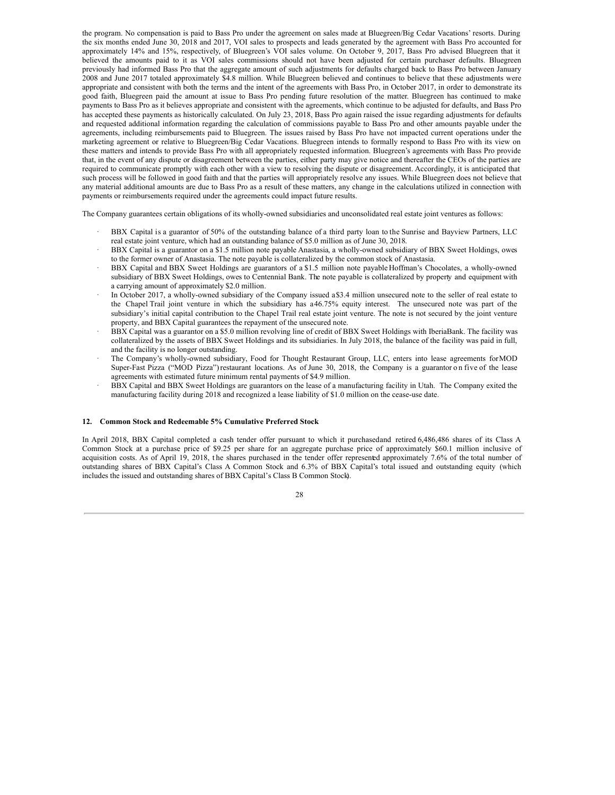the program. No compensation is paid to Bass Pro under the agreement on sales made at Bluegreen/Big Cedar Vacations' resorts. During the six months ended June 30, 2018 and 2017, VOI sales to prospects and leads generated by the agreement with Bass Pro accounted for approximately 14% and 15%, respectively, of Bluegreen's VOI sales volume. On October 9, 2017, Bass Pro advised Bluegreen that it believed the amounts paid to it as VOI sales commissions should not have been adjusted for certain purchaser defaults. Bluegreen previously had informed Bass Pro that the aggregate amount of such adjustments for defaults charged back to Bass Pro between January 2008 and June 2017 totaled approximately \$4.8 million. While Bluegreen believed and continues to believe that these adjustments were appropriate and consistent with both the terms and the intent of the agreements with Bass Pro, in October 2017, in order to demonstrate its good faith, Bluegreen paid the amount at issue to Bass Pro pending future resolution of the matter. Bluegreen has continued to make payments to Bass Pro as it believes appropriate and consistent with the agreements, which continue to be adjusted for defaults, and Bass Pro has accepted these payments as historically calculated. On July 23, 2018, Bass Pro again raised the issue regarding adjustments for defaults and requested additional information regarding the calculation of commissions payable to Bass Pro and other amounts payable under the agreements, including reimbursements paid to Bluegreen. The issues raised by Bass Pro have not impacted current operations under the marketing agreement or relative to Bluegreen/Big Cedar Vacations. Bluegreen intends to formally respond to Bass Pro with its view on these matters and intends to provide Bass Pro with all appropriately requested information. Bluegreen's agreements with Bass Pro provide that, in the event of any dispute or disagreement between the parties, either party may give notice and thereafter the CEOs of the parties are required to communicate promptly with each other with a view to resolving the dispute or disagreement. Accordingly, it is anticipated that such process will be followed in good faith and that the parties will appropriately resolve any issues. While Bluegreen does not believe that any material additional amounts are due to Bass Pro as a result of these matters, any change in the calculations utilized in connection with payments or reimbursements required under the agreements could impact future results.

The Company guarantees certain obligations of its wholly-owned subsidiaries and unconsolidated real estate joint ventures as follows:

- BBX Capital is a guarantor of 50% of the outstanding balance of a third party loan to the Sunrise and Bayview Partners, LLC real estate joint venture, which had an outstanding balance of \$5.0 million as of June 30, 2018.
- BBX Capital is a guarantor on a \$1.5 million note payable Anastasia, a wholly-owned subsidiary of BBX Sweet Holdings, owes to the former owner of Anastasia. The note payable is collateralized by the common stock of Anastasia.
- · BBX Capital and BBX Sweet Holdings are guarantors of a \$1.5 million note payable Hoffman's Chocolates, a wholly-owned subsidiary of BBX Sweet Holdings, owes to Centennial Bank. The note payable is collateralized by property and equipment with a carrying amount of approximately \$2.0 million.
- · In October 2017, a wholly-owned subsidiary of the Company issued a\$3.4 million unsecured note to the seller of real estate to the Chapel Trail joint venture in which the subsidiary has a46.75% equity interest. The unsecured note was part of the subsidiary's initial capital contribution to the Chapel Trail real estate joint venture. The note is not secured by the joint venture property, and BBX Capital guarantees the repayment of the unsecured note.
- · BBX Capital was a guarantor on a \$5.0 million revolving line of credit of BBX Sweet Holdings with IberiaBank. The facility was collateralized by the assets of BBX Sweet Holdings and its subsidiaries. In July 2018, the balance of the facility was paid in full, and the facility is no longer outstanding.
- · The Company's wholly-owned subsidiary, Food for Thought Restaurant Group, LLC, enters into lease agreements forMOD Super-Fast Pizza ("MOD Pizza") restaurant locations. As of June 30, 2018, the Company is a guarantor on five of the lease agreements with estimated future minimum rental payments of \$4.9 million.
- BBX Capital and BBX Sweet Holdings are guarantors on the lease of a manufacturing facility in Utah. The Company exited the manufacturing facility during 2018 and recognized a lease liability of \$1.0 million on the cease-use date.

#### **12. Common Stock and Redeemable 5% Cumulative Preferred Stock**

In April 2018, BBX Capital completed a cash tender offer pursuant to which it purchasedand retired 6,486,486 shares of its Class A Common Stock at a purchase price of \$9.25 per share for an aggregate purchase price of approximately \$60.1 million inclusive of acquisition costs. As of April 19, 2018, the shares purchased in the tender offer represented approximately 7.6% of the total number of outstanding shares of BBX Capital's Class A Common Stock and 6.3% of BBX Capital's total issued and outstanding equity (which includes the issued and outstanding shares of BBX Capital's Class B Common Stock).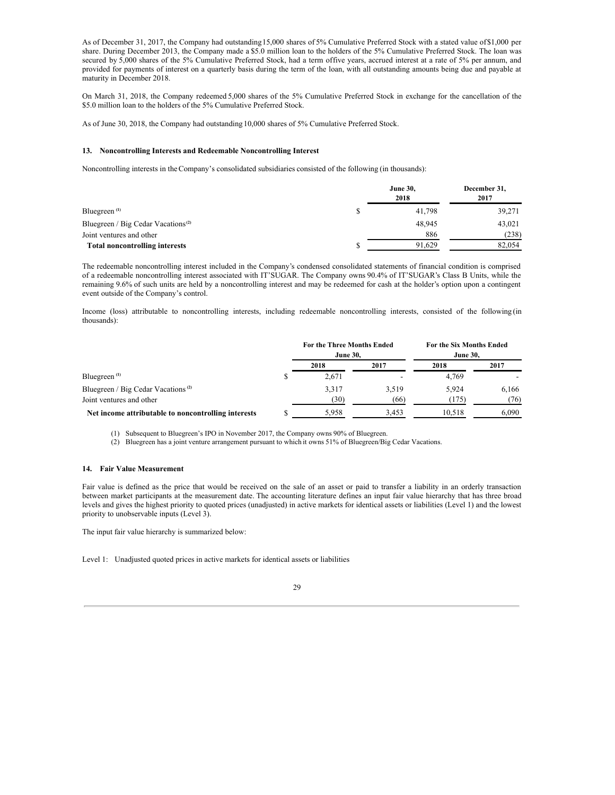As of December 31, 2017, the Company had outstanding15,000 shares of 5% Cumulative Preferred Stock with a stated value of\$1,000 per share. During December 2013, the Company made a \$5.0 million loan to the holders of the 5% Cumulative Preferred Stock. The loan was secured by 5,000 shares of the 5% Cumulative Preferred Stock, had a term offive years, accrued interest at a rate of 5% per annum, and provided for payments of interest on a quarterly basis during the term of the loan, with all outstanding amounts being due and payable at maturity in December 2018.

On March 31, 2018, the Company redeemed 5,000 shares of the 5% Cumulative Preferred Stock in exchange for the cancellation of the \$5.0 million loan to the holders of the 5% Cumulative Preferred Stock.

As of June 30, 2018, the Company had outstanding 10,000 shares of 5% Cumulative Preferred Stock.

## **13. Noncontrolling Interests and Redeemable Noncontrolling Interest**

Noncontrolling interests in theCompany's consolidated subsidiaries consisted of the following (in thousands):

|                                                | <b>June 30,</b><br>2018 | December 31,<br>2017 |
|------------------------------------------------|-------------------------|----------------------|
| Bluegreen $(1)$                                | 41,798                  | 39,271               |
|                                                |                         |                      |
| Bluegreen / Big Cedar Vacations <sup>(2)</sup> | 48,945                  | 43,021               |
| Joint ventures and other                       | 886                     | (238)                |
| <b>Total noncontrolling interests</b>          | 91.629                  | 82,054               |

The redeemable noncontrolling interest included in the Company's condensed consolidated statements of financial condition is comprised of a redeemable noncontrolling interest associated with IT'SUGAR. The Company owns 90.4% of IT'SUGAR's Class B Units, while the remaining 9.6% of such units are held by a noncontrolling interest and may be redeemed for cash at the holder's option upon a contingent event outside of the Company's control.

Income (loss) attributable to noncontrolling interests, including redeemable noncontrolling interests, consisted of the following (in thousands):

|                                                     |   | For the Three Months Ended |       | <b>For the Six Months Ended</b><br><b>June 30.</b> |       |  |
|-----------------------------------------------------|---|----------------------------|-------|----------------------------------------------------|-------|--|
|                                                     |   | <b>June 30.</b>            |       |                                                    |       |  |
|                                                     |   | 2018                       | 2017  | 2018                                               | 2017  |  |
| Bluegreen <sup>(1)</sup>                            | S | 2.671                      |       | 4.769                                              |       |  |
| Bluegreen / Big Cedar Vacations <sup>(2)</sup>      |   | 3.317                      | 3.519 | 5.924                                              | 6.166 |  |
| Joint ventures and other                            |   | (30)                       | (66)  | (175)                                              | (76)  |  |
| Net income attributable to noncontrolling interests |   | 5.958                      | 3.453 | 10.518                                             | 6.090 |  |

(1) Subsequent to Bluegreen's IPO in November 2017, the Company owns 90% of Bluegreen.

(2) Bluegreen has a joint venture arrangement pursuant to whichit owns 51% of Bluegreen/Big Cedar Vacations.

## **14. Fair Value Measurement**

Fair value is defined as the price that would be received on the sale of an asset or paid to transfer a liability in an orderly transaction between market participants at the measurement date. The accounting literature defines an input fair value hierarchy that has three broad levels and gives the highest priority to quoted prices (unadjusted) in active markets for identical assets or liabilities (Level 1) and the lowest priority to unobservable inputs (Level 3).

The input fair value hierarchy is summarized below:

Level 1: Unadjusted quoted prices in active markets for identical assets or liabilities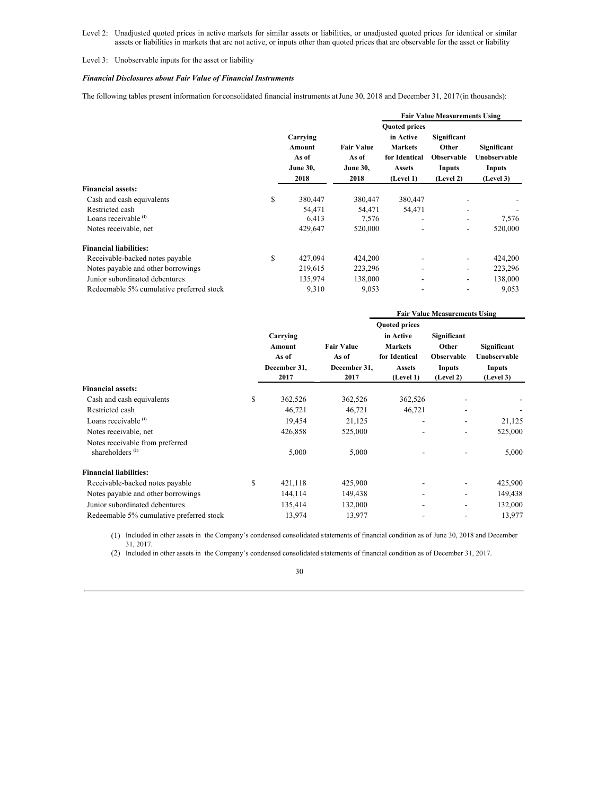Level 2: Unadjusted quoted prices in active markets for similar assets or liabilities, or unadjusted quoted prices for identical or similar assets or liabilities in markets that are not active, or inputs other than quoted prices that are observable for the asset or liability

Level 3: Unobservable inputs for the asset or liability

## *Financial Disclosures about Fair Value of Financial Instruments*

The following tables present information for consolidated financial instruments atJune 30, 2018 and December 31, 2017(in thousands):

|                                          |                                                        |                                                       | <b>Fair Value Measurements Using</b>                                                               |                                                                  |                                                    |  |
|------------------------------------------|--------------------------------------------------------|-------------------------------------------------------|----------------------------------------------------------------------------------------------------|------------------------------------------------------------------|----------------------------------------------------|--|
|                                          | Carrying<br>Amount<br>As of<br><b>June 30,</b><br>2018 | <b>Fair Value</b><br>As of<br><b>June 30,</b><br>2018 | <b>Quoted prices</b><br>in Active<br><b>Markets</b><br>for Identical<br><b>Assets</b><br>(Level 1) | Significant<br>Other<br><b>Observable</b><br>Inputs<br>(Level 2) | Significant<br>Unobservable<br>Inputs<br>(Level 3) |  |
| <b>Financial assets:</b>                 |                                                        |                                                       |                                                                                                    |                                                                  |                                                    |  |
| Cash and cash equivalents                | \$<br>380,447                                          | 380,447                                               | 380,447                                                                                            |                                                                  |                                                    |  |
| Restricted cash                          | 54,471                                                 | 54,471                                                | 54,471                                                                                             |                                                                  |                                                    |  |
| Loans receivable <sup>(1)</sup>          | 6,413                                                  | 7,576                                                 |                                                                                                    |                                                                  | 7,576                                              |  |
| Notes receivable, net                    | 429,647                                                | 520,000                                               |                                                                                                    | ۰                                                                | 520,000                                            |  |
| <b>Financial liabilities:</b>            |                                                        |                                                       |                                                                                                    |                                                                  |                                                    |  |
| Receivable-backed notes payable          | \$<br>427,094                                          | 424,200                                               |                                                                                                    | $\qquad \qquad \blacksquare$                                     | 424,200                                            |  |
| Notes payable and other borrowings       | 219,615                                                | 223,296                                               |                                                                                                    | ۰                                                                | 223,296                                            |  |
| Junior subordinated debentures           | 135,974                                                | 138,000                                               |                                                                                                    | $\overline{\phantom{a}}$                                         | 138,000                                            |  |
| Redeemable 5% cumulative preferred stock | 9,310                                                  | 9,053                                                 |                                                                                                    |                                                                  | 9,053                                              |  |

|                                                          |    |                                                     |                                                    | <b>Fair Value Measurements Using</b>                                                               |                                                           |                                                    |  |
|----------------------------------------------------------|----|-----------------------------------------------------|----------------------------------------------------|----------------------------------------------------------------------------------------------------|-----------------------------------------------------------|----------------------------------------------------|--|
|                                                          |    | Carrying<br>Amount<br>As of<br>December 31,<br>2017 | <b>Fair Value</b><br>As of<br>December 31,<br>2017 | <b>Quoted prices</b><br>in Active<br><b>Markets</b><br>for Identical<br><b>Assets</b><br>(Level 1) | Significant<br>Other<br>Observable<br>Inputs<br>(Level 2) | Significant<br>Unobservable<br>Inputs<br>(Level 3) |  |
| <b>Financial assets:</b>                                 |    |                                                     |                                                    |                                                                                                    |                                                           |                                                    |  |
| Cash and cash equivalents                                | S  | 362,526                                             | 362,526                                            | 362,526                                                                                            |                                                           |                                                    |  |
| Restricted cash                                          |    | 46,721                                              | 46,721                                             | 46,721                                                                                             |                                                           |                                                    |  |
| Loans receivable <sup>(1)</sup>                          |    | 19,454                                              | 21,125                                             |                                                                                                    |                                                           | 21,125                                             |  |
| Notes receivable, net                                    |    | 426,858                                             | 525,000                                            |                                                                                                    |                                                           | 525,000                                            |  |
| Notes receivable from preferred<br>shareholders $^{(2)}$ |    | 5,000                                               | 5,000                                              |                                                                                                    |                                                           | 5,000                                              |  |
| <b>Financial liabilities:</b>                            |    |                                                     |                                                    |                                                                                                    |                                                           |                                                    |  |
| Receivable-backed notes payable                          | \$ | 421,118                                             | 425,900                                            |                                                                                                    |                                                           | 425,900                                            |  |
| Notes payable and other borrowings                       |    | 144,114                                             | 149,438                                            |                                                                                                    |                                                           | 149,438                                            |  |
| Junior subordinated debentures                           |    | 135,414                                             | 132,000                                            |                                                                                                    |                                                           | 132,000                                            |  |
| Redeemable 5% cumulative preferred stock                 |    | 13,974                                              | 13,977                                             |                                                                                                    |                                                           | 13,977                                             |  |

(1) Included in other assets in the Company's condensed consolidated statements of financial condition as of June 30, 2018 and December 31, 2017.

(2) Included in other assets in the Company's condensed consolidated statements of financial condition as of December 31, 2017.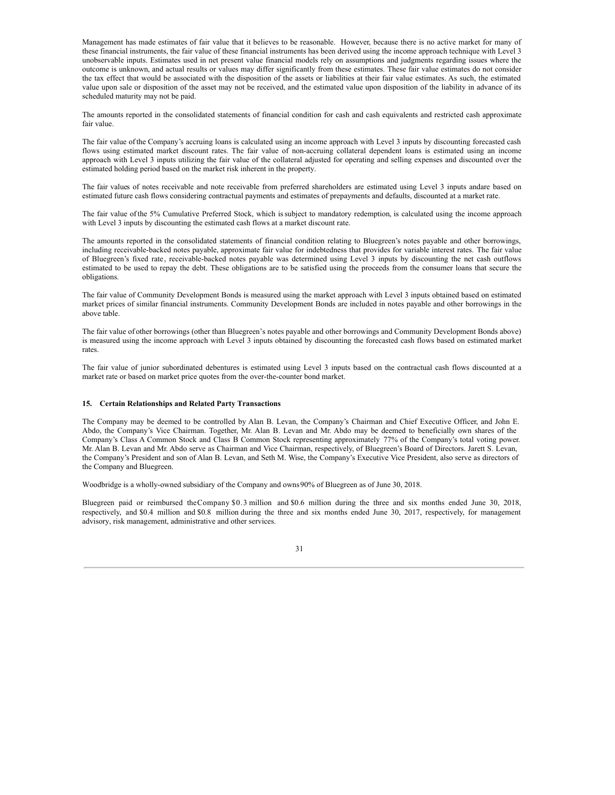Management has made estimates of fair value that it believes to be reasonable. However, because there is no active market for many of these financial instruments, the fair value of these financial instruments has been derived using the income approach technique with Level 3 unobservable inputs. Estimates used in net present value financial models rely on assumptions and judgments regarding issues where the outcome is unknown, and actual results or values may differ significantly from these estimates. These fair value estimates do not consider the tax effect that would be associated with the disposition of the assets or liabilities at their fair value estimates. As such, the estimated value upon sale or disposition of the asset may not be received, and the estimated value upon disposition of the liability in advance of its scheduled maturity may not be paid.

The amounts reported in the consolidated statements of financial condition for cash and cash equivalents and restricted cash approximate fair value.

The fair value ofthe Company's accruing loans is calculated using an income approach with Level 3 inputs by discounting forecasted cash flows using estimated market discount rates. The fair value of non-accruing collateral dependent loans is estimated using an income approach with Level 3 inputs utilizing the fair value of the collateral adjusted for operating and selling expenses and discounted over the estimated holding period based on the market risk inherent in the property.

The fair values of notes receivable and note receivable from preferred shareholders are estimated using Level 3 inputs andare based on estimated future cash flows considering contractual payments and estimates of prepayments and defaults, discounted at a market rate.

The fair value ofthe 5% Cumulative Preferred Stock, which issubject to mandatory redemption, is calculated using the income approach with Level 3 inputs by discounting the estimated cash flows at a market discount rate.

The amounts reported in the consolidated statements of financial condition relating to Bluegreen's notes payable and other borrowings, including receivable-backed notes payable, approximate fair value for indebtedness that provides for variable interest rates. The fair value of Bluegreen's fixed rate , receivable-backed notes payable was determined using Level 3 inputs by discounting the net cash outflows estimated to be used to repay the debt. These obligations are to be satisfied using the proceeds from the consumer loans that secure the obligations.

The fair value of Community Development Bonds is measured using the market approach with Level 3 inputs obtained based on estimated market prices of similar financial instruments. Community Development Bonds are included in notes payable and other borrowings in the above table.

The fair value of other borrowings (other than Bluegreen's notes payable and other borrowings and Community Development Bonds above) is measured using the income approach with Level 3 inputs obtained by discounting the forecasted cash flows based on estimated market rates.

The fair value of junior subordinated debentures is estimated using Level 3 inputs based on the contractual cash flows discounted at a market rate or based on market price quotes from the over-the-counter bond market.

# **15. Certain Relationships and Related Party Transactions**

The Company may be deemed to be controlled by Alan B. Levan, the Company's Chairman and Chief Executive Officer, and John E. Abdo, the Company's Vice Chairman. Together, Mr. Alan B. Levan and Mr. Abdo may be deemed to beneficially own shares of the Company's Class A Common Stock and Class B Common Stock representing approximately 77% of the Company's total voting power. Mr. Alan B. Levan and Mr. Abdo serve as Chairman and Vice Chairman, respectively, of Bluegreen's Board of Directors. Jarett S. Levan, the Company's President and son of Alan B. Levan, and Seth M. Wise, the Company's Executive Vice President, also serve as directors of the Company and Bluegreen.

Woodbridge is a wholly-owned subsidiary of the Company and owns90% of Bluegreen as of June 30, 2018.

Bluegreen paid or reimbursed theCompany \$0.3 million and \$0.6 million during the three and six months ended June 30, 2018, respectively, and \$0.4 million and \$0.8 million during the three and six months ended June 30, 2017, respectively, for management advisory, risk management, administrative and other services.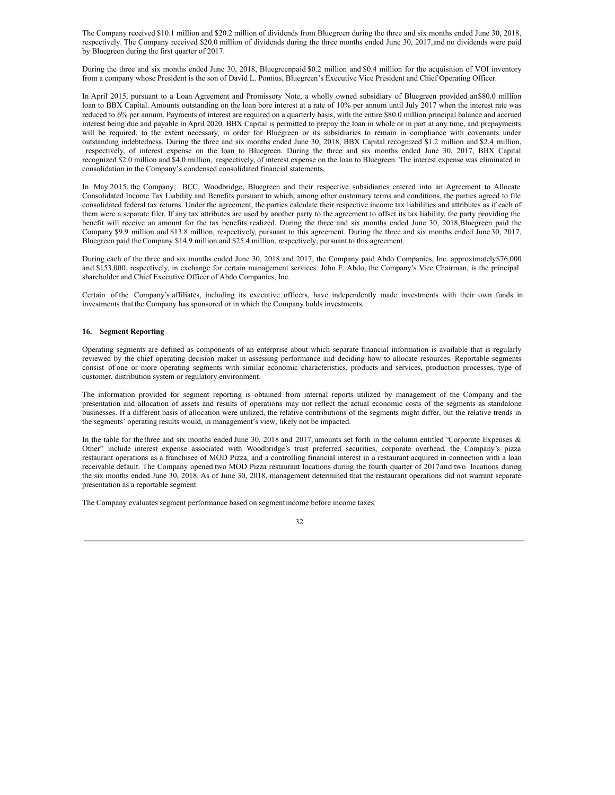The Company received \$10.1 million and \$20.2 million of dividends from Bluegreen during the three and six months ended June 30, 2018, respectively. The Company received \$20.0 million of dividends during the three months ended June 30, 2017,and no dividends were paid by Bluegreen during the first quarter of 2017.

During the three and six months ended June 30, 2018, Bluegreenpaid \$0.2 million and \$0.4 million for the acquisition of VOI inventory from a company whose President is the son of David L. Pontius, Bluegreen's Executive Vice President and Chief Operating Officer.

In April 2015, pursuant to a Loan Agreement and Promissory Note, a wholly owned subsidiary of Bluegreen provided an\$80.0 million loan to BBX Capital. Amounts outstanding on the loan bore interest at a rate of 10% per annum until July 2017 when the interest rate was reduced to 6% per annum. Payments of interest are required on a quarterly basis, with the entire \$80.0 million principal balance and accrued interest being due and payable in April 2020. BBX Capital is permitted to prepay the loan in whole or in part at any time, and prepayments will be required, to the extent necessary, in order for Bluegreen or its subsidiaries to remain in compliance with covenants under outstanding indebtedness. During the three and six months ended June 30, 2018, BBX Capital recognized \$1.2 million and \$2.4 million, respectively, of interest expense on the loan to Bluegreen. During the three and six months ended June 30, 2017, BBX Capital recognized \$2.0 million and \$4.0 million, respectively, of interest expense on the loan to Bluegreen. The interest expense was eliminated in consolidation in the Company's condensed consolidated financial statements.

In May 2015, the Company, BCC, Woodbridge, Bluegreen and their respective subsidiaries entered into an Agreement to Allocate Consolidated Income Tax Liability and Benefits pursuant to which, among other customary terms and conditions, the parties agreed to file consolidated federal tax returns. Under the agreement, the parties calculate their respective income tax liabilities and attributes as if each of them were a separate filer. If any tax attributes are used by another party to the agreement to offset its tax liability, the party providing the benefit will receive an amount for the tax benefits realized. During the three and six months ended June 30, 2018,Bluegreen paid the Company \$9.9 million and \$13.8 million, respectively, pursuant to this agreement. During the three and six months ended June 30, 2017, Bluegreen paid theCompany \$14.9 million and \$25.4 million, respectively, pursuant to this agreement.

During each of the three and six months ended June 30, 2018 and 2017, the Company paid Abdo Companies, Inc. approximately\$76,000 and \$153,000, respectively, in exchange for certain management services. John E. Abdo, the Company's Vice Chairman, is the principal shareholder and Chief Executive Officer of Abdo Companies, Inc.

Certain of the Company's affiliates, including its executive officers, have independently made investments with their own funds in investments that the Company has sponsored or in which the Company holds investments.

## **16. Segment Reporting**

Operating segments are defined as components of an enterprise about which separate financial information is available that is regularly reviewed by the chief operating decision maker in assessing performance and deciding how to allocate resources. Reportable segments consist of one or more operating segments with similar economic characteristics, products and services, production processes, type of customer, distribution system or regulatory environment.

The information provided for segment reporting is obtained from internal reports utilized by management of the Company, and the presentation and allocation of assets and results of operations may not reflect the actual economic costs of the segments as standalone businesses. If a different basis of allocation were utilized, the relative contributions of the segments might differ, but the relative trends in the segments' operating results would, in management's view, likely not be impacted.

In the table for the three and six months ended June 30, 2018 and 2017, amounts set forth in the column entitled "Corporate Expenses & Other" include interest expense associated with Woodbridge's trust preferred securities, corporate overhead, the Company's pizza restaurant operations as a franchisee of MOD Pizza, and a controlling financial interest in a restaurant acquired in connection with a loan receivable default. The Company opened two MOD Pizza restaurant locations during the fourth quarter of 2017and two locations during the six months ended June 30, 2018. As of June 30, 2018, management determined that the restaurant operations did not warrant separate presentation as a reportable segment.

The Company evaluates segment performance based on segmentincome before income taxes.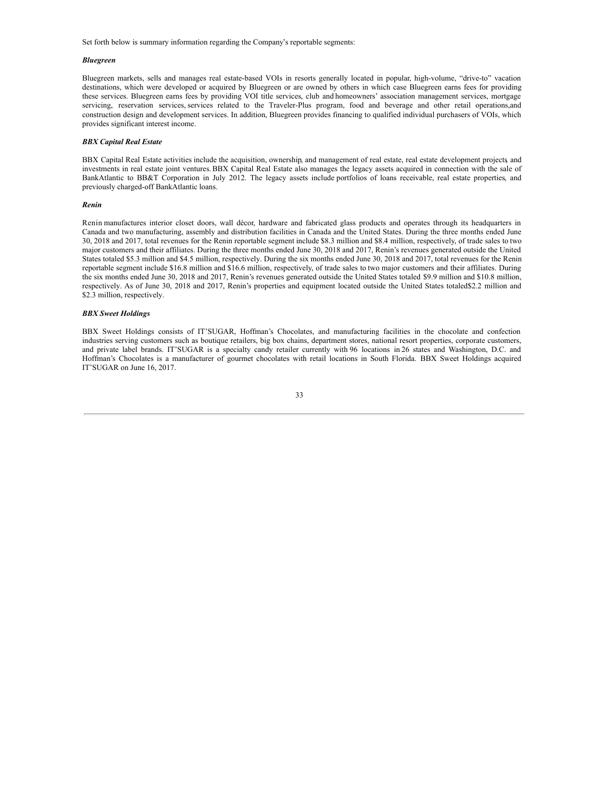Set forth below is summary information regarding the Company's reportable segments:

### *Bluegreen*

Bluegreen markets, sells and manages real estate-based VOIs in resorts generally located in popular, high-volume, "drive-to" vacation destinations, which were developed or acquired by Bluegreen or are owned by others in which case Bluegreen earns fees for providing these services. Bluegreen earns fees by providing VOI title services, club and homeowners' association management services, mortgage servicing, reservation services, services related to the Traveler-Plus program, food and beverage and other retail operations,and construction design and development services. In addition, Bluegreen provides financing to qualified individual purchasers of VOIs, which provides significant interest income.

## *BBX Capital Real Estate*

BBX Capital Real Estate activities include the acquisition, ownership, and management of real estate, real estate development projects, and investments in real estate joint ventures.BBX Capital Real Estate also manages the legacy assets acquired in connection with the sale of BankAtlantic to BB&T Corporation in July 2012. The legacy assets include portfolios of loans receivable, real estate properties, and previously charged-off BankAtlantic loans.

#### *Renin*

Renin manufactures interior closet doors, wall décor, hardware and fabricated glass products and operates through its headquarters in Canada and two manufacturing, assembly and distribution facilities in Canada and the United States. During the three months ended June 30, 2018 and 2017, total revenues for the Renin reportable segment include \$8.3 million and \$8.4 million, respectively, of trade sales to two major customers and their affiliates. During the three months ended June 30, 2018 and 2017, Renin's revenues generated outside the United States totaled \$5.3 million and \$4.5 million, respectively. During the six months ended June 30, 2018 and 2017, total revenues for the Renin reportable segment include \$16.8 million and \$16.6 million, respectively, of trade sales to two major customers and their affiliates. During the six months ended June 30, 2018 and 2017, Renin's revenues generated outside the United States totaled \$9.9 million and \$10.8 million, respectively. As of June 30, 2018 and 2017, Renin's properties and equipment located outside the United States totaled\$2.2 million and \$2.3 million, respectively.

## *BBX Sweet Holdings*

BBX Sweet Holdings consists of IT'SUGAR, Hoffman's Chocolates, and manufacturing facilities in the chocolate and confection industries serving customers such as boutique retailers, big box chains, department stores, national resort properties, corporate customers, and private label brands. IT'SUGAR is a specialty candy retailer currently with 96 locations in 26 states and Washington, D.C. and Hoffman's Chocolates is a manufacturer of gourmet chocolates with retail locations in South Florida. BBX Sweet Holdings acquired IT'SUGAR on June 16, 2017.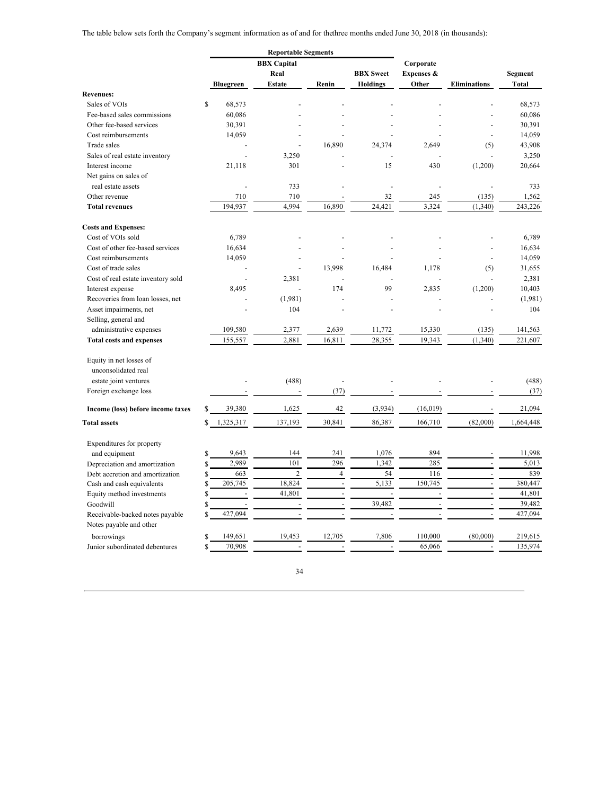The table below sets forth the Company's segment information as of and for thethree months ended June 30, 2018 (in thousands):

| <b>BBX</b> Capital<br>Corporate<br>Real<br><b>Expenses &amp;</b><br>Segment<br><b>BBX</b> Sweet<br>Total<br><b>Estate</b><br>Renin<br>Other<br><b>Eliminations</b><br><b>Bluegreen</b><br><b>Holdings</b><br><b>Revenues:</b><br>\$<br>Sales of VOIs<br>68,573<br>68,573<br>60,086<br>60,086<br>Fee-based sales commissions<br>30,391<br>Other fee-based services<br>30,391<br>Cost reimbursements<br>14,059<br>14,059<br>Trade sales<br>16,890<br>24,374<br>43,908<br>2,649<br>(5)<br>Sales of real estate inventory<br>3,250<br>3,250<br>301<br>15<br>(1,200)<br>Interest income<br>21,118<br>430<br>20,664<br>Net gains on sales of<br>733<br>733<br>real estate assets<br>710<br>Other revenue<br>710<br>32<br>245<br>(135)<br>1,562<br>194,937<br>4,994<br>16,890<br>3,324<br>24,421<br>(1,340)<br>243,226<br><b>Total revenues</b><br><b>Costs and Expenses:</b><br>Cost of VOIs sold<br>6.789<br>6.789<br>Cost of other fee-based services<br>16,634<br>16,634<br>14,059<br>Cost reimbursements<br>14,059<br>13,998<br>16,484<br>1,178<br>Cost of trade sales<br>31,655<br>(5)<br>2,381<br>2,381<br>Cost of real estate inventory sold<br>$\overline{a}$<br>8,495<br>174<br>99<br>(1,200)<br>2,835<br>10,403<br>Interest expense<br>(1,981)<br>Recoveries from loan losses, net<br>(1,981)<br>104<br>104<br>Asset impairments, net<br>Selling, general and<br>109,580<br>2,639<br>15,330<br>141,563<br>administrative expenses<br>2,377<br>11,772<br>(135)<br>155,557<br>2,881<br>16,811<br>28.355<br>19,343<br>(1,340)<br>221,607<br><b>Total costs and expenses</b><br>Equity in net losses of<br>unconsolidated real<br>(488)<br>estate joint ventures<br>(488)<br>Foreign exchange loss<br>(37)<br>(37)<br>1,625<br>42<br>(3,934)<br>(16, 019)<br>39,380<br>21,094<br>\$<br>Income (loss) before income taxes<br>137,193<br>30,841<br>(82,000)<br>\$<br>1,325,317<br>86,387<br>166,710<br>1,664,448<br><b>Total assets</b><br>Expenditures for property<br>9,643<br>894<br>11,998<br>144<br>241<br>1,076<br>\$<br>and equipment<br>296<br>2,989<br>101<br>1,342<br>285<br>5,013<br>Ŝ<br>Depreciation and amortization<br>$\overline{c}$<br>663<br>$\overline{4}$<br>54<br>116<br>839<br>Debt accretion and amortization<br>\$<br>÷,<br>205,745<br>18,824<br>5,133<br>150,745<br>380,447<br>\$<br>Cash and cash equivalents<br>41,801<br>41,801<br>\$<br>Equity method investments<br>$\overline{a}$<br>$\sim$<br>÷.<br>39,482<br>39,482<br>Goodwill<br>\$<br>÷,<br>427,094<br>427,094<br>Receivable-backed notes payable<br>\$<br>Notes payable and other<br>149,651<br>19,453<br>12,705<br>7,806<br>110,000<br>(80,000)<br>219,615<br>\$<br>borrowings<br>70,908<br>65,066<br>135,974<br>Junior subordinated debentures<br>\$ |  |  | <b>Reportable Segments</b> |  |  |  |  |
|-------------------------------------------------------------------------------------------------------------------------------------------------------------------------------------------------------------------------------------------------------------------------------------------------------------------------------------------------------------------------------------------------------------------------------------------------------------------------------------------------------------------------------------------------------------------------------------------------------------------------------------------------------------------------------------------------------------------------------------------------------------------------------------------------------------------------------------------------------------------------------------------------------------------------------------------------------------------------------------------------------------------------------------------------------------------------------------------------------------------------------------------------------------------------------------------------------------------------------------------------------------------------------------------------------------------------------------------------------------------------------------------------------------------------------------------------------------------------------------------------------------------------------------------------------------------------------------------------------------------------------------------------------------------------------------------------------------------------------------------------------------------------------------------------------------------------------------------------------------------------------------------------------------------------------------------------------------------------------------------------------------------------------------------------------------------------------------------------------------------------------------------------------------------------------------------------------------------------------------------------------------------------------------------------------------------------------------------------------------------------------------------------------------------------------------------------------------------------------------------------------------------------------------------------------------------------------------------------------------------------------------------------------------------------------------------------------------------------------------------|--|--|----------------------------|--|--|--|--|
|                                                                                                                                                                                                                                                                                                                                                                                                                                                                                                                                                                                                                                                                                                                                                                                                                                                                                                                                                                                                                                                                                                                                                                                                                                                                                                                                                                                                                                                                                                                                                                                                                                                                                                                                                                                                                                                                                                                                                                                                                                                                                                                                                                                                                                                                                                                                                                                                                                                                                                                                                                                                                                                                                                                                           |  |  |                            |  |  |  |  |
|                                                                                                                                                                                                                                                                                                                                                                                                                                                                                                                                                                                                                                                                                                                                                                                                                                                                                                                                                                                                                                                                                                                                                                                                                                                                                                                                                                                                                                                                                                                                                                                                                                                                                                                                                                                                                                                                                                                                                                                                                                                                                                                                                                                                                                                                                                                                                                                                                                                                                                                                                                                                                                                                                                                                           |  |  |                            |  |  |  |  |
|                                                                                                                                                                                                                                                                                                                                                                                                                                                                                                                                                                                                                                                                                                                                                                                                                                                                                                                                                                                                                                                                                                                                                                                                                                                                                                                                                                                                                                                                                                                                                                                                                                                                                                                                                                                                                                                                                                                                                                                                                                                                                                                                                                                                                                                                                                                                                                                                                                                                                                                                                                                                                                                                                                                                           |  |  |                            |  |  |  |  |
|                                                                                                                                                                                                                                                                                                                                                                                                                                                                                                                                                                                                                                                                                                                                                                                                                                                                                                                                                                                                                                                                                                                                                                                                                                                                                                                                                                                                                                                                                                                                                                                                                                                                                                                                                                                                                                                                                                                                                                                                                                                                                                                                                                                                                                                                                                                                                                                                                                                                                                                                                                                                                                                                                                                                           |  |  |                            |  |  |  |  |
|                                                                                                                                                                                                                                                                                                                                                                                                                                                                                                                                                                                                                                                                                                                                                                                                                                                                                                                                                                                                                                                                                                                                                                                                                                                                                                                                                                                                                                                                                                                                                                                                                                                                                                                                                                                                                                                                                                                                                                                                                                                                                                                                                                                                                                                                                                                                                                                                                                                                                                                                                                                                                                                                                                                                           |  |  |                            |  |  |  |  |
|                                                                                                                                                                                                                                                                                                                                                                                                                                                                                                                                                                                                                                                                                                                                                                                                                                                                                                                                                                                                                                                                                                                                                                                                                                                                                                                                                                                                                                                                                                                                                                                                                                                                                                                                                                                                                                                                                                                                                                                                                                                                                                                                                                                                                                                                                                                                                                                                                                                                                                                                                                                                                                                                                                                                           |  |  |                            |  |  |  |  |
|                                                                                                                                                                                                                                                                                                                                                                                                                                                                                                                                                                                                                                                                                                                                                                                                                                                                                                                                                                                                                                                                                                                                                                                                                                                                                                                                                                                                                                                                                                                                                                                                                                                                                                                                                                                                                                                                                                                                                                                                                                                                                                                                                                                                                                                                                                                                                                                                                                                                                                                                                                                                                                                                                                                                           |  |  |                            |  |  |  |  |
|                                                                                                                                                                                                                                                                                                                                                                                                                                                                                                                                                                                                                                                                                                                                                                                                                                                                                                                                                                                                                                                                                                                                                                                                                                                                                                                                                                                                                                                                                                                                                                                                                                                                                                                                                                                                                                                                                                                                                                                                                                                                                                                                                                                                                                                                                                                                                                                                                                                                                                                                                                                                                                                                                                                                           |  |  |                            |  |  |  |  |
|                                                                                                                                                                                                                                                                                                                                                                                                                                                                                                                                                                                                                                                                                                                                                                                                                                                                                                                                                                                                                                                                                                                                                                                                                                                                                                                                                                                                                                                                                                                                                                                                                                                                                                                                                                                                                                                                                                                                                                                                                                                                                                                                                                                                                                                                                                                                                                                                                                                                                                                                                                                                                                                                                                                                           |  |  |                            |  |  |  |  |
|                                                                                                                                                                                                                                                                                                                                                                                                                                                                                                                                                                                                                                                                                                                                                                                                                                                                                                                                                                                                                                                                                                                                                                                                                                                                                                                                                                                                                                                                                                                                                                                                                                                                                                                                                                                                                                                                                                                                                                                                                                                                                                                                                                                                                                                                                                                                                                                                                                                                                                                                                                                                                                                                                                                                           |  |  |                            |  |  |  |  |
|                                                                                                                                                                                                                                                                                                                                                                                                                                                                                                                                                                                                                                                                                                                                                                                                                                                                                                                                                                                                                                                                                                                                                                                                                                                                                                                                                                                                                                                                                                                                                                                                                                                                                                                                                                                                                                                                                                                                                                                                                                                                                                                                                                                                                                                                                                                                                                                                                                                                                                                                                                                                                                                                                                                                           |  |  |                            |  |  |  |  |
|                                                                                                                                                                                                                                                                                                                                                                                                                                                                                                                                                                                                                                                                                                                                                                                                                                                                                                                                                                                                                                                                                                                                                                                                                                                                                                                                                                                                                                                                                                                                                                                                                                                                                                                                                                                                                                                                                                                                                                                                                                                                                                                                                                                                                                                                                                                                                                                                                                                                                                                                                                                                                                                                                                                                           |  |  |                            |  |  |  |  |
|                                                                                                                                                                                                                                                                                                                                                                                                                                                                                                                                                                                                                                                                                                                                                                                                                                                                                                                                                                                                                                                                                                                                                                                                                                                                                                                                                                                                                                                                                                                                                                                                                                                                                                                                                                                                                                                                                                                                                                                                                                                                                                                                                                                                                                                                                                                                                                                                                                                                                                                                                                                                                                                                                                                                           |  |  |                            |  |  |  |  |
|                                                                                                                                                                                                                                                                                                                                                                                                                                                                                                                                                                                                                                                                                                                                                                                                                                                                                                                                                                                                                                                                                                                                                                                                                                                                                                                                                                                                                                                                                                                                                                                                                                                                                                                                                                                                                                                                                                                                                                                                                                                                                                                                                                                                                                                                                                                                                                                                                                                                                                                                                                                                                                                                                                                                           |  |  |                            |  |  |  |  |
|                                                                                                                                                                                                                                                                                                                                                                                                                                                                                                                                                                                                                                                                                                                                                                                                                                                                                                                                                                                                                                                                                                                                                                                                                                                                                                                                                                                                                                                                                                                                                                                                                                                                                                                                                                                                                                                                                                                                                                                                                                                                                                                                                                                                                                                                                                                                                                                                                                                                                                                                                                                                                                                                                                                                           |  |  |                            |  |  |  |  |
|                                                                                                                                                                                                                                                                                                                                                                                                                                                                                                                                                                                                                                                                                                                                                                                                                                                                                                                                                                                                                                                                                                                                                                                                                                                                                                                                                                                                                                                                                                                                                                                                                                                                                                                                                                                                                                                                                                                                                                                                                                                                                                                                                                                                                                                                                                                                                                                                                                                                                                                                                                                                                                                                                                                                           |  |  |                            |  |  |  |  |
|                                                                                                                                                                                                                                                                                                                                                                                                                                                                                                                                                                                                                                                                                                                                                                                                                                                                                                                                                                                                                                                                                                                                                                                                                                                                                                                                                                                                                                                                                                                                                                                                                                                                                                                                                                                                                                                                                                                                                                                                                                                                                                                                                                                                                                                                                                                                                                                                                                                                                                                                                                                                                                                                                                                                           |  |  |                            |  |  |  |  |
|                                                                                                                                                                                                                                                                                                                                                                                                                                                                                                                                                                                                                                                                                                                                                                                                                                                                                                                                                                                                                                                                                                                                                                                                                                                                                                                                                                                                                                                                                                                                                                                                                                                                                                                                                                                                                                                                                                                                                                                                                                                                                                                                                                                                                                                                                                                                                                                                                                                                                                                                                                                                                                                                                                                                           |  |  |                            |  |  |  |  |
|                                                                                                                                                                                                                                                                                                                                                                                                                                                                                                                                                                                                                                                                                                                                                                                                                                                                                                                                                                                                                                                                                                                                                                                                                                                                                                                                                                                                                                                                                                                                                                                                                                                                                                                                                                                                                                                                                                                                                                                                                                                                                                                                                                                                                                                                                                                                                                                                                                                                                                                                                                                                                                                                                                                                           |  |  |                            |  |  |  |  |
|                                                                                                                                                                                                                                                                                                                                                                                                                                                                                                                                                                                                                                                                                                                                                                                                                                                                                                                                                                                                                                                                                                                                                                                                                                                                                                                                                                                                                                                                                                                                                                                                                                                                                                                                                                                                                                                                                                                                                                                                                                                                                                                                                                                                                                                                                                                                                                                                                                                                                                                                                                                                                                                                                                                                           |  |  |                            |  |  |  |  |
|                                                                                                                                                                                                                                                                                                                                                                                                                                                                                                                                                                                                                                                                                                                                                                                                                                                                                                                                                                                                                                                                                                                                                                                                                                                                                                                                                                                                                                                                                                                                                                                                                                                                                                                                                                                                                                                                                                                                                                                                                                                                                                                                                                                                                                                                                                                                                                                                                                                                                                                                                                                                                                                                                                                                           |  |  |                            |  |  |  |  |
|                                                                                                                                                                                                                                                                                                                                                                                                                                                                                                                                                                                                                                                                                                                                                                                                                                                                                                                                                                                                                                                                                                                                                                                                                                                                                                                                                                                                                                                                                                                                                                                                                                                                                                                                                                                                                                                                                                                                                                                                                                                                                                                                                                                                                                                                                                                                                                                                                                                                                                                                                                                                                                                                                                                                           |  |  |                            |  |  |  |  |
|                                                                                                                                                                                                                                                                                                                                                                                                                                                                                                                                                                                                                                                                                                                                                                                                                                                                                                                                                                                                                                                                                                                                                                                                                                                                                                                                                                                                                                                                                                                                                                                                                                                                                                                                                                                                                                                                                                                                                                                                                                                                                                                                                                                                                                                                                                                                                                                                                                                                                                                                                                                                                                                                                                                                           |  |  |                            |  |  |  |  |
|                                                                                                                                                                                                                                                                                                                                                                                                                                                                                                                                                                                                                                                                                                                                                                                                                                                                                                                                                                                                                                                                                                                                                                                                                                                                                                                                                                                                                                                                                                                                                                                                                                                                                                                                                                                                                                                                                                                                                                                                                                                                                                                                                                                                                                                                                                                                                                                                                                                                                                                                                                                                                                                                                                                                           |  |  |                            |  |  |  |  |
|                                                                                                                                                                                                                                                                                                                                                                                                                                                                                                                                                                                                                                                                                                                                                                                                                                                                                                                                                                                                                                                                                                                                                                                                                                                                                                                                                                                                                                                                                                                                                                                                                                                                                                                                                                                                                                                                                                                                                                                                                                                                                                                                                                                                                                                                                                                                                                                                                                                                                                                                                                                                                                                                                                                                           |  |  |                            |  |  |  |  |
|                                                                                                                                                                                                                                                                                                                                                                                                                                                                                                                                                                                                                                                                                                                                                                                                                                                                                                                                                                                                                                                                                                                                                                                                                                                                                                                                                                                                                                                                                                                                                                                                                                                                                                                                                                                                                                                                                                                                                                                                                                                                                                                                                                                                                                                                                                                                                                                                                                                                                                                                                                                                                                                                                                                                           |  |  |                            |  |  |  |  |
|                                                                                                                                                                                                                                                                                                                                                                                                                                                                                                                                                                                                                                                                                                                                                                                                                                                                                                                                                                                                                                                                                                                                                                                                                                                                                                                                                                                                                                                                                                                                                                                                                                                                                                                                                                                                                                                                                                                                                                                                                                                                                                                                                                                                                                                                                                                                                                                                                                                                                                                                                                                                                                                                                                                                           |  |  |                            |  |  |  |  |
|                                                                                                                                                                                                                                                                                                                                                                                                                                                                                                                                                                                                                                                                                                                                                                                                                                                                                                                                                                                                                                                                                                                                                                                                                                                                                                                                                                                                                                                                                                                                                                                                                                                                                                                                                                                                                                                                                                                                                                                                                                                                                                                                                                                                                                                                                                                                                                                                                                                                                                                                                                                                                                                                                                                                           |  |  |                            |  |  |  |  |
|                                                                                                                                                                                                                                                                                                                                                                                                                                                                                                                                                                                                                                                                                                                                                                                                                                                                                                                                                                                                                                                                                                                                                                                                                                                                                                                                                                                                                                                                                                                                                                                                                                                                                                                                                                                                                                                                                                                                                                                                                                                                                                                                                                                                                                                                                                                                                                                                                                                                                                                                                                                                                                                                                                                                           |  |  |                            |  |  |  |  |
|                                                                                                                                                                                                                                                                                                                                                                                                                                                                                                                                                                                                                                                                                                                                                                                                                                                                                                                                                                                                                                                                                                                                                                                                                                                                                                                                                                                                                                                                                                                                                                                                                                                                                                                                                                                                                                                                                                                                                                                                                                                                                                                                                                                                                                                                                                                                                                                                                                                                                                                                                                                                                                                                                                                                           |  |  |                            |  |  |  |  |
|                                                                                                                                                                                                                                                                                                                                                                                                                                                                                                                                                                                                                                                                                                                                                                                                                                                                                                                                                                                                                                                                                                                                                                                                                                                                                                                                                                                                                                                                                                                                                                                                                                                                                                                                                                                                                                                                                                                                                                                                                                                                                                                                                                                                                                                                                                                                                                                                                                                                                                                                                                                                                                                                                                                                           |  |  |                            |  |  |  |  |
|                                                                                                                                                                                                                                                                                                                                                                                                                                                                                                                                                                                                                                                                                                                                                                                                                                                                                                                                                                                                                                                                                                                                                                                                                                                                                                                                                                                                                                                                                                                                                                                                                                                                                                                                                                                                                                                                                                                                                                                                                                                                                                                                                                                                                                                                                                                                                                                                                                                                                                                                                                                                                                                                                                                                           |  |  |                            |  |  |  |  |
|                                                                                                                                                                                                                                                                                                                                                                                                                                                                                                                                                                                                                                                                                                                                                                                                                                                                                                                                                                                                                                                                                                                                                                                                                                                                                                                                                                                                                                                                                                                                                                                                                                                                                                                                                                                                                                                                                                                                                                                                                                                                                                                                                                                                                                                                                                                                                                                                                                                                                                                                                                                                                                                                                                                                           |  |  |                            |  |  |  |  |
|                                                                                                                                                                                                                                                                                                                                                                                                                                                                                                                                                                                                                                                                                                                                                                                                                                                                                                                                                                                                                                                                                                                                                                                                                                                                                                                                                                                                                                                                                                                                                                                                                                                                                                                                                                                                                                                                                                                                                                                                                                                                                                                                                                                                                                                                                                                                                                                                                                                                                                                                                                                                                                                                                                                                           |  |  |                            |  |  |  |  |
|                                                                                                                                                                                                                                                                                                                                                                                                                                                                                                                                                                                                                                                                                                                                                                                                                                                                                                                                                                                                                                                                                                                                                                                                                                                                                                                                                                                                                                                                                                                                                                                                                                                                                                                                                                                                                                                                                                                                                                                                                                                                                                                                                                                                                                                                                                                                                                                                                                                                                                                                                                                                                                                                                                                                           |  |  |                            |  |  |  |  |
|                                                                                                                                                                                                                                                                                                                                                                                                                                                                                                                                                                                                                                                                                                                                                                                                                                                                                                                                                                                                                                                                                                                                                                                                                                                                                                                                                                                                                                                                                                                                                                                                                                                                                                                                                                                                                                                                                                                                                                                                                                                                                                                                                                                                                                                                                                                                                                                                                                                                                                                                                                                                                                                                                                                                           |  |  |                            |  |  |  |  |
|                                                                                                                                                                                                                                                                                                                                                                                                                                                                                                                                                                                                                                                                                                                                                                                                                                                                                                                                                                                                                                                                                                                                                                                                                                                                                                                                                                                                                                                                                                                                                                                                                                                                                                                                                                                                                                                                                                                                                                                                                                                                                                                                                                                                                                                                                                                                                                                                                                                                                                                                                                                                                                                                                                                                           |  |  |                            |  |  |  |  |
|                                                                                                                                                                                                                                                                                                                                                                                                                                                                                                                                                                                                                                                                                                                                                                                                                                                                                                                                                                                                                                                                                                                                                                                                                                                                                                                                                                                                                                                                                                                                                                                                                                                                                                                                                                                                                                                                                                                                                                                                                                                                                                                                                                                                                                                                                                                                                                                                                                                                                                                                                                                                                                                                                                                                           |  |  |                            |  |  |  |  |
|                                                                                                                                                                                                                                                                                                                                                                                                                                                                                                                                                                                                                                                                                                                                                                                                                                                                                                                                                                                                                                                                                                                                                                                                                                                                                                                                                                                                                                                                                                                                                                                                                                                                                                                                                                                                                                                                                                                                                                                                                                                                                                                                                                                                                                                                                                                                                                                                                                                                                                                                                                                                                                                                                                                                           |  |  |                            |  |  |  |  |
|                                                                                                                                                                                                                                                                                                                                                                                                                                                                                                                                                                                                                                                                                                                                                                                                                                                                                                                                                                                                                                                                                                                                                                                                                                                                                                                                                                                                                                                                                                                                                                                                                                                                                                                                                                                                                                                                                                                                                                                                                                                                                                                                                                                                                                                                                                                                                                                                                                                                                                                                                                                                                                                                                                                                           |  |  |                            |  |  |  |  |
|                                                                                                                                                                                                                                                                                                                                                                                                                                                                                                                                                                                                                                                                                                                                                                                                                                                                                                                                                                                                                                                                                                                                                                                                                                                                                                                                                                                                                                                                                                                                                                                                                                                                                                                                                                                                                                                                                                                                                                                                                                                                                                                                                                                                                                                                                                                                                                                                                                                                                                                                                                                                                                                                                                                                           |  |  |                            |  |  |  |  |
|                                                                                                                                                                                                                                                                                                                                                                                                                                                                                                                                                                                                                                                                                                                                                                                                                                                                                                                                                                                                                                                                                                                                                                                                                                                                                                                                                                                                                                                                                                                                                                                                                                                                                                                                                                                                                                                                                                                                                                                                                                                                                                                                                                                                                                                                                                                                                                                                                                                                                                                                                                                                                                                                                                                                           |  |  |                            |  |  |  |  |
|                                                                                                                                                                                                                                                                                                                                                                                                                                                                                                                                                                                                                                                                                                                                                                                                                                                                                                                                                                                                                                                                                                                                                                                                                                                                                                                                                                                                                                                                                                                                                                                                                                                                                                                                                                                                                                                                                                                                                                                                                                                                                                                                                                                                                                                                                                                                                                                                                                                                                                                                                                                                                                                                                                                                           |  |  |                            |  |  |  |  |
|                                                                                                                                                                                                                                                                                                                                                                                                                                                                                                                                                                                                                                                                                                                                                                                                                                                                                                                                                                                                                                                                                                                                                                                                                                                                                                                                                                                                                                                                                                                                                                                                                                                                                                                                                                                                                                                                                                                                                                                                                                                                                                                                                                                                                                                                                                                                                                                                                                                                                                                                                                                                                                                                                                                                           |  |  |                            |  |  |  |  |
|                                                                                                                                                                                                                                                                                                                                                                                                                                                                                                                                                                                                                                                                                                                                                                                                                                                                                                                                                                                                                                                                                                                                                                                                                                                                                                                                                                                                                                                                                                                                                                                                                                                                                                                                                                                                                                                                                                                                                                                                                                                                                                                                                                                                                                                                                                                                                                                                                                                                                                                                                                                                                                                                                                                                           |  |  |                            |  |  |  |  |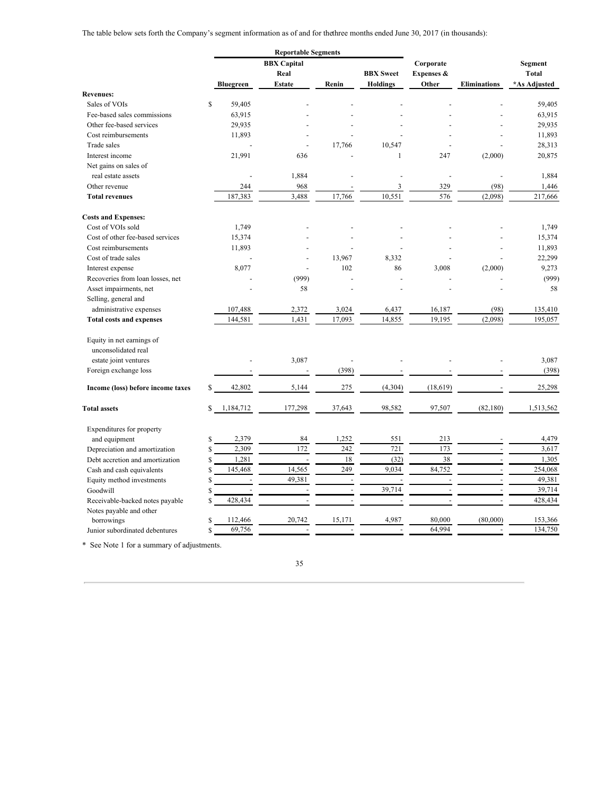The table below sets forth the Company's segment information as of and for thethree months ended June 30, 2017 (in thousands):

|                                   |              |                  | <b>Reportable Segments</b> |        |                  |            |                     |              |
|-----------------------------------|--------------|------------------|----------------------------|--------|------------------|------------|---------------------|--------------|
|                                   |              |                  | <b>BBX</b> Capital         |        |                  | Corporate  |                     | Segment      |
|                                   |              |                  | Real                       |        | <b>BBX</b> Sweet | Expenses & |                     | Total        |
|                                   |              | <b>Bluegreen</b> | <b>Estate</b>              | Renin  | <b>Holdings</b>  | Other      | <b>Eliminations</b> | *As Adjusted |
| <b>Revenues:</b>                  |              |                  |                            |        |                  |            |                     |              |
| Sales of VOIs                     | $\mathbb{S}$ | 59,405           |                            |        |                  |            |                     | 59,405       |
| Fee-based sales commissions       |              | 63,915           |                            |        |                  |            |                     | 63,915       |
| Other fee-based services          |              | 29,935           |                            |        |                  |            |                     | 29,935       |
| Cost reimbursements               |              | 11,893           |                            |        |                  |            |                     | 11,893       |
| Trade sales                       |              |                  |                            | 17,766 | 10,547           |            |                     | 28,313       |
| Interest income                   |              | 21,991           | 636                        |        | $\mathbf{1}$     | 247        | (2,000)             | 20,875       |
| Net gains on sales of             |              |                  |                            |        |                  |            |                     |              |
| real estate assets                |              |                  | 1,884                      |        |                  |            |                     | 1,884        |
| Other revenue                     |              | 244              | 968                        |        | 3                | 329        | (98)                | 1,446        |
| <b>Total revenues</b>             |              | 187,383          | 3,488                      | 17,766 | 10,551           | 576        | (2,098)             | 217,666      |
|                                   |              |                  |                            |        |                  |            |                     |              |
| <b>Costs and Expenses:</b>        |              |                  |                            |        |                  |            |                     |              |
| Cost of VOIs sold                 |              | 1,749            |                            |        |                  |            |                     | 1,749        |
| Cost of other fee-based services  |              | 15,374           |                            |        |                  |            |                     | 15,374       |
| Cost reimbursements               |              | 11,893           |                            |        |                  |            |                     | 11,893       |
| Cost of trade sales               |              |                  |                            | 13,967 | 8,332            |            |                     | 22,299       |
| Interest expense                  |              | 8,077            |                            | 102    | 86               | 3,008      | (2,000)             | 9,273        |
| Recoveries from loan losses, net  |              |                  | (999)                      |        |                  |            |                     | (999)        |
| Asset impairments, net            |              |                  | 58                         |        |                  |            |                     | 58           |
| Selling, general and              |              |                  |                            |        |                  |            |                     |              |
| administrative expenses           |              | 107,488          | 2,372                      | 3,024  | 6,437            | 16,187     | (98)                | 135,410      |
| <b>Total costs and expenses</b>   |              | 144,581          | 1,431                      | 17,093 | 14,855           | 19,195     | (2,098)             | 195,057      |
|                                   |              |                  |                            |        |                  |            |                     |              |
| Equity in net earnings of         |              |                  |                            |        |                  |            |                     |              |
| unconsolidated real               |              |                  |                            |        |                  |            |                     |              |
| estate joint ventures             |              |                  | 3,087                      |        |                  |            |                     | 3,087        |
| Foreign exchange loss             |              |                  |                            | (398)  |                  |            |                     | (398)        |
| Income (loss) before income taxes | \$           | 42,802           | 5,144                      | 275    | (4,304)          | (18, 619)  |                     | 25,298       |
|                                   |              |                  |                            |        |                  |            |                     |              |
| <b>Total assets</b>               |              | \$1,184,712      | 177,298                    | 37,643 | 98,582           | 97,507     | (82, 180)           | 1,513,562    |
| Expenditures for property         |              |                  |                            |        |                  |            |                     |              |
| and equipment                     | \$           | 2,379            | 84                         | 1,252  | 551              | 213        |                     | 4,479        |
| Depreciation and amortization     | S            | 2,309            | 172                        | 242    | 721              | 173        |                     | 3,617        |
| Debt accretion and amortization   | \$           | 1,281            |                            | 18     | (32)             | 38         |                     | 1,305        |
| Cash and cash equivalents         | \$           | 145,468          | 14,565                     | 249    | 9,034            | 84,752     |                     | 254,068      |
| Equity method investments         | \$           | $\sim$           | 49,381                     | $\sim$ |                  |            | L.                  | 49,381       |
| Goodwill                          | \$           |                  |                            |        | 39,714           |            |                     | 39,714       |
| Receivable-backed notes payable   | \$           | 428,434          |                            |        |                  |            |                     | 428,434      |
| Notes payable and other           |              |                  |                            |        |                  |            |                     |              |
| borrowings                        | \$           | 112,466          | 20,742                     | 15,171 | 4,987            | 80,000     | (80,000)            | 153,366      |
| Junior subordinated debentures    | S            | 69,756           |                            |        |                  | 64.994     |                     | 134,750      |

\* See Note 1 for a summary of adjustments.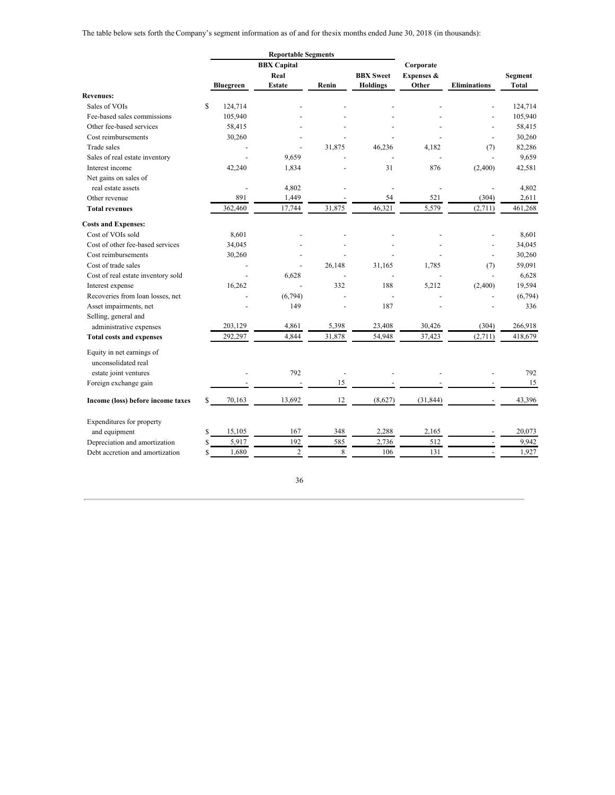The table below sets forth the Company's segment information as of and for thesix months ended June 30, 2018 (in thousands):

|                                                  |                  | <b>Reportable Segments</b> |        |                  |            |                     |                |
|--------------------------------------------------|------------------|----------------------------|--------|------------------|------------|---------------------|----------------|
|                                                  |                  | <b>BBX</b> Capital         |        |                  | Corporate  |                     |                |
|                                                  |                  | Real                       |        | <b>BBX</b> Sweet | Expenses & |                     | <b>Segment</b> |
|                                                  | <b>Bluegreen</b> | <b>Estate</b>              | Renin  | <b>Holdings</b>  | Other      | <b>Eliminations</b> | Total          |
| <b>Revenues:</b>                                 |                  |                            |        |                  |            |                     |                |
| Sales of VOIs                                    | \$<br>124,714    |                            |        |                  |            |                     | 124,714        |
| Fee-based sales commissions                      | 105,940          |                            |        |                  |            |                     | 105,940        |
| Other fee-based services                         | 58,415           |                            |        |                  |            |                     | 58,415         |
| Cost reimbursements                              | 30,260           |                            |        |                  |            | $\sim$              | 30,260         |
| Trade sales                                      |                  |                            | 31,875 | 46,236           | 4,182      | (7)                 | 82,286         |
| Sales of real estate inventory                   |                  | 9,659                      |        |                  |            |                     | 9,659          |
| Interest income                                  | 42,240           | 1,834                      |        | 31               | 876        | (2,400)             | 42,581         |
| Net gains on sales of                            |                  |                            |        |                  |            |                     |                |
| real estate assets                               |                  | 4,802                      |        |                  |            |                     | 4,802          |
| Other revenue                                    | 891              | 1,449                      |        | 54               | 521        | (304)               | 2,611          |
| <b>Total revenues</b>                            | 362,460          | 17,744                     | 31,875 | 46,321           | 5,579      | (2,711)             | 461,268        |
| <b>Costs and Expenses:</b>                       |                  |                            |        |                  |            |                     |                |
| Cost of VOIs sold                                | 8,601            |                            |        |                  |            |                     | 8,601          |
| Cost of other fee-based services                 | 34,045           |                            |        |                  |            |                     | 34,045         |
| Cost reimbursements                              | 30,260           |                            |        |                  |            | L.                  | 30,260         |
| Cost of trade sales                              |                  |                            | 26.148 | 31,165           | 1,785      | (7)                 | 59,091         |
| Cost of real estate inventory sold               |                  | 6,628                      |        |                  |            |                     | 6,628          |
| Interest expense                                 | 16,262           |                            | 332    | 188              | 5,212      | (2,400)             | 19,594         |
| Recoveries from loan losses, net                 |                  | (6, 794)                   |        |                  |            | L.                  | (6,794)        |
| Asset impairments, net                           |                  | 149                        |        | 187              |            |                     | 336            |
| Selling, general and                             |                  |                            |        |                  |            |                     |                |
| administrative expenses                          | 203,129          | 4,861                      | 5,398  | 23,408           | 30,426     | (304)               | 266,918        |
| <b>Total costs and expenses</b>                  | 292,297          | 4,844                      | 31,878 | 54,948           | 37,423     | (2,711)             | 418,679        |
| Equity in net earnings of<br>unconsolidated real |                  |                            |        |                  |            |                     |                |
| estate joint ventures                            |                  | 792                        |        |                  |            |                     | 792            |
| Foreign exchange gain                            |                  |                            | 15     |                  |            |                     | 15             |
| Income (loss) before income taxes                | \$<br>70,163     | 13,692                     | 12     | (8,627)          | (31, 844)  |                     | 43,396         |
| Expenditures for property                        |                  |                            |        |                  |            |                     |                |
| and equipment                                    | \$<br>15,105     | 167                        | 348    | 2,288            | 2,165      |                     | 20,073         |
| Depreciation and amortization                    | \$<br>5,917      | 192                        | 585    | 2,736            | 512        |                     | 9.942          |
| Debt accretion and amortization                  | \$<br>1,680      | $\sqrt{2}$                 | 8      | 106              | 131        |                     | 1,927          |
|                                                  |                  |                            |        |                  |            |                     |                |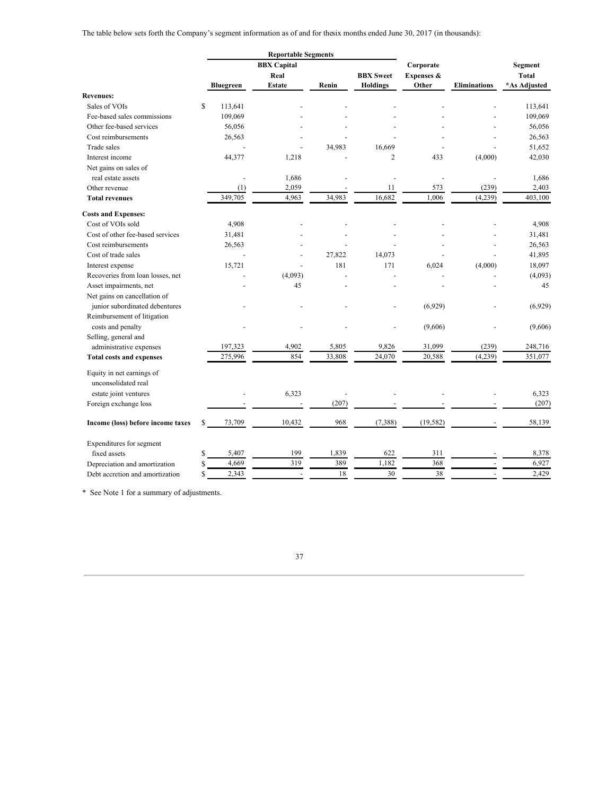The table below sets forth the Company's segment information as of and for thesix months ended June 30, 2017 (in thousands):

| <b>BBX</b> Capital<br>Corporate<br>Segment<br>Real<br><b>BBX</b> Sweet<br><b>Expenses &amp;</b><br><b>Total</b><br><b>Estate</b><br>Renin<br><b>Holdings</b><br>Other<br><b>Eliminations</b><br>*As Adjusted<br><b>Bluegreen</b><br><b>Revenues:</b><br>\$<br>Sales of VOIs<br>113,641<br>Fee-based sales commissions<br>109,069<br>Other fee-based services<br>56,056<br>Cost reimbursements<br>26,563<br>Trade sales<br>34,983<br>16,669<br>Interest income<br>$\overline{c}$<br>(4,000)<br>44,377<br>1,218<br>433<br>Net gains on sales of<br>real estate assets<br>1,686<br>2,059<br>573<br>(239)<br>(1)<br>11<br>Other revenue<br>349,705<br>34,983<br>16,682<br>1,006<br>4,963<br>(4,239)<br><b>Total revenues</b> |         |
|--------------------------------------------------------------------------------------------------------------------------------------------------------------------------------------------------------------------------------------------------------------------------------------------------------------------------------------------------------------------------------------------------------------------------------------------------------------------------------------------------------------------------------------------------------------------------------------------------------------------------------------------------------------------------------------------------------------------------|---------|
|                                                                                                                                                                                                                                                                                                                                                                                                                                                                                                                                                                                                                                                                                                                          |         |
|                                                                                                                                                                                                                                                                                                                                                                                                                                                                                                                                                                                                                                                                                                                          |         |
|                                                                                                                                                                                                                                                                                                                                                                                                                                                                                                                                                                                                                                                                                                                          | 113,641 |
|                                                                                                                                                                                                                                                                                                                                                                                                                                                                                                                                                                                                                                                                                                                          | 109,069 |
|                                                                                                                                                                                                                                                                                                                                                                                                                                                                                                                                                                                                                                                                                                                          | 56,056  |
|                                                                                                                                                                                                                                                                                                                                                                                                                                                                                                                                                                                                                                                                                                                          | 26,563  |
|                                                                                                                                                                                                                                                                                                                                                                                                                                                                                                                                                                                                                                                                                                                          | 51,652  |
|                                                                                                                                                                                                                                                                                                                                                                                                                                                                                                                                                                                                                                                                                                                          | 42,030  |
|                                                                                                                                                                                                                                                                                                                                                                                                                                                                                                                                                                                                                                                                                                                          |         |
|                                                                                                                                                                                                                                                                                                                                                                                                                                                                                                                                                                                                                                                                                                                          | 1,686   |
|                                                                                                                                                                                                                                                                                                                                                                                                                                                                                                                                                                                                                                                                                                                          | 2,403   |
|                                                                                                                                                                                                                                                                                                                                                                                                                                                                                                                                                                                                                                                                                                                          | 403,100 |
| <b>Costs and Expenses:</b>                                                                                                                                                                                                                                                                                                                                                                                                                                                                                                                                                                                                                                                                                               |         |
| Cost of VOIs sold<br>4,908                                                                                                                                                                                                                                                                                                                                                                                                                                                                                                                                                                                                                                                                                               | 4,908   |
| Cost of other fee-based services<br>31,481                                                                                                                                                                                                                                                                                                                                                                                                                                                                                                                                                                                                                                                                               | 31,481  |
| Cost reimbursements<br>26,563                                                                                                                                                                                                                                                                                                                                                                                                                                                                                                                                                                                                                                                                                            | 26,563  |
| Cost of trade sales<br>27,822<br>14,073                                                                                                                                                                                                                                                                                                                                                                                                                                                                                                                                                                                                                                                                                  | 41,895  |
| 15,721<br>181<br>171<br>(4,000)<br>6,024<br>Interest expense<br>L.                                                                                                                                                                                                                                                                                                                                                                                                                                                                                                                                                                                                                                                       | 18,097  |
| Recoveries from loan losses, net<br>(4,093)                                                                                                                                                                                                                                                                                                                                                                                                                                                                                                                                                                                                                                                                              | (4,093) |
| Asset impairments, net<br>45                                                                                                                                                                                                                                                                                                                                                                                                                                                                                                                                                                                                                                                                                             | 45      |
| Net gains on cancellation of                                                                                                                                                                                                                                                                                                                                                                                                                                                                                                                                                                                                                                                                                             |         |
| junior subordinated debentures<br>(6,929)                                                                                                                                                                                                                                                                                                                                                                                                                                                                                                                                                                                                                                                                                | (6,929) |
| Reimbursement of litigation                                                                                                                                                                                                                                                                                                                                                                                                                                                                                                                                                                                                                                                                                              |         |
| costs and penalty<br>(9,606)                                                                                                                                                                                                                                                                                                                                                                                                                                                                                                                                                                                                                                                                                             | (9,606) |
| Selling, general and                                                                                                                                                                                                                                                                                                                                                                                                                                                                                                                                                                                                                                                                                                     |         |
| 197,323<br>4,902<br>5,805<br>9,826<br>31,099<br>(239)<br>administrative expenses                                                                                                                                                                                                                                                                                                                                                                                                                                                                                                                                                                                                                                         | 248,716 |
| 275,996<br>854<br>33,808<br>24,070<br>20,588<br>(4,239)<br><b>Total costs and expenses</b>                                                                                                                                                                                                                                                                                                                                                                                                                                                                                                                                                                                                                               | 351,077 |
| Equity in net earnings of<br>unconsolidated real                                                                                                                                                                                                                                                                                                                                                                                                                                                                                                                                                                                                                                                                         |         |
| 6,323<br>estate joint ventures                                                                                                                                                                                                                                                                                                                                                                                                                                                                                                                                                                                                                                                                                           | 6,323   |
| (207)<br>Foreign exchange loss                                                                                                                                                                                                                                                                                                                                                                                                                                                                                                                                                                                                                                                                                           | (207)   |
| 73,709<br>968<br>(7, 388)<br>(19, 582)<br>Income (loss) before income taxes<br>S<br>10,432                                                                                                                                                                                                                                                                                                                                                                                                                                                                                                                                                                                                                               | 58,139  |
| Expenditures for segment                                                                                                                                                                                                                                                                                                                                                                                                                                                                                                                                                                                                                                                                                                 |         |
| 5,407<br>199<br>1,839<br>622<br>311<br>fixed assets<br>\$                                                                                                                                                                                                                                                                                                                                                                                                                                                                                                                                                                                                                                                                | 8,378   |
| 319<br>389<br>1,182<br>368<br>4,669<br>Depreciation and amortization<br>S                                                                                                                                                                                                                                                                                                                                                                                                                                                                                                                                                                                                                                                | 6,927   |
| 30<br>38<br>\$<br>2,343<br>18<br>Debt accretion and amortization                                                                                                                                                                                                                                                                                                                                                                                                                                                                                                                                                                                                                                                         | 2,429   |

\* See Note 1 for a summary of adjustments.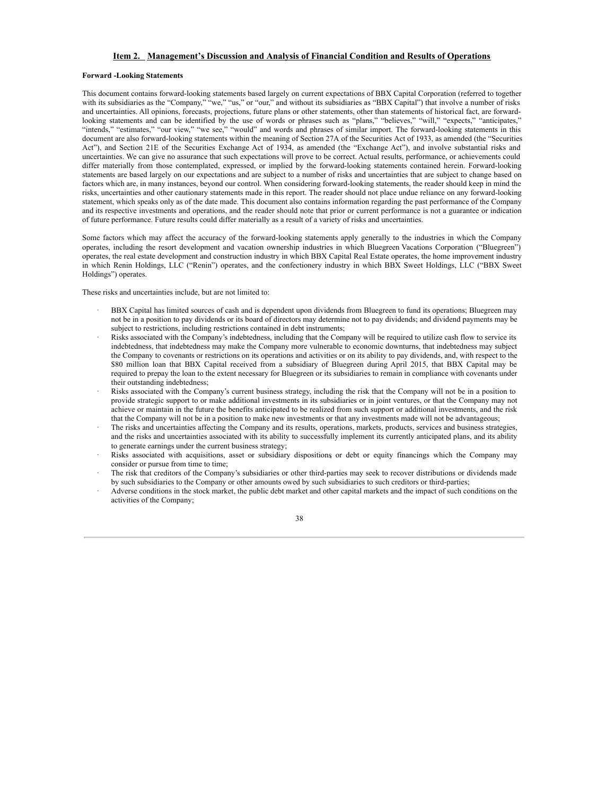## **Item 2. Management's Discussion and Analysis of Financial Condition and Results of Operations**

## **Forward -Looking Statements**

This document contains forward-looking statements based largely on current expectations of BBX Capital Corporation (referred to together with its subsidiaries as the "Company," "we," "us," or "our," and without its subsidiaries as "BBX Capital") that involve a number of risks and uncertainties. All opinions, forecasts, projections, future plans or other statements, other than statements of historical fact, are forwardlooking statements and can be identified by the use of words or phrases such as "plans," "believes," "will," "expects," "anticipates," "intends," "estimates," "our view," "we see," "would" and words and phrases of similar import. The forward-looking statements in this document are also forward-looking statements within the meaning of Section 27A of the Securities Act of 1933, as amended (the "Securities Act"), and Section 21E of the Securities Exchange Act of 1934, as amended (the "Exchange Act"), and involve substantial risks and uncertainties. We can give no assurance that such expectations will prove to be correct. Actual results, performance, or achievements could differ materially from those contemplated, expressed, or implied by the forward-looking statements contained herein. Forward-looking statements are based largely on our expectations and are subject to a number of risks and uncertainties that are subject to change based on factors which are, in many instances, beyond our control. When considering forward-looking statements, the reader should keep in mind the risks, uncertainties and other cautionary statements made in this report. The reader should not place undue reliance on any forward-looking statement, which speaks only as of the date made. This document also contains information regarding the past performance of the Company and its respective investments and operations, and the reader should note that prior or current performance is not a guarantee or indication of future performance. Future results could differ materially as a result of a variety of risks and uncertainties.

Some factors which may affect the accuracy of the forward-looking statements apply generally to the industries in which the Company operates, including the resort development and vacation ownership industries in which Bluegreen Vacations Corporation ("Bluegreen") operates, the real estate development and construction industry in which BBX Capital Real Estate operates, the home improvement industry in which Renin Holdings, LLC ("Renin") operates, and the confectionery industry in which BBX Sweet Holdings, LLC ("BBX Sweet Holdings") operates.

These risks and uncertainties include, but are not limited to:

- BBX Capital has limited sources of cash and is dependent upon dividends from Bluegreen to fund its operations; Bluegreen may not be in a position to pay dividends or its board of directors may determine not to pay dividends; and dividend payments may be subject to restrictions, including restrictions contained in debt instruments;
- Risks associated with the Company's indebtedness, including that the Company will be required to utilize cash flow to service its indebtedness, that indebtedness may make the Company more vulnerable to economic downturns, that indebtedness may subject the Company to covenants or restrictions on its operations and activities or on its ability to pay dividends, and, with respect to the \$80 million loan that BBX Capital received from a subsidiary of Bluegreen during April 2015, that BBX Capital may be required to prepay the loan to the extent necessary for Bluegreen or its subsidiaries to remain in compliance with covenants under their outstanding indebtedness;
- · Risks associated with the Company's current business strategy, including the risk that the Company will not be in a position to provide strategic support to or make additional investments in its subsidiaries or in joint ventures, or that the Company may not achieve or maintain in the future the benefits anticipated to be realized from such support or additional investments, and the risk that the Company will not be in a position to make new investments or that any investments made will not be advantageous;
- The risks and uncertainties affecting the Company and its results, operations, markets, products, services and business strategies, and the risks and uncertainties associated with its ability to successfully implement its currently anticipated plans, and its ability to generate earnings under the current business strategy;
- Risks associated with acquisitions, asset or subsidiary dispositions or debt or equity financings which the Company may consider or pursue from time to time;
- The risk that creditors of the Company's subsidiaries or other third-parties may seek to recover distributions or dividends made by such subsidiaries to the Company or other amounts owed by such subsidiaries to such creditors or third-parties;
- Adverse conditions in the stock market, the public debt market and other capital markets and the impact of such conditions on the activities of the Company;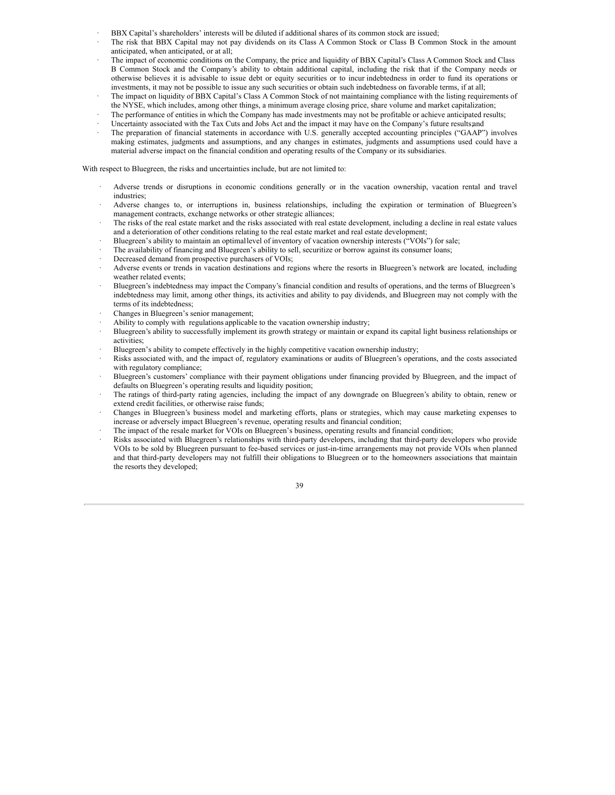- · BBX Capital's shareholders' interests will be diluted if additional shares of its common stock are issued;
- The risk that BBX Capital may not pay dividends on its Class A Common Stock or Class B Common Stock in the amount anticipated, when anticipated, or at all;
- The impact of economic conditions on the Company, the price and liquidity of BBX Capital's Class A Common Stock and Class B Common Stock and the Company's ability to obtain additional capital, including the risk that if the Company needs or otherwise believes it is advisable to issue debt or equity securities or to incur indebtedness in order to fund its operations or investments, it may not be possible to issue any such securities or obtain such indebtedness on favorable terms, if at all;
- The impact on liquidity of BBX Capital's Class A Common Stock of not maintaining compliance with the listing requirements of the NYSE, which includes, among other things, a minimum average closing price, share volume and market capitalization;
- The performance of entities in which the Company has made investments may not be profitable or achieve anticipated results;
- Uncertainty associated with the Tax Cuts and Jobs Act and the impact it may have on the Company's future results;and
- The preparation of financial statements in accordance with U.S. generally accepted accounting principles ("GAAP") involves making estimates, judgments and assumptions, and any changes in estimates, judgments and assumptions used could have a material adverse impact on the financial condition and operating results of the Company or its subsidiaries.

With respect to Bluegreen, the risks and uncertainties include, but are not limited to:

- Adverse trends or disruptions in economic conditions generally or in the vacation ownership, vacation rental and travel industries;
- · Adverse changes to, or interruptions in, business relationships, including the expiration or termination of Bluegreen's management contracts, exchange networks or other strategic alliances;
- The risks of the real estate market and the risks associated with real estate development, including a decline in real estate values and a deterioration of other conditions relating to the real estate market and real estate development;
- · Bluegreen's ability to maintain an optimallevel of inventory of vacation ownership interests ("VOIs") for sale;
- The availability of financing and Bluegreen's ability to sell, securitize or borrow against its consumer loans;
- Decreased demand from prospective purchasers of VOIs;
- · Adverse events or trends in vacation destinations and regions where the resorts in Bluegreen's network are located, including weather related events;
- · Bluegreen's indebtedness may impact the Company's financial condition and results of operations, and the terms of Bluegreen's indebtedness may limit, among other things, its activities and ability to pay dividends, and Bluegreen may not comply with the terms of its indebtedness;
- Changes in Bluegreen's senior management;
- Ability to comply with regulations applicable to the vacation ownership industry;
- · Bluegreen's ability to successfully implement its growth strategy or maintain or expand its capital light business relationships or activities;
- Bluegreen's ability to compete effectively in the highly competitive vacation ownership industry;
- · Risks associated with, and the impact of, regulatory examinations or audits of Bluegreen's operations, and the costs associated with regulatory compliance;
- Bluegreen's customers' compliance with their payment obligations under financing provided by Bluegreen, and the impact of defaults on Bluegreen's operating results and liquidity position;
- The ratings of third-party rating agencies, including the impact of any downgrade on Bluegreen's ability to obtain, renew or extend credit facilities, or otherwise raise funds;
- · Changes in Bluegreen's business model and marketing efforts, plans or strategies, which may cause marketing expenses to increase or adversely impact Bluegreen's revenue, operating results and financial condition;
- The impact of the resale market for VOIs on Bluegreen's business, operating results and financial condition;
- Risks associated with Bluegreen's relationships with third-party developers, including that third-party developers who provide VOIs to be sold by Bluegreen pursuant to fee-based services or just-in-time arrangements may not provide VOIs when planned and that third-party developers may not fulfill their obligations to Bluegreen or to the homeowners associations that maintain the resorts they developed;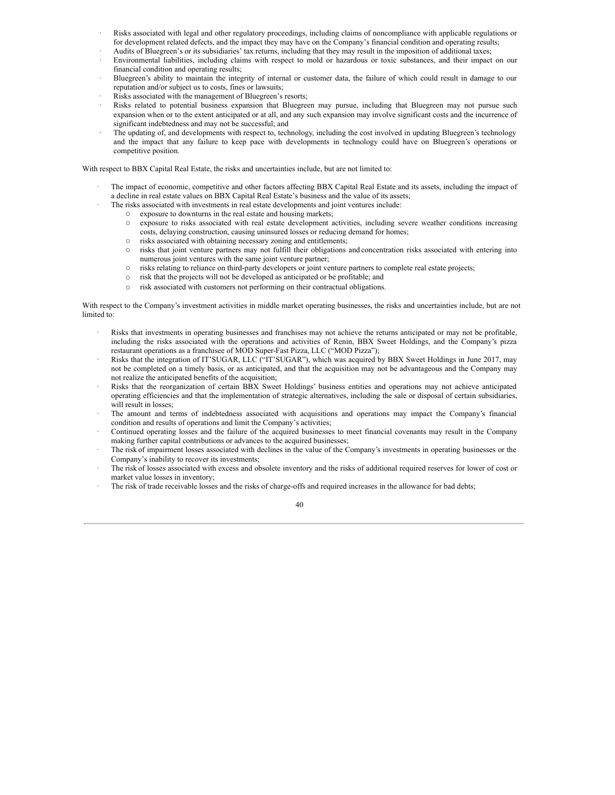- · Risks associated with legal and other regulatory proceedings, including claims of noncompliance with applicable regulations or for development related defects, and the impact they may have on the Company's financial condition and operating results;
- · Audits of Bluegreen's or its subsidiaries' tax returns, including that they may result in the imposition of additional taxes;
- Environmental liabilities, including claims with respect to mold or hazardous or toxic substances, and their impact on our financial condition and operating results;
- · Bluegreen's ability to maintain the integrity of internal or customer data, the failure of which could result in damage to our reputation and/or subject us to costs, fines or lawsuits;
- Risks associated with the management of Bluegreen's resorts;
- Risks related to potential business expansion that Bluegreen may pursue, including that Bluegreen may not pursue such expansion when or to the extent anticipated or at all, and any such expansion may involve significant costs and the incurrence of significant indebtedness and may not be successful; and
- The updating of, and developments with respect to, technology, including the cost involved in updating Bluegreen's technology and the impact that any failure to keep pace with developments in technology could have on Bluegreen's operations or competitive position.

With respect to BBX Capital Real Estate, the risks and uncertainties include, but are not limited to:

- The impact of economic, competitive and other factors affecting BBX Capital Real Estate and its assets, including the impact of a decline in real estate values on BBX Capital Real Estate's business and the value of its assets;
- The risks associated with investments in real estate developments and joint ventures include:
	- o exposure to downturns in the real estate and housing markets;
	- o exposure to risks associated with real estate development activities, including severe weather conditions increasing costs, delaying construction, causing uninsured losses or reducing demand for homes;
	- o risks associated with obtaining necessary zoning and entitlements;
	- o risks that joint venture partners may not fulfill their obligations and concentration risks associated with entering into numerous joint ventures with the same joint venture partner;
	- o risks relating to reliance on third-party developers or joint venture partners to complete real estate projects;
	- o risk that the projects will not be developed as anticipated or be profitable; and
	- o risk associated with customers not performing on their contractual obligations.

With respect to the Company's investment activities in middle market operating businesses, the risks and uncertainties include, but are not limited to:

- Risks that investments in operating businesses and franchises may not achieve the returns anticipated or may not be profitable, including the risks associated with the operations and activities of Renin, BBX Sweet Holdings, and the Company's pizza restaurant operations as a franchisee of MOD Super-Fast Pizza, LLC ("MOD Pizza");
- · Risks that the integration of IT'SUGAR, LLC ("IT'SUGAR"), which was acquired by BBX Sweet Holdings in June 2017, may not be completed on a timely basis, or as anticipated, and that the acquisition may not be advantageous and the Company may not realize the anticipated benefits of the acquisition;
- Risks that the reorganization of certain BBX Sweet Holdings' business entities and operations may not achieve anticipated operating efficiencies and that the implementation of strategic alternatives, including the sale or disposal of certain subsidiaries, will result in losses;
- The amount and terms of indebtedness associated with acquisitions and operations may impact the Company's financial condition and results of operations and limit the Company's activities;
- Continued operating losses and the failure of the acquired businesses to meet financial covenants may result in the Company making further capital contributions or advances to the acquired businesses;
- The risk of impairment losses associated with declines in the value of the Company's investments in operating businesses or the Company's inability to recover its investments;
- The risk of losses associated with excess and obsolete inventory and the risks of additional required reserves for lower of cost or market value losses in inventory;
- The risk of trade receivable losses and the risks of charge-offs and required increases in the allowance for bad debts;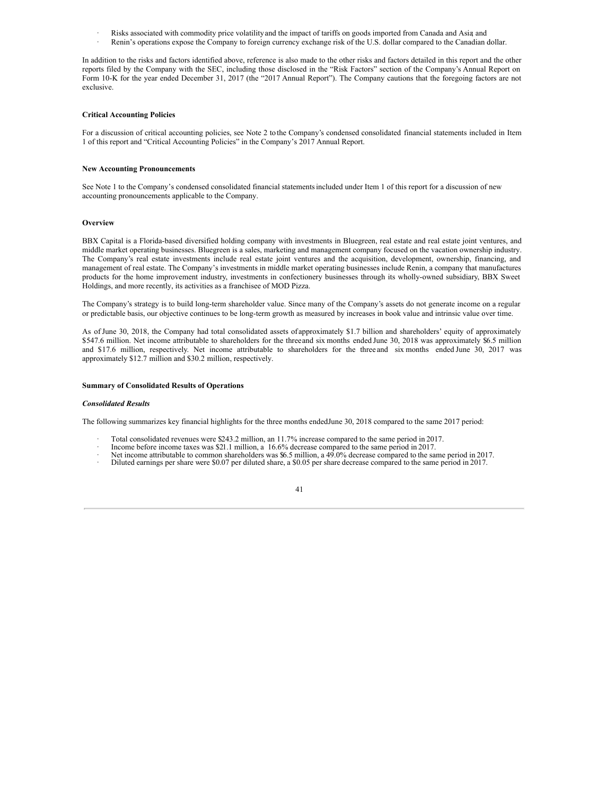- Risks associated with commodity price volatility and the impact of tariffs on goods imported from Canada and Asia and
- Renin's operations expose the Company to foreign currency exchange risk of the U.S. dollar compared to the Canadian dollar.

In addition to the risks and factors identified above, reference is also made to the other risks and factors detailed in this report and the other reports filed by the Company with the SEC, including those disclosed in the "Risk Factors" section of the Company's Annual Report on Form 10-K for the year ended December 31, 2017 (the "2017 Annual Report"). The Company cautions that the foregoing factors are not exclusive.

### **Critical Accounting Policies**

For a discussion of critical accounting policies, see Note 2 to the Company's condensed consolidated financial statements included in Item 1 of this report and "Critical Accounting Policies" in the Company's 2017 Annual Report.

#### **New Accounting Pronouncements**

See Note 1 to the Company's condensed consolidated financial statementsincluded under Item 1 of this report for a discussion of new accounting pronouncements applicable to the Company.

## **Overview**

BBX Capital is a Florida-based diversified holding company with investments in Bluegreen, real estate and real estate joint ventures, and middle market operating businesses. Bluegreen is a sales, marketing and management company focused on the vacation ownership industry. The Company's real estate investments include real estate joint ventures and the acquisition, development, ownership, financing, and management of real estate. The Company's investments in middle market operating businesses include Renin, a company that manufactures products for the home improvement industry, investments in confectionery businesses through its wholly-owned subsidiary, BBX Sweet Holdings, and more recently, its activities as a franchisee of MOD Pizza.

The Company's strategy is to build long-term shareholder value. Since many of the Company's assets do not generate income on a regular or predictable basis, our objective continues to be long-term growth as measured by increases in book value and intrinsic value over time.

As of June 30, 2018, the Company had total consolidated assets of approximately \$1.7 billion and shareholders' equity of approximately \$547.6 million. Net income attributable to shareholders for the threeand six months ended June 30, 2018 was approximately \$6.5 million and \$17.6 million, respectively. Net income attributable to shareholders for the three and six months ended June 30, 2017 was approximately \$12.7 million and \$30.2 million, respectively.

#### **Summary of Consolidated Results of Operations**

#### *Consolidated Results*

The following summarizes key financial highlights for the three months endedJune 30, 2018 compared to the same 2017 period:

- · Total consolidated revenues were \$243.2 million, an 11.7% increase compared to the same period in 2017.
- Income before income taxes was \$21.1 million, a 16.6% decrease compared to the same period in 2017.
- · Net income attributable to common shareholders was \$6.5 million, a 49.0% decrease compared to the same period in 2017.
- · Diluted earnings per share were \$0.07 per diluted share, a \$0.05 per share decrease compared to the same period in 2017.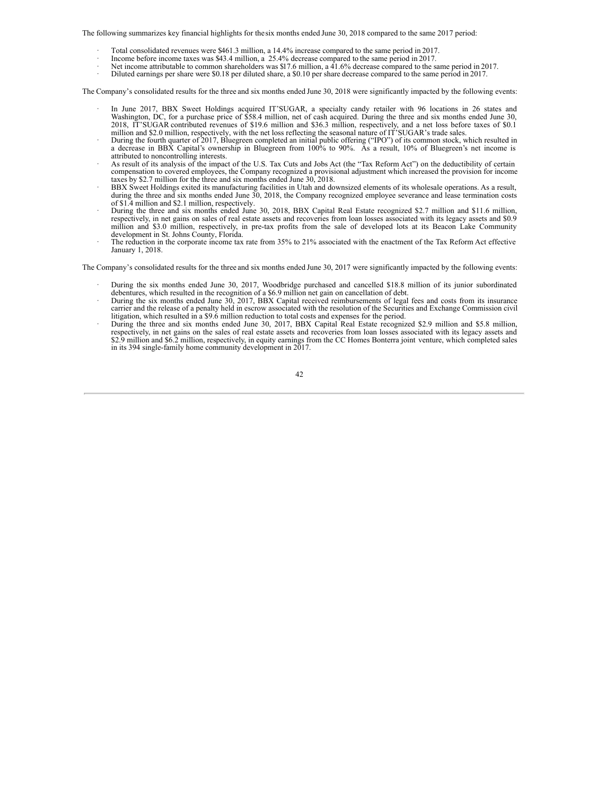The following summarizes key financial highlights for thesix months ended June 30, 2018 compared to the same 2017 period:

- 
- · Total consolidated revenues were \$461.3 million, a 14.4% increase compared to the same period in 2017. · Income before income taxes was \$43.4 million, a 25.4% decrease compared to the same period in 2017.
- · Net income attributable to common shareholders was \$17.6 million, a 41.6% decrease compared to the same period in 2017.
- · Diluted earnings per share were \$0.18 per diluted share, a \$0.10 per share decrease compared to the same period in 2017.

The Company's consolidated results for the three and six months ended June 30, 2018 were significantly impacted by the following events:

- In June 2017, BBX Sweet Holdings acquired IT'SUGAR, a specialty candy retailer with 96 locations in 26 states and Washington, DC, for a purchase price of \$58.4 million, net of cash acquired. During the three and six months ended June 30, 2018, IT'SUGAR contributed revenues of \$19.6 million and \$36.3 million, respectively, and a net loss before taxes of \$0.1
- million and \$2.0 million, respectively, with the net loss reflecting the seasonal nature of IT'SUGAR's trade sales.<br>During the fourth quarter of 2017, Bluegreen completed an initial public offering ("IPO") of its common st attributed to noncontrolling interests.
- As result of its analysis of the impact of the U.S. Tax Cuts and Jobs Act (the "Tax Reform Act") on the deductibility of certain compensation to covered employees, the Company recognized a provisional adjustment which increased the provision for income taxes by \$2.7 million for the three and six months ended June 30, 2018.
- BBX Sweet Holdings exited its manufacturing facilities in Utah and downsized elements of its wholesale operations. As a result, during the three and six months ended June 30, 2018, the Company recognized employee severance and lease termination costs of \$1.4 million and \$2.1 million, respectively.
- · During the three and six months ended June 30, 2018, BBX Capital Real Estate recognized \$2.7 million and \$11.6 million, respectively, in net gains on sales of real estate assets and recoveries from loan losses associated with its legacy assets and \$0.9 million and \$3.0 million, respectively, in pre-tax profits from the sale of developed lots at its Beacon Lake Community development in St. Johns County, Florida.
- The reduction in the corporate income tax rate from 35% to 21% associated with the enactment of the Tax Reform Act effective January 1, 2018.

The Company's consolidated results for the three and six months ended June 30, 2017 were significantly impacted by the following events:

- · During the six months ended June 30, 2017, Woodbridge purchased and cancelled \$18.8 million of its junior subordinated debentures, which resulted in the recognition of a \$6.9 million net gain on cancellation of debt.
- During the six months ended June 30, 2017, BBX Capital received reimbursements of legal fees and costs from its insurance carrier and the release of a penalty held in escrow associated with the resolution of the Securities and Exchange Commission civil litigation, which resulted in a \$9.6 million reduction to total costs and expenses for the period.
- During the three and six months ended June 30, 2017, BBX Capital Real Estate recognized \$2.9 million and \$5.8 million, respectively, in net gains on the sales of real estate assets and recoveries from loan losses associate \$2.9 million and \$6.2 million, respectively, in equity earnings from the CC Homes Bonterra joint venture, which completed sales in its 394 single-family home community development in 2017.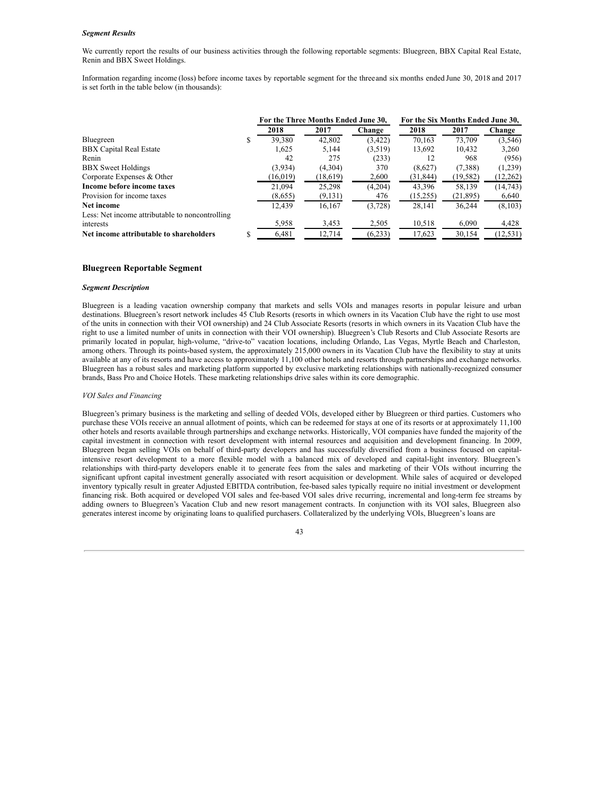#### *Segment Results*

We currently report the results of our business activities through the following reportable segments: Bluegreen, BBX Capital Real Estate, Renin and BBX Sweet Holdings.

Information regarding income (loss) before income taxes by reportable segment for the threeand six months ended June 30, 2018 and 2017 is set forth in the table below (in thousands):

|                                                 |    |           | For the Three Months Ended June 30. |          | For the Six Months Ended June 30, |           |           |  |
|-------------------------------------------------|----|-----------|-------------------------------------|----------|-----------------------------------|-----------|-----------|--|
|                                                 |    | 2018      | 2017                                | Change   | 2018                              | 2017      | Change    |  |
| Bluegreen                                       | \$ | 39,380    | 42,802                              | (3, 422) | 70.163                            | 73.709    | (3, 546)  |  |
| <b>BBX Capital Real Estate</b>                  |    | 1,625     | 5,144                               | (3,519)  | 13,692                            | 10.432    | 3,260     |  |
| Renin                                           |    | 42        | 275                                 | (233)    | 12                                | 968       | (956)     |  |
| <b>BBX</b> Sweet Holdings                       |    | (3,934)   | (4,304)                             | 370      | (8,627)                           | (7,388)   | (1,239)   |  |
| Corporate Expenses & Other                      |    | (16, 019) | (18,619)                            | 2,600    | (31, 844)                         | (19, 582) | (12, 262) |  |
| Income before income taxes                      |    | 21,094    | 25,298                              | (4,204)  | 43,396                            | 58,139    | (14,743)  |  |
| Provision for income taxes                      |    | (8,655)   | (9,131)                             | 476      | (15,255)                          | (21,895)  | 6,640     |  |
| Net income                                      |    | 12.439    | 16,167                              | (3, 728) | 28.141                            | 36.244    | (8,103)   |  |
| Less: Net income attributable to noncontrolling |    |           |                                     |          |                                   |           |           |  |
| interests                                       |    | 5,958     | 3,453                               | 2,505    | 10,518                            | 6,090     | 4,428     |  |
| Net income attributable to shareholders         | S  | 6,481     | 12,714                              | (6,233)  | 17,623                            | 30,154    | (12, 531) |  |

### **Bluegreen Reportable Segment**

## *Segment Description*

Bluegreen is a leading vacation ownership company that markets and sells VOIs and manages resorts in popular leisure and urban destinations. Bluegreen's resort network includes 45 Club Resorts (resorts in which owners in its Vacation Club have the right to use most of the units in connection with their VOI ownership) and 24 Club Associate Resorts (resorts in which owners in its Vacation Club have the right to use a limited number of units in connection with their VOI ownership). Bluegreen's Club Resorts and Club Associate Resorts are primarily located in popular, high-volume, "drive-to" vacation locations, including Orlando, Las Vegas, Myrtle Beach and Charleston, among others. Through its points-based system, the approximately 215,000 owners in its Vacation Club have the flexibility to stay at units available at any of its resorts and have access to approximately 11,100 other hotels and resorts through partnerships and exchange networks. Bluegreen has a robust sales and marketing platform supported by exclusive marketing relationships with nationally-recognized consumer brands, Bass Pro and Choice Hotels. These marketing relationships drive sales within its core demographic.

## *VOI Sales and Financing*

Bluegreen's primary business is the marketing and selling of deeded VOIs, developed either by Bluegreen or third parties. Customers who purchase these VOIs receive an annual allotment of points, which can be redeemed for stays at one of its resorts or at approximately 11,100 other hotels and resorts available through partnerships and exchange networks. Historically, VOI companies have funded the majority of the capital investment in connection with resort development with internal resources and acquisition and development financing. In 2009, Bluegreen began selling VOIs on behalf of third-party developers and has successfully diversified from a business focused on capitalintensive resort development to a more flexible model with a balanced mix of developed and capital-light inventory. Bluegreen's relationships with third-party developers enable it to generate fees from the sales and marketing of their VOIs without incurring the significant upfront capital investment generally associated with resort acquisition or development. While sales of acquired or developed inventory typically result in greater Adjusted EBITDA contribution, fee-based sales typically require no initial investment or development financing risk. Both acquired or developed VOI sales and fee-based VOI sales drive recurring, incremental and long-term fee streams by adding owners to Bluegreen's Vacation Club and new resort management contracts. In conjunction with its VOI sales, Bluegreen also generates interest income by originating loans to qualified purchasers. Collateralized by the underlying VOIs, Bluegreen's loans are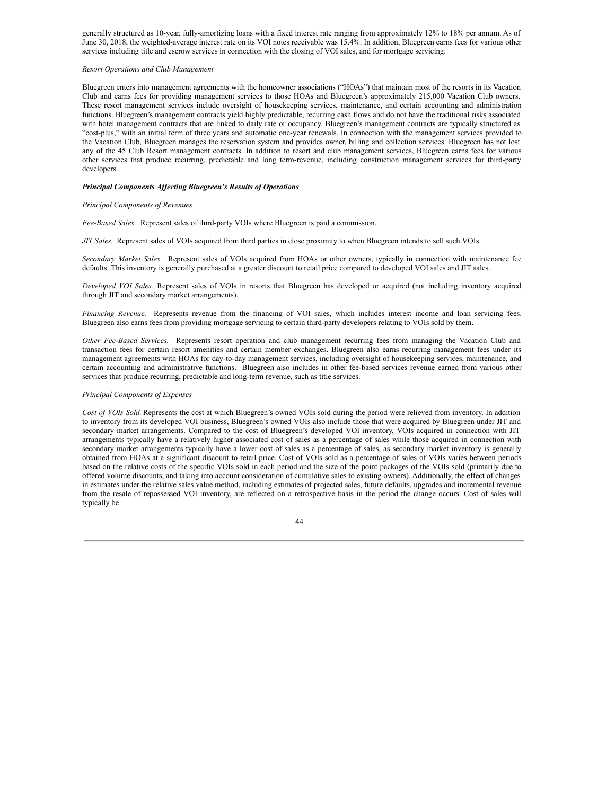generally structured as 10-year, fully-amortizing loans with a fixed interest rate ranging from approximately 12% to 18% per annum. As of June 30, 2018, the weighted-average interest rate on its VOI notes receivable was 15.4%. In addition, Bluegreen earns fees for various other services including title and escrow services in connection with the closing of VOI sales, and for mortgage servicing.

#### *Resort Operations and Club Management*

Bluegreen enters into management agreements with the homeowner associations ("HOAs") that maintain most of the resorts in its Vacation Club and earns fees for providing management services to those HOAs and Bluegreen's approximately 215,000 Vacation Club owners. These resort management services include oversight of housekeeping services, maintenance, and certain accounting and administration functions. Bluegreen's management contracts yield highly predictable, recurring cash flows and do not have the traditional risks associated with hotel management contracts that are linked to daily rate or occupancy. Bluegreen's management contracts are typically structured as "cost-plus," with an initial term of three years and automatic one-year renewals. In connection with the management services provided to the Vacation Club, Bluegreen manages the reservation system and provides owner, billing and collection services. Bluegreen has not lost any of the 45 Club Resort management contracts. In addition to resort and club management services, Bluegreen earns fees for various other services that produce recurring, predictable and long term-revenue, including construction management services for third-party developers.

#### *Principal Components Af ecting Bluegreen's Results of Operations*

#### *Principal Components of Revenues*

*Fee-Based Sales.* Represent sales of third-party VOIs where Bluegreen is paid a commission.

*JIT Sales.* Represent sales of VOIs acquired from third parties in close proximity to when Bluegreen intends to sell such VOIs.

*Secondary Market Sales.* Represent sales of VOIs acquired from HOAs or other owners, typically in connection with maintenance fee defaults. This inventory is generally purchased at a greater discount to retail price compared to developed VOI sales and JIT sales.

*Developed VOI Sales.* Represent sales of VOIs in resorts that Bluegreen has developed or acquired (not including inventory acquired through JIT and secondary market arrangements).

*Financing Revenue.* Represents revenue from the financing of VOI sales, which includes interest income and loan servicing fees. Bluegreen also earns fees from providing mortgage servicing to certain third-party developers relating to VOIs sold by them.

*Other Fee-Based Services.* Represents resort operation and club management recurring fees from managing the Vacation Club and transaction fees for certain resort amenities and certain member exchanges. Bluegreen also earns recurring management fees under its management agreements with HOAs for day-to-day management services, including oversight of housekeeping services, maintenance, and certain accounting and administrative functions. Bluegreen also includes in other fee-based services revenue earned from various other services that produce recurring, predictable and long-term revenue, such as title services.

#### *Principal Components of Expenses*

*Cost of VOIs Sold.* Represents the cost at which Bluegreen's owned VOIs sold during the period were relieved from inventory. In addition to inventory from its developed VOI business, Bluegreen's owned VOIs also include those that were acquired by Bluegreen under JIT and secondary market arrangements. Compared to the cost of Bluegreen's developed VOI inventory, VOIs acquired in connection with JIT arrangements typically have a relatively higher associated cost of sales as a percentage of sales while those acquired in connection with secondary market arrangements typically have a lower cost of sales as a percentage of sales, as secondary market inventory is generally obtained from HOAs at a significant discount to retail price. Cost of VOIs sold as a percentage of sales of VOIs varies between periods based on the relative costs of the specific VOIs sold in each period and the size of the point packages of the VOIs sold (primarily due to offered volume discounts, and taking into account consideration of cumulative sales to existing owners). Additionally, the effect of changes in estimates under the relative sales value method, including estimates of projected sales, future defaults, upgrades and incremental revenue from the resale of repossessed VOI inventory, are reflected on a retrospective basis in the period the change occurs. Cost of sales will typically be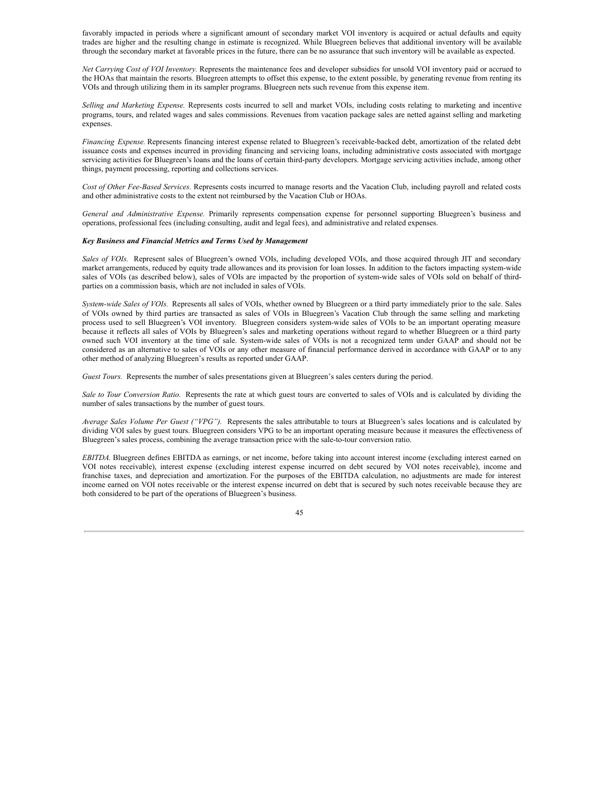favorably impacted in periods where a significant amount of secondary market VOI inventory is acquired or actual defaults and equity trades are higher and the resulting change in estimate is recognized. While Bluegreen believes that additional inventory will be available through the secondary market at favorable prices in the future, there can be no assurance that such inventory will be available as expected.

*Net Carrying Cost of VOI Inventory.* Represents the maintenance fees and developer subsidies for unsold VOI inventory paid or accrued to the HOAs that maintain the resorts. Bluegreen attempts to offset this expense, to the extent possible, by generating revenue from renting its VOIs and through utilizing them in its sampler programs. Bluegreen nets such revenue from this expense item.

*Selling and Marketing Expense.* Represents costs incurred to sell and market VOIs, including costs relating to marketing and incentive programs, tours, and related wages and sales commissions. Revenues from vacation package sales are netted against selling and marketing expenses.

*Financing Expense.* Represents financing interest expense related to Bluegreen's receivable-backed debt, amortization of the related debt issuance costs and expenses incurred in providing financing and servicing loans, including administrative costs associated with mortgage servicing activities for Bluegreen's loans and the loans of certain third-party developers. Mortgage servicing activities include, among other things, payment processing, reporting and collections services.

*Cost of Other Fee-Based Services.* Represents costs incurred to manage resorts and the Vacation Club, including payroll and related costs and other administrative costs to the extent not reimbursed by the Vacation Club or HOAs.

*General and Administrative Expense.* Primarily represents compensation expense for personnel supporting Bluegreen's business and operations, professional fees (including consulting, audit and legal fees), and administrative and related expenses.

## *Key Business and Financial Metrics and Terms Used by Management*

*Sales of VOIs.* Represent sales of Bluegreen's owned VOIs, including developed VOIs, and those acquired through JIT and secondary market arrangements, reduced by equity trade allowances and its provision for loan losses. In addition to the factors impacting system-wide sales of VOIs (as described below), sales of VOIs are impacted by the proportion of system-wide sales of VOIs sold on behalf of thirdparties on a commission basis, which are not included in sales of VOIs.

*System-wide Sales of VOIs.* Represents all sales of VOIs, whether owned by Bluegreen or a third party immediately prior to the sale. Sales of VOIs owned by third parties are transacted as sales of VOIs in Bluegreen's Vacation Club through the same selling and marketing process used to sell Bluegreen's VOI inventory. Bluegreen considers system-wide sales of VOIs to be an important operating measure because it reflects all sales of VOIs by Bluegreen's sales and marketing operations without regard to whether Bluegreen or a third party owned such VOI inventory at the time of sale. System-wide sales of VOIs is not a recognized term under GAAP and should not be considered as an alternative to sales of VOIs or any other measure of financial performance derived in accordance with GAAP or to any other method of analyzing Bluegreen's results as reported under GAAP.

*Guest Tours.* Represents the number of sales presentations given at Bluegreen's sales centers during the period.

*Sale to Tour Conversion Ratio.* Represents the rate at which guest tours are converted to sales of VOIs and is calculated by dividing the number of sales transactions by the number of guest tours.

*Average Sales Volume Per Guest ("VPG").* Represents the sales attributable to tours at Bluegreen's sales locations and is calculated by dividing VOI sales by guest tours. Bluegreen considers VPG to be an important operating measure because it measures the effectiveness of Bluegreen's sales process, combining the average transaction price with the sale-to-tour conversion ratio.

*EBITDA.* Bluegreen defines EBITDA as earnings, or net income, before taking into account interest income (excluding interest earned on VOI notes receivable), interest expense (excluding interest expense incurred on debt secured by VOI notes receivable), income and franchise taxes, and depreciation and amortization. For the purposes of the EBITDA calculation, no adjustments are made for interest income earned on VOI notes receivable or the interest expense incurred on debt that is secured by such notes receivable because they are both considered to be part of the operations of Bluegreen's business.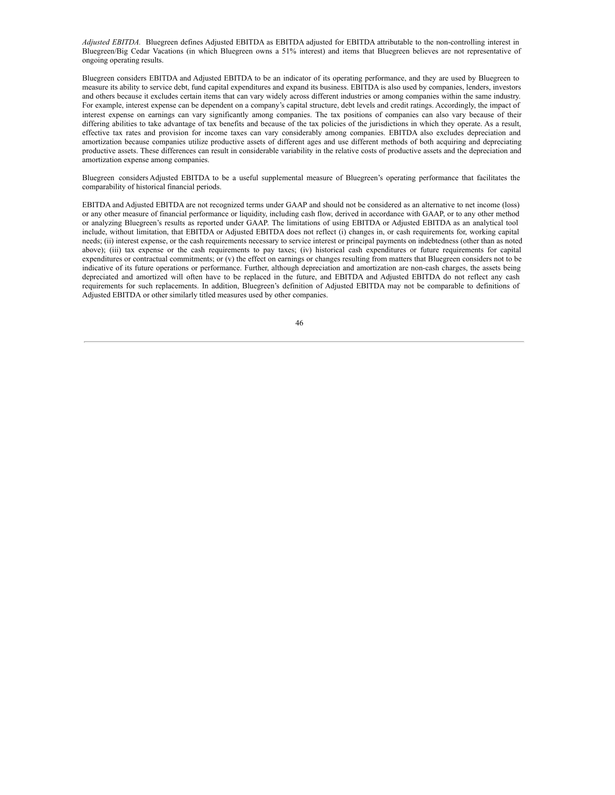*Adjusted EBITDA.* Bluegreen defines Adjusted EBITDA as EBITDA adjusted for EBITDA attributable to the non-controlling interest in Bluegreen/Big Cedar Vacations (in which Bluegreen owns a 51% interest) and items that Bluegreen believes are not representative of ongoing operating results.

Bluegreen considers EBITDA and Adjusted EBITDA to be an indicator of its operating performance, and they are used by Bluegreen to measure its ability to service debt, fund capital expenditures and expand its business. EBITDA is also used by companies, lenders, investors and others because it excludes certain items that can vary widely across different industries or among companies within the same industry. For example, interest expense can be dependent on a company's capital structure, debt levels and credit ratings. Accordingly, the impact of interest expense on earnings can vary significantly among companies. The tax positions of companies can also vary because of their differing abilities to take advantage of tax benefits and because of the tax policies of the jurisdictions in which they operate. As a result, effective tax rates and provision for income taxes can vary considerably among companies. EBITDA also excludes depreciation and amortization because companies utilize productive assets of different ages and use different methods of both acquiring and depreciating productive assets. These differences can result in considerable variability in the relative costs of productive assets and the depreciation and amortization expense among companies.

Bluegreen considers Adjusted EBITDA to be a useful supplemental measure of Bluegreen's operating performance that facilitates the comparability of historical financial periods.

EBITDA and Adjusted EBITDA are not recognized terms under GAAP and should not be considered as an alternative to net income (loss) or any other measure of financial performance or liquidity, including cash flow, derived in accordance with GAAP, or to any other method or analyzing Bluegreen's results as reported under GAAP. The limitations of using EBITDA or Adjusted EBITDA as an analytical tool include, without limitation, that EBITDA or Adjusted EBITDA does not reflect (i) changes in, or cash requirements for, working capital needs; (ii) interest expense, or the cash requirements necessary to service interest or principal payments on indebtedness (other than as noted above); (iii) tax expense or the cash requirements to pay taxes; (iv) historical cash expenditures or future requirements for capital expenditures or contractual commitments; or (v) the effect on earnings or changes resulting from matters that Bluegreen considers not to be indicative of its future operations or performance. Further, although depreciation and amortization are non-cash charges, the assets being depreciated and amortized will often have to be replaced in the future, and EBITDA and Adjusted EBITDA do not reflect any cash requirements for such replacements. In addition, Bluegreen's definition of Adjusted EBITDA may not be comparable to definitions of Adjusted EBITDA or other similarly titled measures used by other companies.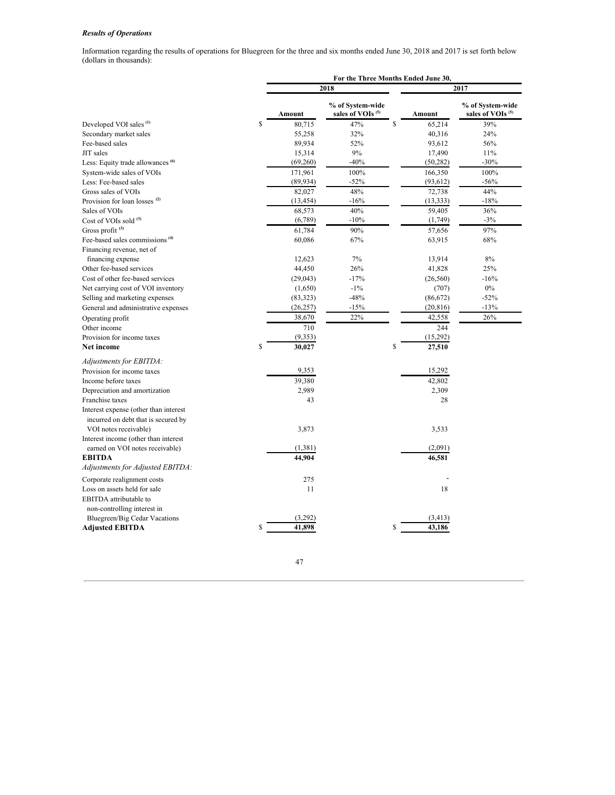# *Results of Operations*

Information regarding the results of operations for Bluegreen for the three and six months ended June 30, 2018 and 2017 is set forth below (dollars in thousands):

|                                                                              | For the Three Months Ended June 30, |                                                  |    |           |                                                  |  |  |
|------------------------------------------------------------------------------|-------------------------------------|--------------------------------------------------|----|-----------|--------------------------------------------------|--|--|
|                                                                              |                                     | 2018                                             |    |           | 2017                                             |  |  |
|                                                                              | Amount                              | % of System-wide<br>sales of VOIs <sup>(5)</sup> |    | Amount    | % of System-wide<br>sales of VOIs <sup>(5)</sup> |  |  |
| Developed VOI sales <sup>(1)</sup>                                           | \$<br>80,715                        | 47%                                              | \$ | 65,214    | 39%                                              |  |  |
| Secondary market sales                                                       | 55,258                              | 32%                                              |    | 40,316    | 24%                                              |  |  |
| Fee-based sales                                                              | 89,934                              | 52%                                              |    | 93,612    | 56%                                              |  |  |
| <b>JIT</b> sales                                                             | 15,314                              | 9%                                               |    | 17,490    | 11%                                              |  |  |
| Less: Equity trade allowances <sup>(6)</sup>                                 | (69,260)                            | $-40%$                                           |    | (50, 282) | $-30%$                                           |  |  |
| System-wide sales of VOIs                                                    | 171,961                             | 100%                                             |    | 166,350   | 100%                                             |  |  |
| Less: Fee-based sales                                                        | (89, 934)                           | $-52%$                                           |    | (93, 612) | $-56%$                                           |  |  |
| Gross sales of VOIs                                                          | 82,027                              | 48%                                              |    | 72,738    | 44%                                              |  |  |
| Provision for loan losses <sup>(2)</sup>                                     | (13, 454)                           | $-16%$                                           |    | (13, 333) | $-18%$                                           |  |  |
| Sales of VOIs                                                                | 68,573                              | 40%                                              |    | 59,405    | 36%                                              |  |  |
| Cost of VOIs sold $(3)$                                                      | (6,789)                             | $-10%$                                           |    | (1,749)   | $-3%$                                            |  |  |
| Gross profit <sup>(3)</sup>                                                  | 61,784                              | 90%                                              |    | 57,656    | 97%                                              |  |  |
| Fee-based sales commissions <sup>(4)</sup><br>Financing revenue, net of      | 60,086                              | 67%                                              |    | 63,915    | 68%                                              |  |  |
| financing expense                                                            | 12,623                              | 7%                                               |    | 13,914    | 8%                                               |  |  |
| Other fee-based services                                                     | 44,450                              | 26%                                              |    | 41,828    | 25%                                              |  |  |
| Cost of other fee-based services                                             | (29, 043)                           | $-17%$                                           |    | (26, 560) | $-16%$                                           |  |  |
| Net carrying cost of VOI inventory                                           | (1,650)                             | $-1\%$                                           |    | (707)     | 0%                                               |  |  |
| Selling and marketing expenses                                               | (83, 323)                           | $-48%$                                           |    | (86, 672) | $-52%$                                           |  |  |
| General and administrative expenses                                          | (26, 257)                           | $-15%$                                           |    | (20, 816) | $-13%$                                           |  |  |
| Operating profit                                                             | 38,670                              | 22%                                              |    | 42,558    | 26%                                              |  |  |
| Other income                                                                 | 710                                 |                                                  |    | 244       |                                                  |  |  |
| Provision for income taxes                                                   | (9, 353)                            |                                                  |    | (15,292)  |                                                  |  |  |
| Net income                                                                   | \$<br>30,027                        |                                                  | \$ | 27,510    |                                                  |  |  |
| Adjustments for EBITDA:                                                      |                                     |                                                  |    |           |                                                  |  |  |
| Provision for income taxes                                                   | 9,353                               |                                                  |    | 15,292    |                                                  |  |  |
| Income before taxes                                                          | 39,380                              |                                                  |    | 42.802    |                                                  |  |  |
| Depreciation and amortization                                                | 2,989                               |                                                  |    | 2,309     |                                                  |  |  |
| Franchise taxes                                                              | 43                                  |                                                  |    | 28        |                                                  |  |  |
| Interest expense (other than interest<br>incurred on debt that is secured by |                                     |                                                  |    |           |                                                  |  |  |
| VOI notes receivable)                                                        | 3,873                               |                                                  |    | 3,533     |                                                  |  |  |
| Interest income (other than interest                                         |                                     |                                                  |    |           |                                                  |  |  |
| earned on VOI notes receivable)                                              | (1,381)                             |                                                  |    | (2,091)   |                                                  |  |  |
| <b>EBITDA</b><br>Adjustments for Adjusted EBITDA:                            | 44,904                              |                                                  |    | 46,581    |                                                  |  |  |
|                                                                              |                                     |                                                  |    |           |                                                  |  |  |
| Corporate realignment costs                                                  | 275                                 |                                                  |    |           |                                                  |  |  |
| Loss on assets held for sale<br>EBITDA attributable to                       | 11                                  |                                                  |    | 18        |                                                  |  |  |
| non-controlling interest in                                                  |                                     |                                                  |    |           |                                                  |  |  |
| Bluegreen/Big Cedar Vacations                                                | (3,292)                             |                                                  |    | (3, 413)  |                                                  |  |  |
| <b>Adjusted EBITDA</b>                                                       | \$<br>41,898                        |                                                  |    | 43,186    |                                                  |  |  |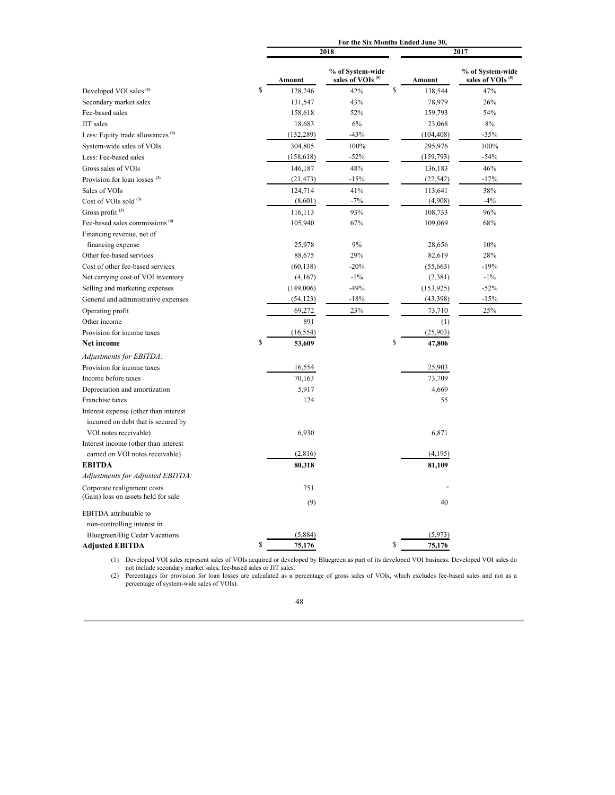|                                             |               |                                                  | For the Six Months Ended June 30, |                                                  |  |  |
|---------------------------------------------|---------------|--------------------------------------------------|-----------------------------------|--------------------------------------------------|--|--|
|                                             |               | 2018                                             | 2017                              |                                                  |  |  |
|                                             | Amount        | % of System-wide<br>sales of VOIs <sup>(5)</sup> | Amount                            | % of System-wide<br>sales of VOIs <sup>(5)</sup> |  |  |
| Developed VOI sales <sup>(1)</sup>          | \$<br>128,246 | 42%                                              | \$<br>138,544                     | 47%                                              |  |  |
| Secondary market sales                      | 131,547       | 43%                                              | 78,979                            | 26%                                              |  |  |
| Fee-based sales                             | 158,618       | 52%                                              | 159,793                           | 54%                                              |  |  |
| JIT sales                                   | 18,683        | 6%                                               | 23,068                            | 8%                                               |  |  |
| Less: Equity trade allowances <sup>60</sup> | (132, 289)    | $-43%$                                           | (104, 408)                        | $-35%$                                           |  |  |
| System-wide sales of VOIs                   | 304,805       | 100%                                             | 295,976                           | 100%                                             |  |  |
| Less: Fee-based sales                       | (158, 618)    | $-52%$                                           | (159,793)                         | $-54%$                                           |  |  |
| Gross sales of VOIs                         | 146,187       | 48%                                              | 136,183                           | 46%                                              |  |  |
| Provision for loan losses <sup>(2)</sup>    | (21, 473)     | $-15%$                                           | (22, 542)                         | $-17%$                                           |  |  |
| Sales of VOIs                               | 124,714       | 41%                                              | 113,641                           | 38%                                              |  |  |
| Cost of VOIs sold (3)                       | (8,601)       | $-7\%$                                           | (4,908)                           | $-4%$                                            |  |  |
| Gross profit <sup>(3)</sup>                 | 116,113       | 93%                                              | 108,733                           | 96%                                              |  |  |
| Fee-based sales commissions <sup>(4)</sup>  | 105,940       | 67%                                              | 109,069                           | 68%                                              |  |  |
| Financing revenue, net of                   |               |                                                  |                                   |                                                  |  |  |
| financing expense                           | 25,978        | 9%                                               | 28,656                            | 10%                                              |  |  |
| Other fee-based services                    | 88,675        | 29%                                              | 82,619                            | 28%                                              |  |  |
| Cost of other fee-based services            | (60, 138)     | $-20%$                                           | (55,663)                          | $-19%$                                           |  |  |
| Net carrying cost of VOI inventory          | (4,167)       | $-1\%$                                           | (2,381)                           | $-1\%$                                           |  |  |
| Selling and marketing expenses              | (149,006)     | $-49%$                                           | (153, 925)                        | $-52%$                                           |  |  |
| General and administrative expenses         | (54, 123)     | $-18%$                                           | (43,398)                          | $-15%$                                           |  |  |
| Operating profit                            | 69,272        | 23%                                              | 73,710                            | 25%                                              |  |  |
| Other income                                | 891           |                                                  | (1)                               |                                                  |  |  |
| Provision for income taxes                  | (16, 554)     |                                                  | (25,903)                          |                                                  |  |  |
| Net income                                  | \$<br>53,609  |                                                  | \$<br>47,806                      |                                                  |  |  |
| Adjustments for EBITDA:                     |               |                                                  |                                   |                                                  |  |  |
| Provision for income taxes                  | 16,554        |                                                  | 25,903                            |                                                  |  |  |
| Income before taxes                         | 70,163        |                                                  | 73,709                            |                                                  |  |  |
| Depreciation and amortization               | 5,917         |                                                  | 4,669                             |                                                  |  |  |
| Franchise taxes                             | 124           |                                                  | 55                                |                                                  |  |  |
| Interest expense (other than interest       |               |                                                  |                                   |                                                  |  |  |
| incurred on debt that is secured by         |               |                                                  |                                   |                                                  |  |  |
| VOI notes receivable)                       | 6,930         |                                                  | 6,871                             |                                                  |  |  |
| Interest income (other than interest        |               |                                                  |                                   |                                                  |  |  |
| earned on VOI notes receivable)             | (2,816)       |                                                  | (4,195)                           |                                                  |  |  |
| <b>EBITDA</b>                               | 80,318        |                                                  | 81,109                            |                                                  |  |  |
| Adjustments for Adjusted EBITDA:            |               |                                                  |                                   |                                                  |  |  |
| Corporate realignment costs                 | 751           |                                                  |                                   |                                                  |  |  |
| (Gain) loss on assets held for sale         | (9)           |                                                  | 40                                |                                                  |  |  |
| EBITDA attributable to                      |               |                                                  |                                   |                                                  |  |  |
| non-controlling interest in                 |               |                                                  |                                   |                                                  |  |  |
| Bluegreen/Big Cedar Vacations               | (5,884)       |                                                  | (5,973)                           |                                                  |  |  |
| <b>Adjusted EBITDA</b>                      | \$<br>75,176  |                                                  | \$<br>75,176                      |                                                  |  |  |

(1) Developed VOI sales represent sales of VOIs acquired or developed by Bluegreen as part of its developed VOI business. Developed VOI sales do<br>not include secondary market sales, fee-based sales or JIT sales.<br>(2) Percent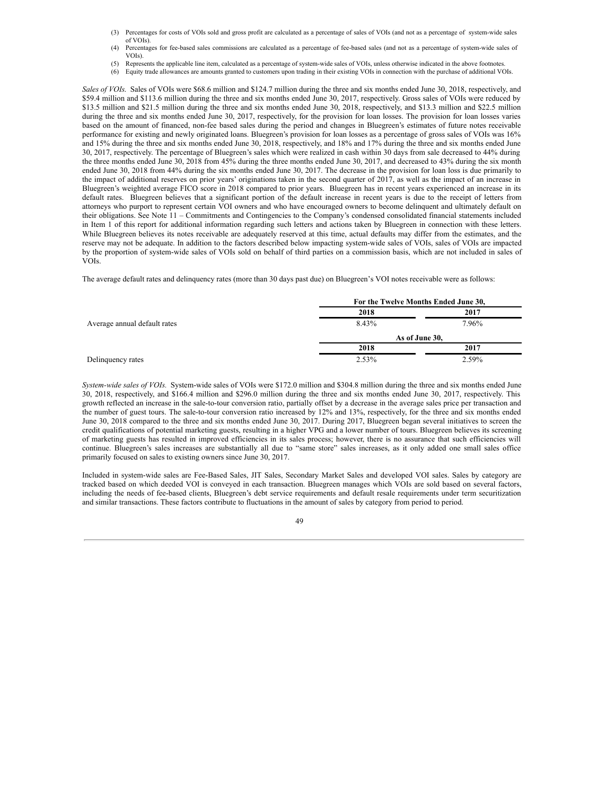- (3) Percentages for costs of VOIs sold and gross profit are calculated as a percentage of sales of VOIs (and not as a percentage of system-wide sales of VOIs).
- (4) Percentages for fee-based sales commissions are calculated as a percentage of fee-based sales (and not as a percentage of system-wide sales of VOIs).
- (5) Represents the applicable line item, calculated as a percentage of system-wide sales of VOIs, unless otherwise indicated in the above footnotes.
- (6) Equity trade allowances are amounts granted to customers upon trading in their existing VOIs in connection with the purchase of additional VOIs.

*Sales of VOIs*. Sales of VOIs were \$68.6 million and \$124.7 million during the three and six months ended June 30, 2018, respectively, and \$59.4 million and \$113.6 million during the three and six months ended June 30, 2017, respectively. Gross sales of VOIs were reduced by \$13.5 million and \$21.5 million during the three and six months ended June 30, 2018, respectively, and \$13.3 million and \$22.5 million during the three and six months ended June 30, 2017, respectively, for the provision for loan losses. The provision for loan losses varies based on the amount of financed, non-fee based sales during the period and changes in Bluegreen's estimates of future notes receivable performance for existing and newly originated loans. Bluegreen's provision for loan losses as a percentage of gross sales of VOIs was 16% and 15% during the three and six months ended June 30, 2018, respectively, and 18% and 17% during the three and six months ended June 30, 2017, respectively. The percentage of Bluegreen's sales which were realized in cash within 30 days from sale decreased to 44% during the three months ended June 30, 2018 from 45% during the three months ended June 30, 2017, and decreased to 43% during the six month ended June 30, 2018 from 44% during the six months ended June 30, 2017. The decrease in the provision for loan loss is due primarily to the impact of additional reserves on prior years' originations taken in the second quarter of 2017, as well as the impact of an increase in Bluegreen's weighted average FICO score in 2018 compared to prior years. Bluegreen has in recent years experienced an increase in its default rates. Bluegreen believes that a significant portion of the default increase in recent years is due to the receipt of letters from attorneys who purport to represent certain VOI owners and who have encouraged owners to become delinquent and ultimately default on their obligations. See Note 11 – Commitments and Contingencies to the Company's condensed consolidated financial statements included in Item 1 of this report for additional information regarding such letters and actions taken by Bluegreen in connection with these letters. While Bluegreen believes its notes receivable are adequately reserved at this time, actual defaults may differ from the estimates, and the reserve may not be adequate. In addition to the factors described below impacting system-wide sales of VOIs, sales of VOIs are impacted by the proportion of system-wide sales of VOIs sold on behalf of third parties on a commission basis, which are not included in sales of VOIs.

The average default rates and delinquency rates (more than 30 days past due) on Bluegreen's VOI notes receivable were as follows:

|                              | For the Twelve Months Ended June 30, |       |  |  |  |
|------------------------------|--------------------------------------|-------|--|--|--|
|                              | 2018                                 | 2017  |  |  |  |
| Average annual default rates | 8.43%                                | 7.96% |  |  |  |
|                              | As of June 30,                       |       |  |  |  |
|                              | 2018                                 | 2017  |  |  |  |
| Delinquency rates            | $2.53\%$                             | 2.59% |  |  |  |

*System-wide sales of VOIs.* System-wide sales of VOIs were \$172.0 million and \$304.8 million during the three and six months ended June 30, 2018, respectively, and \$166.4 million and \$296.0 million during the three and six months ended June 30, 2017, respectively. This growth reflected an increase in the sale-to-tour conversion ratio, partially offset by a decrease in the average sales price per transaction and the number of guest tours. The sale-to-tour conversion ratio increased by 12% and 13%, respectively, for the three and six months ended June 30, 2018 compared to the three and six months ended June 30, 2017. During 2017, Bluegreen began several initiatives to screen the credit qualifications of potential marketing guests, resulting in a higher VPG and a lower number of tours. Bluegreen believes its screening of marketing guests has resulted in improved efficiencies in its sales process; however, there is no assurance that such efficiencies will continue. Bluegreen's sales increases are substantially all due to "same store" sales increases, as it only added one small sales office primarily focused on sales to existing owners since June 30, 2017.

Included in system-wide sales are Fee-Based Sales, JIT Sales, Secondary Market Sales and developed VOI sales. Sales by category are tracked based on which deeded VOI is conveyed in each transaction. Bluegreen manages which VOIs are sold based on several factors, including the needs of fee-based clients, Bluegreen's debt service requirements and default resale requirements under term securitization and similar transactions. These factors contribute to fluctuations in the amount of sales by category from period to period.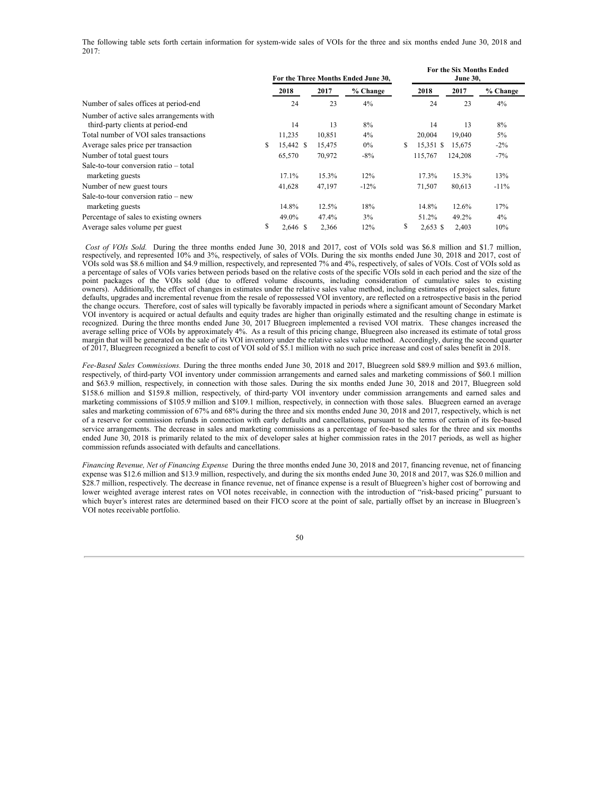The following table sets forth certain information for system-wide sales of VOIs for the three and six months ended June 30, 2018 and 2017:

|                                                                               | For the Three Months Ended June 30, |        |          |     | For the Six Months Ended<br><b>June 30,</b> |         |          |
|-------------------------------------------------------------------------------|-------------------------------------|--------|----------|-----|---------------------------------------------|---------|----------|
|                                                                               | 2018                                | 2017   | % Change |     | 2018                                        | 2017    | % Change |
| Number of sales offices at period-end                                         | 24                                  | 23     | $4\%$    |     | 24                                          | 23      | $4\%$    |
| Number of active sales arrangements with<br>third-party clients at period-end | 14                                  | 13     | 8%       |     | 14                                          | 13      | 8%       |
| Total number of VOI sales transactions                                        | 11,235                              | 10,851 | $4\%$    |     | 20,004                                      | 19,040  | $5\%$    |
| Average sales price per transaction                                           | \$<br>15,442 \$                     | 15,475 | $0\%$    | \$. | 15,351 \$                                   | 15,675  | $-2\%$   |
| Number of total guest tours                                                   | 65,570                              | 70,972 | $-8\%$   |     | 115,767                                     | 124,208 | $-7\%$   |
| Sale-to-tour conversion ratio – total                                         |                                     |        |          |     |                                             |         |          |
| marketing guests                                                              | 17.1%                               | 15.3%  | 12%      |     | 17.3%                                       | 15.3%   | 13%      |
| Number of new guest tours                                                     | 41,628                              | 47,197 | $-12%$   |     | 71,507                                      | 80,613  | $-11%$   |
| Sale-to-tour conversion ratio – new                                           |                                     |        |          |     |                                             |         |          |
| marketing guests                                                              | 14.8%                               | 12.5%  | 18%      |     | 14.8%                                       | 12.6%   | 17%      |
| Percentage of sales to existing owners                                        | 49.0%                               | 47.4%  | 3%       |     | 51.2%                                       | 49.2%   | $4\%$    |
| Average sales volume per guest                                                | \$<br>$2,646$ \$                    | 2,366  | 12%      | \$  | $2,653$ \$                                  | 2,403   | 10%      |

*Cost of VOIs Sold.* During the three months ended June 30, 2018 and 2017, cost of VOIs sold was \$6.8 million and \$1.7 million, respectively, and represented 10% and 3%, respectively, of sales of VOIs. During the six months ended June 30, 2018 and 2017, cost of VOIs sold was \$8.6 million and \$4.9 million, respectively, and represented 7% and 4%, respectively, of sales of VOIs. Cost of VOIs sold as a percentage of sales of VOIs varies between periods based on the relative costs of the specific VOIs sold in each period and the size of the point packages of the VOIs sold (due to offered volume discounts, including consideration of cumulative sales to existing owners). Additionally, the effect of changes in estimates under the relative sales value method, including estimates of project sales, future defaults, upgrades and incremental revenue from the resale of repossessed VOI inventory, are reflected on a retrospective basis in the period the change occurs. Therefore, cost of sales will typically be favorably impacted in periods where a significant amount of Secondary Market VOI inventory is acquired or actual defaults and equity trades are higher than originally estimated and the resulting change in estimate is recognized. During the three months ended June 30, 2017 Bluegreen implemented a revised VOI matrix. These changes increased the average selling price of VOIs by approximately 4%. As a result of this pricing change, Bluegreen also increased its estimate of total gross margin that will be generated on the sale of its VOI inventory under the relative sales value method. Accordingly, during the second quarter of 2017, Bluegreen recognized a benefit to cost of VOI sold of \$5.1 million with no such price increase and cost of sales benefit in 2018.

*Fee-Based Sales Commissions.* During the three months ended June 30, 2018 and 2017, Bluegreen sold \$89.9 million and \$93.6 million, respectively, of third-party VOI inventory under commission arrangements and earned sales and marketing commissions of \$60.1 million and \$63.9 million, respectively, in connection with those sales. During the six months ended June 30, 2018 and 2017, Bluegreen sold \$158.6 million and \$159.8 million, respectively, of third-party VOI inventory under commission arrangements and earned sales and marketing commissions of \$105.9 million and \$109.1 million, respectively, in connection with those sales. Bluegreen earned an average sales and marketing commission of 67% and 68% during the three and six months ended June 30, 2018 and 2017, respectively, which is net of a reserve for commission refunds in connection with early defaults and cancellations, pursuant to the terms of certain of its fee-based service arrangements. The decrease in sales and marketing commissions as a percentage of fee-based sales for the three and six months ended June 30, 2018 is primarily related to the mix of developer sales at higher commission rates in the 2017 periods, as well as higher commission refunds associated with defaults and cancellations.

*Financing Revenue, Net of Financing Expense*. During the three months ended June 30, 2018 and 2017, financing revenue, net of financing expense was \$12.6 million and \$13.9 million, respectively, and during the six months ended June 30, 2018 and 2017, was \$26.0 million and \$28.7 million, respectively. The decrease in finance revenue, net of finance expense is a result of Bluegreen's higher cost of borrowing and lower weighted average interest rates on VOI notes receivable, in connection with the introduction of "risk-based pricing" pursuant to which buyer's interest rates are determined based on their FICO score at the point of sale, partially offset by an increase in Bluegreen's VOI notes receivable portfolio.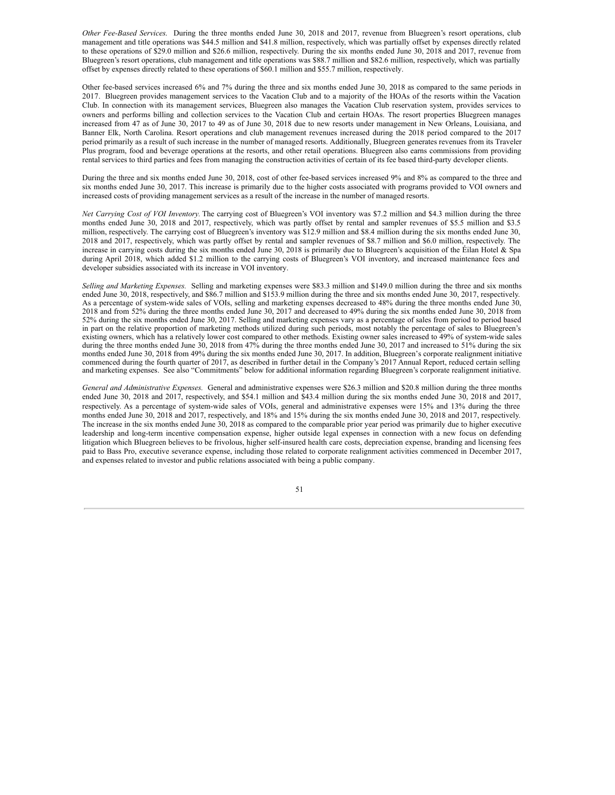*Other Fee-Based Services*. During the three months ended June 30, 2018 and 2017, revenue from Bluegreen's resort operations, club management and title operations was \$44.5 million and \$41.8 million, respectively, which was partially offset by expenses directly related to these operations of \$29.0 million and \$26.6 million, respectively. During the six months ended June 30, 2018 and 2017, revenue from Bluegreen's resort operations, club management and title operations was \$88.7 million and \$82.6 million, respectively, which was partially offset by expenses directly related to these operations of \$60.1 million and \$55.7 million, respectively.

Other fee-based services increased 6% and 7% during the three and six months ended June 30, 2018 as compared to the same periods in 2017. Bluegreen provides management services to the Vacation Club and to a majority of the HOAs of the resorts within the Vacation Club. In connection with its management services, Bluegreen also manages the Vacation Club reservation system, provides services to owners and performs billing and collection services to the Vacation Club and certain HOAs. The resort properties Bluegreen manages increased from 47 as of June 30, 2017 to 49 as of June 30, 2018 due to new resorts under management in New Orleans, Louisiana, and Banner Elk, North Carolina. Resort operations and club management revenues increased during the 2018 period compared to the 2017 period primarily as a result of such increase in the number of managed resorts. Additionally, Bluegreen generates revenues from its Traveler Plus program, food and beverage operations at the resorts, and other retail operations. Bluegreen also earns commissions from providing rental services to third parties and fees from managing the construction activities of certain of its fee based third-party developer clients.

During the three and six months ended June 30, 2018, cost of other fee-based services increased 9% and 8% as compared to the three and six months ended June 30, 2017. This increase is primarily due to the higher costs associated with programs provided to VOI owners and increased costs of providing management services as a result of the increase in the number of managed resorts.

*Net Carrying Cost of VOI Inventory.* The carrying cost of Bluegreen's VOI inventory was \$7.2 million and \$4.3 million during the three months ended June 30, 2018 and 2017, respectively, which was partly offset by rental and sampler revenues of \$5.5 million and \$3.5 million, respectively. The carrying cost of Bluegreen's inventory was \$12.9 million and \$8.4 million during the six months ended June 30, 2018 and 2017, respectively, which was partly offset by rental and sampler revenues of \$8.7 million and \$6.0 million, respectively. The increase in carrying costs during the six months ended June 30, 2018 is primarily due to Bluegreen's acquisition of the Éilan Hotel & Spa during April 2018, which added \$1.2 million to the carrying costs of Bluegreen's VOI inventory, and increased maintenance fees and developer subsidies associated with its increase in VOI inventory.

*Selling and Marketing Expenses.* Selling and marketing expenses were \$83.3 million and \$149.0 million during the three and six months ended June 30, 2018, respectively, and \$86.7 million and \$153.9 million during the three and six months ended June 30, 2017, respectively. As a percentage of system-wide sales of VOIs, selling and marketing expenses decreased to 48% during the three months ended June 30, 2018 and from 52% during the three months ended June 30, 2017 and decreased to 49% during the six months ended June 30, 2018 from 52% during the six months ended June 30, 2017. Selling and marketing expenses vary as a percentage of sales from period to period based in part on the relative proportion of marketing methods utilized during such periods, most notably the percentage of sales to Bluegreen's existing owners, which has a relatively lower cost compared to other methods. Existing owner sales increased to 49% of system-wide sales during the three months ended June 30, 2018 from 47% during the three months ended June 30, 2017 and increased to 51% during the six months ended June 30, 2018 from 49% during the six months ended June 30, 2017. In addition, Bluegreen's corporate realignment initiative commenced during the fourth quarter of 2017, as described in further detail in the Company's 2017 Annual Report, reduced certain selling and marketing expenses. See also "Commitments" below for additional information regarding Bluegreen's corporate realignment initiative.

*General and Administrative Expenses.* General and administrative expenses were \$26.3 million and \$20.8 million during the three months ended June 30, 2018 and 2017, respectively, and \$54.1 million and \$43.4 million during the six months ended June 30, 2018 and 2017, respectively. As a percentage of system-wide sales of VOIs, general and administrative expenses were 15% and 13% during the three months ended June 30, 2018 and 2017, respectively, and 18% and 15% during the six months ended June 30, 2018 and 2017, respectively. The increase in the six months ended June 30, 2018 as compared to the comparable prior year period was primarily due to higher executive leadership and long-term incentive compensation expense, higher outside legal expenses in connection with a new focus on defending litigation which Bluegreen believes to be frivolous, higher self-insured health care costs, depreciation expense, branding and licensing fees paid to Bass Pro, executive severance expense, including those related to corporate realignment activities commenced in December 2017, and expenses related to investor and public relations associated with being a public company.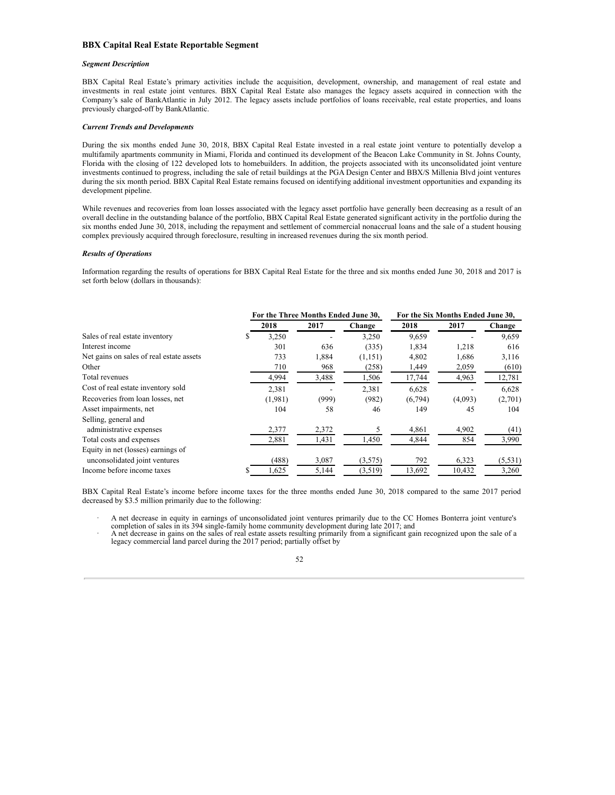## **BBX Capital Real Estate Reportable Segment**

#### *Segment Description*

BBX Capital Real Estate's primary activities include the acquisition, development, ownership, and management of real estate and investments in real estate joint ventures. BBX Capital Real Estate also manages the legacy assets acquired in connection with the Company's sale of BankAtlantic in July 2012. The legacy assets include portfolios of loans receivable, real estate properties, and loans previously charged-off by BankAtlantic.

## *Current Trends and Developments*

During the six months ended June 30, 2018, BBX Capital Real Estate invested in a real estate joint venture to potentially develop a multifamily apartments community in Miami, Florida and continued its development of the Beacon Lake Community in St. Johns County, Florida with the closing of 122 developed lots to homebuilders. In addition, the projects associated with its unconsolidated joint venture investments continued to progress, including the sale of retail buildings at the PGA Design Center and BBX/S Millenia Blvd joint ventures during the six month period. BBX Capital Real Estate remains focused on identifying additional investment opportunities and expanding its development pipeline.

While revenues and recoveries from loan losses associated with the legacy asset portfolio have generally been decreasing as a result of an overall decline in the outstanding balance of the portfolio, BBX Capital Real Estate generated significant activity in the portfolio during the six months ended June 30, 2018, including the repayment and settlement of commercial nonaccrual loans and the sale of a student housing complex previously acquired through foreclosure, resulting in increased revenues during the six month period.

#### *Results of Operations*

Information regarding the results of operations for BBX Capital Real Estate for the three and six months ended June 30, 2018 and 2017 is set forth below (dollars in thousands):

|                                          |             | For the Three Months Ended June 30, |         | For the Six Months Ended June 30, |         |          |  |
|------------------------------------------|-------------|-------------------------------------|---------|-----------------------------------|---------|----------|--|
|                                          | 2018        | 2017                                | Change  | 2018                              | 2017    | Change   |  |
| Sales of real estate inventory           | \$<br>3,250 |                                     | 3,250   | 9,659                             |         | 9,659    |  |
| Interest income                          | 301         | 636                                 | (335)   | 1,834                             | 1,218   | 616      |  |
| Net gains on sales of real estate assets | 733         | 1,884                               | (1,151) | 4,802                             | 1,686   | 3,116    |  |
| Other                                    | 710         | 968                                 | (258)   | 1,449                             | 2,059   | (610)    |  |
| Total revenues                           | 4,994       | 3,488                               | 1,506   | 17,744                            | 4,963   | 12,781   |  |
| Cost of real estate inventory sold       | 2,381       |                                     | 2,381   | 6,628                             |         | 6,628    |  |
| Recoveries from loan losses, net         | (1,981)     | (999)                               | (982)   | (6, 794)                          | (4,093) | (2,701)  |  |
| Asset impairments, net                   | 104         | 58                                  | 46      | 149                               | 45      | 104      |  |
| Selling, general and                     |             |                                     |         |                                   |         |          |  |
| administrative expenses                  | 2,377       | 2,372                               |         | 4,861                             | 4,902   | (41)     |  |
| Total costs and expenses                 | 2,881       | 1,431                               | 1,450   | 4,844                             | 854     | 3,990    |  |
| Equity in net (losses) earnings of       |             |                                     |         |                                   |         |          |  |
| unconsolidated joint ventures            | (488)       | 3,087                               | (3,575) | 792                               | 6,323   | (5, 531) |  |
| Income before income taxes               | 1,625       | 5,144                               | (3,519) | 13,692                            | 10,432  | 3,260    |  |

BBX Capital Real Estate's income before income taxes for the three months ended June 30, 2018 compared to the same 2017 period decreased by \$3.5 million primarily due to the following:

· A net decrease in equity in earnings of unconsolidated joint ventures primarily due to the CC Homes Bonterra joint venture's

completion of sales in its 394 single-family home community development during late 2017; and<br>A net decrease in gains on the sales of real estate assets resulting primarily from a significant gain recognized upon the sale legacy commercial land parcel during the 2017 period; partially offset by

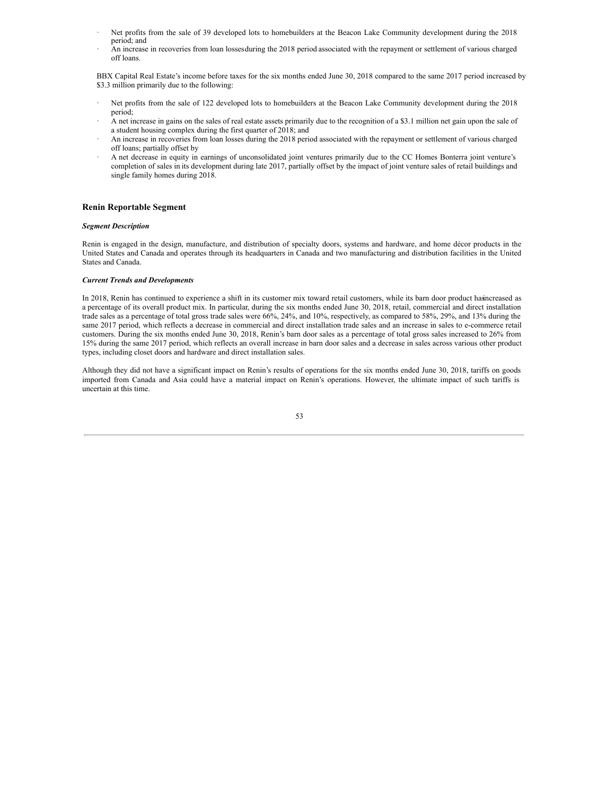- Net profits from the sale of 39 developed lots to homebuilders at the Beacon Lake Community development during the 2018 period; and
- · An increase in recoveries from loan lossesduring the 2018 period associated with the repayment or settlement of various charged off loans.

BBX Capital Real Estate's income before taxes for the six months ended June 30, 2018 compared to the same 2017 period increased by \$3.3 million primarily due to the following:

- Net profits from the sale of 122 developed lots to homebuilders at the Beacon Lake Community development during the 2018 period;
- · A net increase in gains on the sales of real estate assets primarily due to the recognition of a \$3.1 million net gain upon the sale of a student housing complex during the first quarter of 2018; and
- An increase in recoveries from loan losses during the 2018 period associated with the repayment or settlement of various charged off loans; partially offset by
- · A net decrease in equity in earnings of unconsolidated joint ventures primarily due to the CC Homes Bonterra joint venture's completion of sales in its development during late 2017, partially offset by the impact of joint venture sales of retail buildings and single family homes during 2018.

## **Renin Reportable Segment**

## *Segment Description*

Renin is engaged in the design, manufacture, and distribution of specialty doors, systems and hardware, and home décor products in the United States and Canada and operates through its headquarters in Canada and two manufacturing and distribution facilities in the United States and Canada.

## *Current Trends and Developments*

In 2018, Renin has continued to experience a shift in its customer mix toward retail customers, while its barn door product hasincreased as a percentage of its overall product mix. In particular, during the six months ended June 30, 2018, retail, commercial and direct installation trade sales as a percentage of total gross trade sales were 66%, 24%, and 10%, respectively, as compared to 58%, 29%, and 13% during the same 2017 period, which reflects a decrease in commercial and direct installation trade sales and an increase in sales to e-commerce retail customers. During the six months ended June 30, 2018, Renin's barn door sales as a percentage of total gross sales increased to 26% from 15% during the same 2017 period, which reflects an overall increase in barn door sales and a decrease in sales across various other product types, including closet doors and hardware and direct installation sales.

Although they did not have a significant impact on Renin's results of operations for the six months ended June 30, 2018, tariffs on goods imported from Canada and Asia could have a material impact on Renin's operations. However, the ultimate impact of such tariffs is uncertain at this time.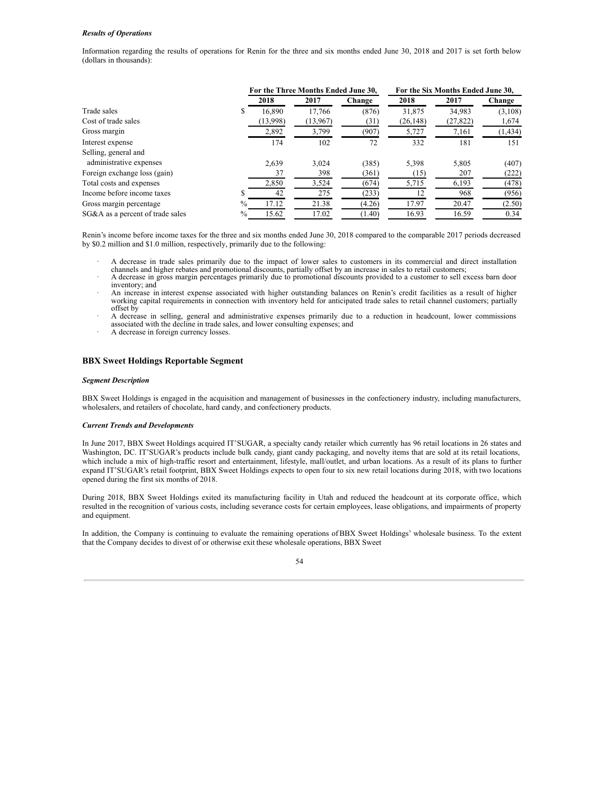#### *Results of Operations*

Information regarding the results of operations for Renin for the three and six months ended June 30, 2018 and 2017 is set forth below (dollars in thousands):

|                                  |               |          | For the Three Months Ended June 30. |        | For the Six Months Ended June 30. |           |          |  |
|----------------------------------|---------------|----------|-------------------------------------|--------|-----------------------------------|-----------|----------|--|
|                                  |               | 2018     | 2017                                | Change | 2018                              | 2017      | Change   |  |
| Trade sales                      | ъ             | 16.890   | 17.766                              | (876)  | 31,875                            | 34,983    | (3,108)  |  |
| Cost of trade sales              |               | (13,998) | (13, 967)                           | (31)   | (26, 148)                         | (27, 822) | 1,674    |  |
| Gross margin                     |               | 2,892    | 3,799                               | (907)  | 5,727                             | 7,161     | (1, 434) |  |
| Interest expense                 |               | 174      | 102                                 | 72     | 332                               | 181       | 151      |  |
| Selling, general and             |               |          |                                     |        |                                   |           |          |  |
| administrative expenses          |               | 2,639    | 3.024                               | (385)  | 5,398                             | 5,805     | (407)    |  |
| Foreign exchange loss (gain)     |               | 37       | 398                                 | (361)  | (15)                              | 207       | (222)    |  |
| Total costs and expenses         |               | 2,850    | 3,524                               | (674)  | 5,715                             | 6,193     | (478)    |  |
| Income before income taxes       |               | 42       | 275                                 | (233)  | 12                                | 968       | (956)    |  |
| Gross margin percentage          | $\frac{0}{0}$ | 17.12    | 21.38                               | (4.26) | 17.97                             | 20.47     | (2.50)   |  |
| SG&A as a percent of trade sales | $\frac{0}{0}$ | 15.62    | 17.02                               | (1.40) | 16.93                             | 16.59     | 0.34     |  |

Renin's income before income taxes for the three and six months ended June 30, 2018 compared to the comparable 2017 periods decreased by \$0.2 million and \$1.0 million, respectively, primarily due to the following:

- · A decrease in trade sales primarily due to the impact of lower sales to customers in its commercial and direct installation channels and higher rebates and promotional discounts, partially offset by an increase in sales to retail customers;
- · A decrease in gross margin percentages primarily due to promotional discounts provided to a customer to sell excess barn door inventory; and
- An increase in interest expense associated with higher outstanding balances on Renin's credit facilities as a result of higher working capital requirements in connection with inventory held for anticipated trade sales to retail channel customers; partially offset by
- · A decrease in selling, general and administrative expenses primarily due to a reduction in headcount, lower commissions associated with the decline in trade sales, and lower consulting expenses; and A decrease in foreign currency losses.
- 

## **BBX Sweet Holdings Reportable Segment**

## *Segment Description*

BBX Sweet Holdings is engaged in the acquisition and management of businesses in the confectionery industry, including manufacturers, wholesalers, and retailers of chocolate, hard candy, and confectionery products.

#### *Current Trends and Developments*

In June 2017, BBX Sweet Holdings acquired IT'SUGAR, a specialty candy retailer which currently has 96 retail locations in 26 states and Washington, DC. IT'SUGAR's products include bulk candy, giant candy packaging, and novelty items that are sold at its retail locations, which include a mix of high-traffic resort and entertainment, lifestyle, mall/outlet, and urban locations. As a result of its plans to further expand IT'SUGAR's retail footprint, BBX Sweet Holdings expects to open four to six new retail locations during 2018, with two locations opened during the first six months of 2018.

During 2018, BBX Sweet Holdings exited its manufacturing facility in Utah and reduced the headcount at its corporate office, which resulted in the recognition of various costs, including severance costs for certain employees, lease obligations, and impairments of property and equipment.

In addition, the Company is continuing to evaluate the remaining operations ofBBX Sweet Holdings' wholesale business. To the extent that the Company decides to divest of or otherwise exit these wholesale operations, BBX Sweet

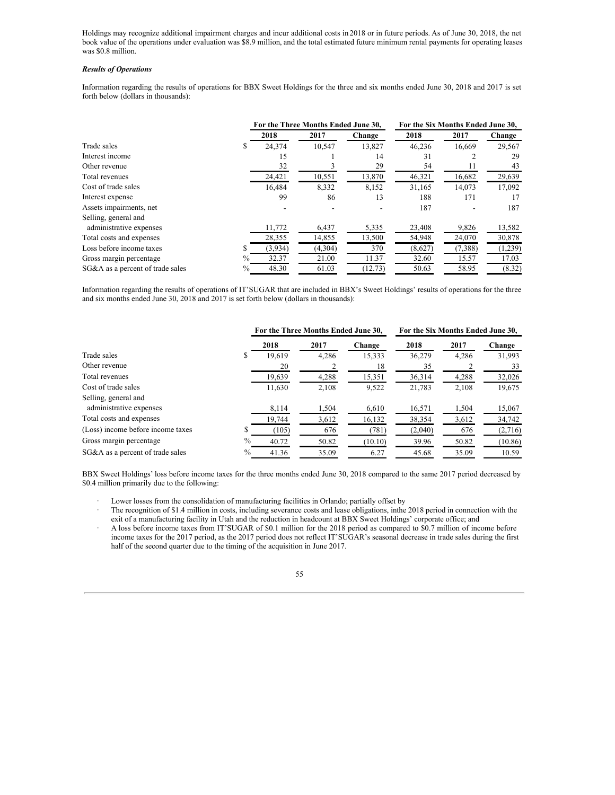Holdings may recognize additional impairment charges and incur additional costs in 2018 or in future periods. As of June 30, 2018, the net book value of the operations under evaluation was \$8.9 million, and the total estimated future minimum rental payments for operating leases was \$0.8 million.

## *Results of Operations*

Information regarding the results of operations for BBX Sweet Holdings for the three and six months ended June 30, 2018 and 2017 is set forth below (dollars in thousands):

|                                  |      |         | For the Three Months Ended June 30, |         | For the Six Months Ended June 30, |         |         |  |
|----------------------------------|------|---------|-------------------------------------|---------|-----------------------------------|---------|---------|--|
|                                  |      | 2018    | 2017                                | Change  | 2018                              | 2017    | Change  |  |
| Trade sales                      | S.   | 24.374  | 10.547                              | 13,827  | 46,236                            | 16.669  | 29,567  |  |
| Interest income                  |      | 15      |                                     | 14      | 31                                |         | 29      |  |
| Other revenue                    |      | 32      |                                     | 29      | 54                                | 11      | 43      |  |
| Total revenues                   |      | 24,421  | 10,551                              | 13,870  | 46,321                            | 16,682  | 29,639  |  |
| Cost of trade sales              |      | 16,484  | 8,332                               | 8,152   | 31,165                            | 14,073  | 17,092  |  |
| Interest expense                 |      | 99      | 86                                  | 13      | 188                               | 171     | 17      |  |
| Assets impairments, net          |      |         |                                     |         | 187                               |         | 187     |  |
| Selling, general and             |      |         |                                     |         |                                   |         |         |  |
| administrative expenses          |      | 11,772  | 6,437                               | 5,335   | 23,408                            | 9,826   | 13,582  |  |
| Total costs and expenses         |      | 28,355  | 14,855                              | 13,500  | 54,948                            | 24,070  | 30,878  |  |
| Loss before income taxes         |      | (3,934) | (4,304)                             | 370     | (8,627)                           | (7,388) | (1,239) |  |
| Gross margin percentage          | $\%$ | 32.37   | 21.00                               | 11.37   | 32.60                             | 15.57   | 17.03   |  |
| SG&A as a percent of trade sales | $\%$ | 48.30   | 61.03                               | (12.73) | 50.63                             | 58.95   | (8.32)  |  |

Information regarding the results of operations of IT'SUGAR that are included in BBX's Sweet Holdings' results of operations for the three and six months ended June 30, 2018 and 2017 is set forth below (dollars in thousands):

|                                   |               |        | For the Three Months Ended June 30, | For the Six Months Ended June 30, |         |       |         |
|-----------------------------------|---------------|--------|-------------------------------------|-----------------------------------|---------|-------|---------|
|                                   |               | 2018   | 2017                                | Change                            | 2018    | 2017  | Change  |
| Trade sales                       | S             | 19,619 | 4,286                               | 15,333                            | 36,279  | 4,286 | 31,993  |
| Other revenue                     |               | 20     |                                     | 18                                | 35      |       | 33      |
| Total revenues                    |               | 19,639 | 4,288                               | 15,351                            | 36,314  | 4,288 | 32,026  |
| Cost of trade sales               |               | 11,630 | 2.108                               | 9,522                             | 21,783  | 2,108 | 19,675  |
| Selling, general and              |               |        |                                     |                                   |         |       |         |
| administrative expenses           |               | 8,114  | 1,504                               | 6,610                             | 16,571  | 1,504 | 15,067  |
| Total costs and expenses          |               | 19,744 | 3,612                               | 16,132                            | 38,354  | 3,612 | 34,742  |
| (Loss) income before income taxes | \$            | (105)  | 676                                 | (781)                             | (2,040) | 676   | (2,716) |
| Gross margin percentage           | $\%$          | 40.72  | 50.82                               | (10.10)                           | 39.96   | 50.82 | (10.86) |
| SG&A as a percent of trade sales  | $\frac{0}{0}$ | 41.36  | 35.09                               | 6.27                              | 45.68   | 35.09 | 10.59   |

BBX Sweet Holdings' loss before income taxes for the three months ended June 30, 2018 compared to the same 2017 period decreased by \$0.4 million primarily due to the following:

- Lower losses from the consolidation of manufacturing facilities in Orlando; partially offset by
- The recognition of \$1.4 million in costs, including severance costs and lease obligations, inthe 2018 period in connection with the exit of a manufacturing facility in Utah and the reduction in headcount at BBX Sweet Holdings' corporate office; and
- · A loss before income taxes from IT'SUGAR of \$0.1 million for the 2018 period as compared to \$0.7 million of income before income taxes for the 2017 period, as the 2017 period does not reflect IT'SUGAR's seasonal decrease in trade sales during the first half of the second quarter due to the timing of the acquisition in June 2017.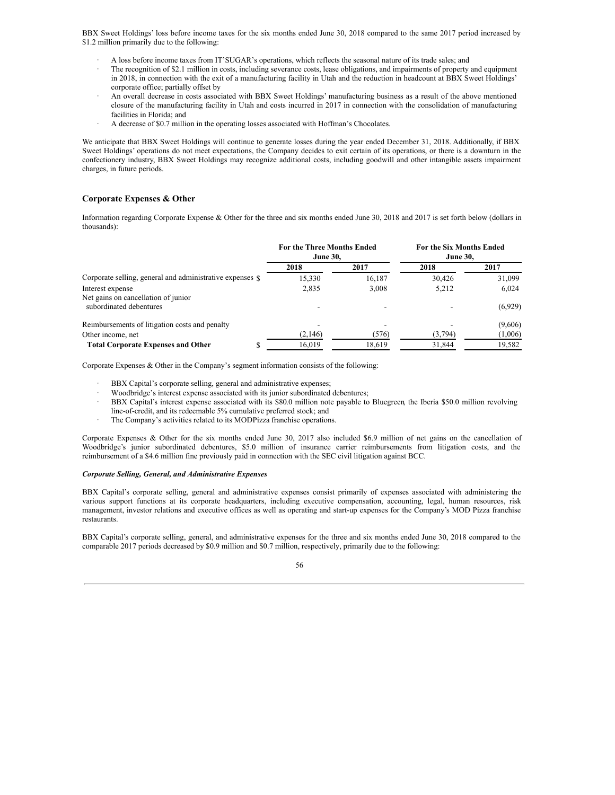BBX Sweet Holdings' loss before income taxes for the six months ended June 30, 2018 compared to the same 2017 period increased by \$1.2 million primarily due to the following:

- · A loss before income taxes from IT'SUGAR's operations, which reflects the seasonal nature of its trade sales; and
- The recognition of \$2.1 million in costs, including severance costs, lease obligations, and impairments of property and equipment in 2018, in connection with the exit of a manufacturing facility in Utah and the reduction in headcount at BBX Sweet Holdings' corporate office; partially offset by
- An overall decrease in costs associated with BBX Sweet Holdings' manufacturing business as a result of the above mentioned closure of the manufacturing facility in Utah and costs incurred in 2017 in connection with the consolidation of manufacturing facilities in Florida; and
- A decrease of \$0.7 million in the operating losses associated with Hoffman's Chocolates.

We anticipate that BBX Sweet Holdings will continue to generate losses during the year ended December 31, 2018. Additionally, if BBX Sweet Holdings' operations do not meet expectations, the Company decides to exit certain of its operations, or there is a downturn in the confectionery industry, BBX Sweet Holdings may recognize additional costs, including goodwill and other intangible assets impairment charges, in future periods.

## **Corporate Expenses & Other**

Information regarding Corporate Expense & Other for the three and six months ended June 30, 2018 and 2017 is set forth below (dollars in thousands):

|                                                                | <b>For the Three Months Ended</b><br><b>June 30.</b> |        | <b>For the Six Months Ended</b><br><b>June 30.</b> |         |
|----------------------------------------------------------------|------------------------------------------------------|--------|----------------------------------------------------|---------|
|                                                                | 2018                                                 | 2017   | 2018                                               | 2017    |
| Corporate selling, general and administrative expenses \$      | 15,330                                               | 16,187 | 30.426                                             | 31,099  |
| Interest expense                                               | 2,835                                                | 3.008  | 5.212                                              | 6.024   |
| Net gains on cancellation of junior<br>subordinated debentures |                                                      |        |                                                    | (6,929) |
| Reimbursements of litigation costs and penalty                 |                                                      |        |                                                    | (9,606) |
| Other income, net                                              | (2,146)                                              | (576)  | (3,794)                                            | (1,006) |
| <b>Total Corporate Expenses and Other</b>                      | 16,019                                               | 18,619 | 31,844                                             | 19,582  |

Corporate Expenses & Other in the Company's segment information consists of the following:

- BBX Capital's corporate selling, general and administrative expenses;
- · Woodbridge's interest expense associated with its junior subordinated debentures;
- · BBX Capital's interest expense associated with its \$80.0 million note payable to Bluegreen, the Iberia \$50.0 million revolving line-of-credit, and its redeemable 5% cumulative preferred stock; and
- The Company's activities related to its MODPizza franchise operations.

Corporate Expenses & Other for the six months ended June 30, 2017 also included \$6.9 million of net gains on the cancellation of Woodbridge's junior subordinated debentures, \$5.0 million of insurance carrier reimbursements from litigation costs, and the reimbursement of a \$4.6 million fine previously paid in connection with the SEC civil litigation against BCC.

## *Corporate Selling, General, and Administrative Expenses*

BBX Capital's corporate selling, general and administrative expenses consist primarily of expenses associated with administering the various support functions at its corporate headquarters, including executive compensation, accounting, legal, human resources, risk management, investor relations and executive offices as well as operating and start-up expenses for the Company's MOD Pizza franchise restaurants.

BBX Capital's corporate selling, general, and administrative expenses for the three and six months ended June 30, 2018 compared to the comparable 2017 periods decreased by \$0.9 million and \$0.7 million, respectively, primarily due to the following:

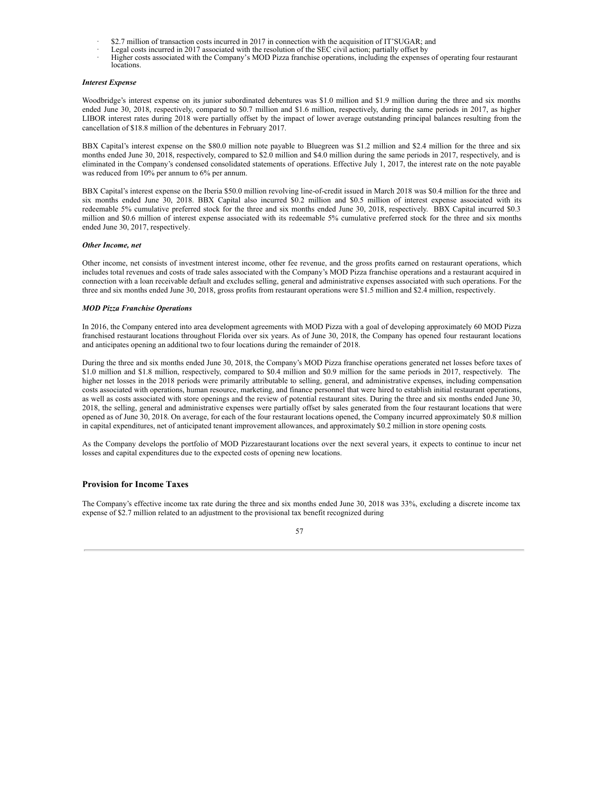- · \$2.7 million of transaction costs incurred in 2017 in connection with the acquisition of IT'SUGAR; and
- Legal costs incurred in 2017 associated with the resolution of the SEC civil action; partially offset by
- · Higher costs associated with the Company's MOD Pizza franchise operations, including the expenses of operating four restaurant locations.

### *Interest Expense*

Woodbridge's interest expense on its junior subordinated debentures was \$1.0 million and \$1.9 million during the three and six months ended June 30, 2018, respectively, compared to \$0.7 million and \$1.6 million, respectively, during the same periods in 2017, as higher LIBOR interest rates during 2018 were partially offset by the impact of lower average outstanding principal balances resulting from the cancellation of \$18.8 million of the debentures in February 2017.

BBX Capital's interest expense on the \$80.0 million note payable to Bluegreen was \$1.2 million and \$2.4 million for the three and six months ended June 30, 2018, respectively, compared to \$2.0 million and \$4.0 million during the same periods in 2017, respectively, and is eliminated in the Company's condensed consolidated statements of operations. Effective July 1, 2017, the interest rate on the note payable was reduced from 10% per annum to 6% per annum.

BBX Capital's interest expense on the Iberia \$50.0 million revolving line-of-credit issued in March 2018 was \$0.4 million for the three and six months ended June 30, 2018. BBX Capital also incurred \$0.2 million and \$0.5 million of interest expense associated with its redeemable 5% cumulative preferred stock for the three and six months ended June 30, 2018, respectively. BBX Capital incurred \$0.3 million and \$0.6 million of interest expense associated with its redeemable 5% cumulative preferred stock for the three and six months ended June 30, 2017, respectively.

#### *Other Income, net*

Other income, net consists of investment interest income, other fee revenue, and the gross profits earned on restaurant operations, which includes total revenues and costs of trade sales associated with the Company's MOD Pizza franchise operations and a restaurant acquired in connection with a loan receivable default and excludes selling, general and administrative expenses associated with such operations. For the three and six months ended June 30, 2018, gross profits from restaurant operations were \$1.5 million and \$2.4 million, respectively.

#### *MOD Pizza Franchise Operations*

In 2016, the Company entered into area development agreements with MOD Pizza with a goal of developing approximately 60 MOD Pizza franchised restaurant locations throughout Florida over six years. As of June 30, 2018, the Company has opened four restaurant locations and anticipates opening an additional two to four locations during the remainder of 2018.

During the three and six months ended June 30, 2018, the Company's MOD Pizza franchise operations generated net losses before taxes of \$1.0 million and \$1.8 million, respectively, compared to \$0.4 million and \$0.9 million for the same periods in 2017, respectively. The higher net losses in the 2018 periods were primarily attributable to selling, general, and administrative expenses, including compensation costs associated with operations, human resource, marketing, and finance personnel that were hired to establish initial restaurant operations, as well as costs associated with store openings and the review of potential restaurant sites. During the three and six months ended June 30, 2018, the selling, general and administrative expenses were partially offset by sales generated from the four restaurant locations that were opened as of June 30, 2018. On average, for each of the four restaurant locations opened, the Company incurred approximately \$0.8 million in capital expenditures, net of anticipated tenant improvement allowances, and approximately \$0.2 million in store opening costs.

As the Company develops the portfolio of MOD Pizzarestaurant locations over the next several years, it expects to continue to incur net losses and capital expenditures due to the expected costs of opening new locations.

## **Provision for Income Taxes**

The Company's effective income tax rate during the three and six months ended June 30, 2018 was 33%, excluding a discrete income tax expense of \$2.7 million related to an adjustment to the provisional tax benefit recognized during

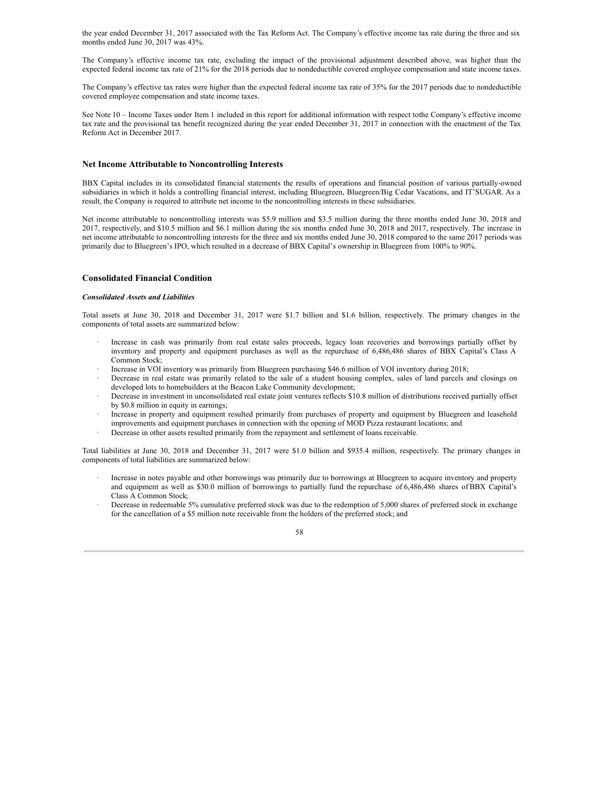the year ended December 31, 2017 associated with the Tax Reform Act. The Company's effective income tax rate during the three and six months ended June 30, 2017 was 43%.

The Company's effective income tax rate, excluding the impact of the provisional adjustment described above, was higher than the expected federal income tax rate of 21% for the 2018 periods due to nondeductible covered employee compensation and state income taxes.

The Company's effective tax rates were higher than the expected federal income tax rate of 35% for the 2017 periods due to nondeductible covered employee compensation and state income taxes.

See Note 10 – Income Taxes under Item 1 included in this report for additional information with respect tothe Company's effective income tax rate and the provisional tax benefit recognized during the year ended December 31, 2017 in connection with the enactment of the Tax Reform Act in December 2017.

## **Net Income Attributable to Noncontrolling Interests**

BBX Capital includes in its consolidated financial statements the results of operations and financial position of various partially-owned subsidiaries in which it holds a controlling financial interest, including Bluegreen, Bluegreen/Big Cedar Vacations, and IT'SUGAR. As a result, the Company is required to attribute net income to the noncontrolling interests in these subsidiaries.

Net income attributable to noncontrolling interests was \$5.9 million and \$3.5 million during the three months ended June 30, 2018 and 2017, respectively, and \$10.5 million and \$6.1 million during the six months ended June 30, 2018 and 2017, respectively. The increase in net income attributable to noncontrolling interests for the three and six months ended June 30, 2018 compared to the same 2017 periods was primarily due to Bluegreen's IPO, which resulted in a decrease of BBX Capital's ownership in Bluegreen from 100% to 90%.

### **Consolidated Financial Condition**

## *Consolidated Assets and Liabilities*

Total assets at June 30, 2018 and December 31, 2017 were \$1.7 billion and \$1.6 billion, respectively. The primary changes in the components of total assets are summarized below:

- Increase in cash was primarily from real estate sales proceeds, legacy loan recoveries and borrowings partially offset by inventory and property and equipment purchases as well as the repurchase of 6,486,486 shares of BBX Capital's Class A Common Stock;
- · Increase in VOI inventory was primarily from Bluegreen purchasing \$46.6 million of VOI inventory during 2018;
- Decrease in real estate was primarily related to the sale of a student housing complex, sales of land parcels and closings on developed lots to homebuilders at the Beacon Lake Community development;
- · Decrease in investment in unconsolidated real estate joint ventures reflects \$10.8 million of distributions received partially offset by \$0.8 million in equity in earnings;
- Increase in property and equipment resulted primarily from purchases of property and equipment by Bluegreen and leasehold improvements and equipment purchases in connection with the opening of MOD Pizza restaurant locations; and
- Decrease in other assets resulted primarily from the repayment and settlement of loans receivable.

Total liabilities at June 30, 2018 and December 31, 2017 were \$1.0 billion and \$935.4 million, respectively. The primary changes in components of total liabilities are summarized below:

- · Increase in notes payable and other borrowings was primarily due to borrowings at Bluegreen to acquire inventory and property and equipment as well as \$30.0 million of borrowings to partially fund the repurchase of 6,486,486 shares of BBX Capital's Class A Common Stock;
- Decrease in redeemable 5% cumulative preferred stock was due to the redemption of 5,000 shares of preferred stock in exchange for the cancellation of a \$5 million note receivable from the holders of the preferred stock; and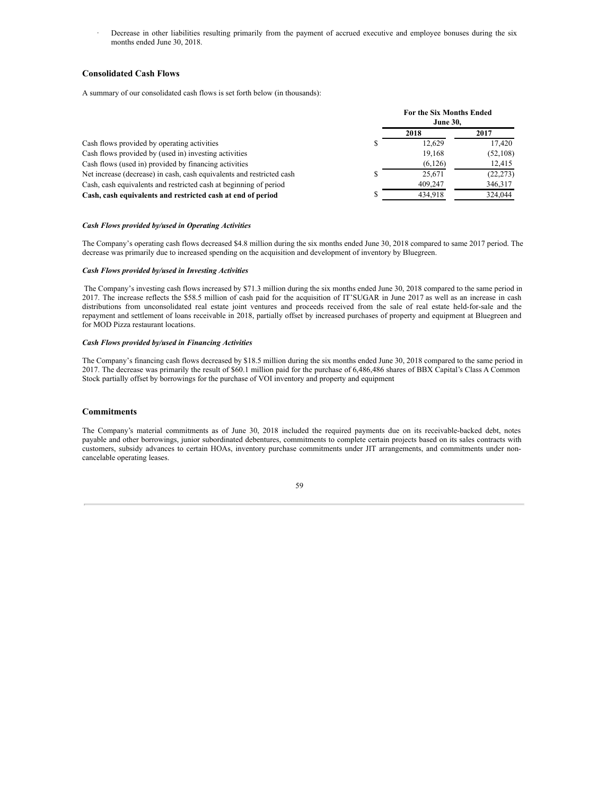· Decrease in other liabilities resulting primarily from the payment of accrued executive and employee bonuses during the six months ended June 30, 2018.

## **Consolidated Cash Flows**

A summary of our consolidated cash flows is set forth below (in thousands):

|                                                                       |   | For the Six Months Ended<br><b>June 30.</b> |           |  |
|-----------------------------------------------------------------------|---|---------------------------------------------|-----------|--|
|                                                                       |   | 2018                                        | 2017      |  |
| Cash flows provided by operating activities                           | S | 12.629                                      | 17.420    |  |
| Cash flows provided by (used in) investing activities                 |   | 19.168                                      | (52, 108) |  |
| Cash flows (used in) provided by financing activities                 |   | (6,126)                                     | 12.415    |  |
| Net increase (decrease) in cash, cash equivalents and restricted cash | Œ | 25.671                                      | (22, 273) |  |
| Cash, cash equivalents and restricted cash at beginning of period     |   | 409,247                                     | 346,317   |  |
| Cash, cash equivalents and restricted cash at end of period           |   | 434,918                                     | 324,044   |  |

## *Cash Flows provided by/used in Operating Activities*

The Company's operating cash flows decreased \$4.8 million during the six months ended June 30, 2018 compared to same 2017 period. The decrease was primarily due to increased spending on the acquisition and development of inventory by Bluegreen.

### *Cash Flows provided by/used in Investing Activities*

The Company's investing cash flows increased by \$71.3 million during the six months ended June 30, 2018 compared to the same period in 2017. The increase reflects the \$58.5 million of cash paid for the acquisition of IT'SUGAR in June 2017 as well as an increase in cash distributions from unconsolidated real estate joint ventures and proceeds received from the sale of real estate held-for-sale and the repayment and settlement of loans receivable in 2018, partially offset by increased purchases of property and equipment at Bluegreen and for MOD Pizza restaurant locations.

## *Cash Flows provided by/used in Financing Activities*

The Company's financing cash flows decreased by \$18.5 million during the six months ended June 30, 2018 compared to the same period in 2017. The decrease was primarily the result of \$60.1 million paid for the purchase of 6,486,486 shares of BBX Capital's Class A Common Stock partially offset by borrowings for the purchase of VOI inventory and property and equipment.

## **Commitments**

The Company's material commitments as of June 30, 2018 included the required payments due on its receivable-backed debt, notes payable and other borrowings, junior subordinated debentures, commitments to complete certain projects based on its sales contracts with customers, subsidy advances to certain HOAs, inventory purchase commitments under JIT arrangements, and commitments under noncancelable operating leases.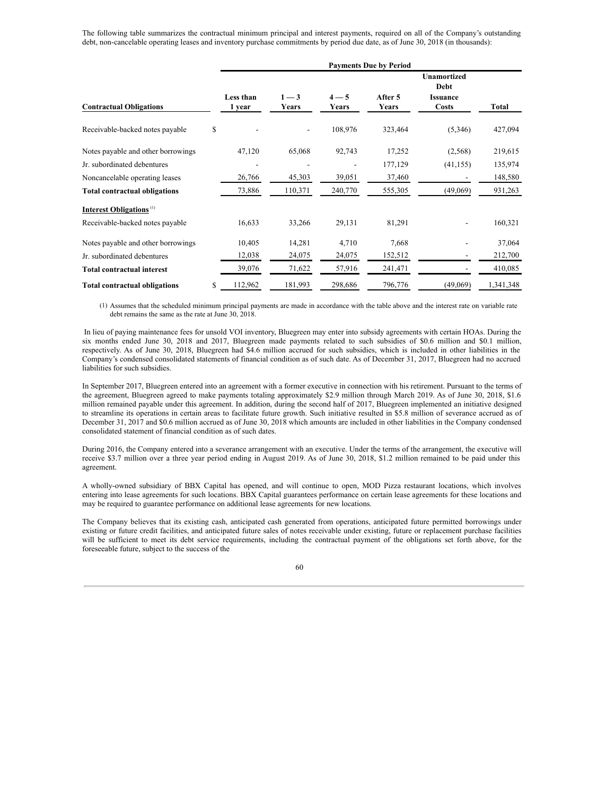The following table summarizes the contractual minimum principal and interest payments, required on all of the Company's outstanding debt, non-cancelable operating leases and inventory purchase commitments by period due date, as of June 30, 2018 (in thousands):

|                                      |    | <b>Payments Due by Period</b> |                  |                  |                  |                                                               |              |  |
|--------------------------------------|----|-------------------------------|------------------|------------------|------------------|---------------------------------------------------------------|--------------|--|
| <b>Contractual Obligations</b>       |    | Less than<br>1 year           | $1 - 3$<br>Years | $4 - 5$<br>Years | After 5<br>Years | <b>Unamortized</b><br>Debt<br><b>Issuance</b><br><b>Costs</b> | <b>Total</b> |  |
| Receivable-backed notes payable      | \$ |                               |                  | 108,976          | 323,464          | (5,346)                                                       | 427,094      |  |
| Notes payable and other borrowings   |    | 47,120                        | 65,068           | 92,743           | 17,252           | (2,568)                                                       | 219,615      |  |
| Jr. subordinated debentures          |    |                               |                  |                  | 177,129          | (41, 155)                                                     | 135,974      |  |
| Noncancelable operating leases       |    | 26,766                        | 45,303           | 39,051           | 37,460           | -                                                             | 148,580      |  |
| <b>Total contractual obligations</b> |    | 73,886                        | 110,371          | 240,770          | 555,305          | (49,069)                                                      | 931,263      |  |
| Interest Obligations <sup>(1)</sup>  |    |                               |                  |                  |                  |                                                               |              |  |
| Receivable-backed notes payable      |    | 16,633                        | 33,266           | 29,131           | 81,291           |                                                               | 160,321      |  |
| Notes payable and other borrowings   |    | 10,405                        | 14,281           | 4,710            | 7,668            |                                                               | 37,064       |  |
| Jr. subordinated debentures          |    | 12,038                        | 24,075           | 24,075           | 152,512          | $\qquad \qquad \blacksquare$                                  | 212,700      |  |
| <b>Total contractual interest</b>    |    | 39,076                        | 71,622           | 57,916           | 241,471          | $\overline{a}$                                                | 410,085      |  |
| <b>Total contractual obligations</b> | S  | 112,962                       | 181,993          | 298,686          | 796,776          | (49,069)                                                      | 1,341,348    |  |

(1) Assumes that the scheduled minimum principal payments are made in accordance with the table above and the interest rate on variable rate debt remains the same as the rate at June 30, 2018.

In lieu of paying maintenance fees for unsold VOI inventory, Bluegreen may enter into subsidy agreements with certain HOAs. During the six months ended June 30, 2018 and 2017, Bluegreen made payments related to such subsidies of \$0.6 million and \$0.1 million, respectively. As of June 30, 2018, Bluegreen had \$4.6 million accrued for such subsidies, which is included in other liabilities in the Company's condensed consolidated statements of financial condition as of such date. As of December 31, 2017, Bluegreen had no accrued liabilities for such subsidies.

In September 2017, Bluegreen entered into an agreement with a former executive in connection with his retirement. Pursuant to the terms of the agreement, Bluegreen agreed to make payments totaling approximately \$2.9 million through March 2019. As of June 30, 2018, \$1.6 million remained payable under this agreement. In addition, during the second half of 2017, Bluegreen implemented an initiative designed to streamline its operations in certain areas to facilitate future growth. Such initiative resulted in \$5.8 million of severance accrued as of December 31, 2017 and \$0.6 million accrued as of June 30, 2018 which amounts are included in other liabilities in the Company condensed consolidated statement of financial condition as of such dates.

During 2016, the Company entered into a severance arrangement with an executive. Under the terms of the arrangement, the executive will receive \$3.7 million over a three year period ending in August 2019. As of June 30, 2018, \$1.2 million remained to be paid under this agreement.

A wholly-owned subsidiary of BBX Capital has opened, and will continue to open, MOD Pizza restaurant locations, which involves entering into lease agreements for such locations. BBX Capital guarantees performance on certain lease agreements for these locations and may be required to guarantee performance on additional lease agreements for new locations.

The Company believes that its existing cash, anticipated cash generated from operations, anticipated future permitted borrowings under existing or future credit facilities, and anticipated future sales of notes receivable under existing, future or replacement purchase facilities will be sufficient to meet its debt service requirements, including the contractual payment of the obligations set forth above, for the foreseeable future, subject to the success of the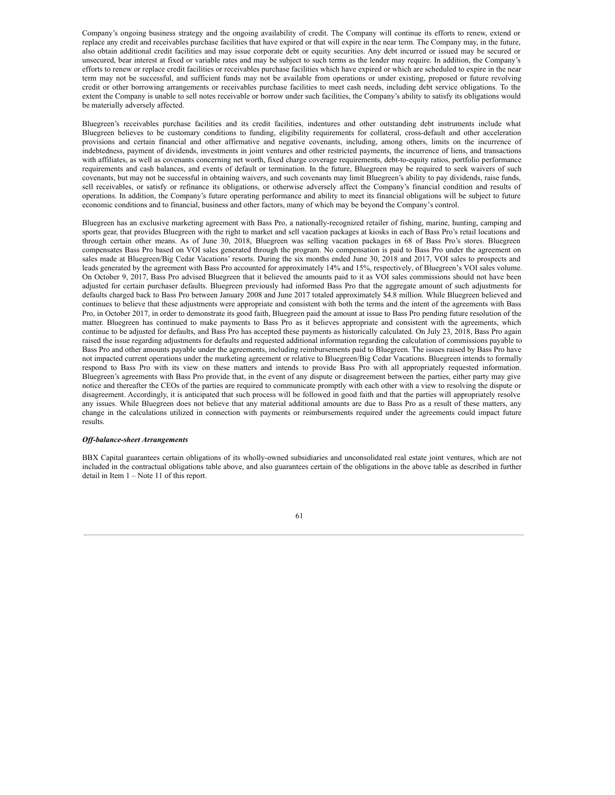Company's ongoing business strategy and the ongoing availability of credit. The Company will continue its efforts to renew, extend or replace any credit and receivables purchase facilities that have expired or that will expire in the near term. The Company may, in the future, also obtain additional credit facilities and may issue corporate debt or equity securities. Any debt incurred or issued may be secured or unsecured, bear interest at fixed or variable rates and may be subject to such terms as the lender may require. In addition, the Company's efforts to renew or replace credit facilities or receivables purchase facilities which have expired or which are scheduled to expire in the near term may not be successful, and sufficient funds may not be available from operations or under existing, proposed or future revolving credit or other borrowing arrangements or receivables purchase facilities to meet cash needs, including debt service obligations. To the extent the Company is unable to sell notes receivable or borrow under such facilities, the Company's ability to satisfy its obligations would be materially adversely affected.

Bluegreen's receivables purchase facilities and its credit facilities, indentures and other outstanding debt instruments include what Bluegreen believes to be customary conditions to funding, eligibility requirements for collateral, cross-default and other acceleration provisions and certain financial and other affirmative and negative covenants, including, among others, limits on the incurrence of indebtedness, payment of dividends, investments in joint ventures and other restricted payments, the incurrence of liens, and transactions with affiliates, as well as covenants concerning net worth, fixed charge coverage requirements, debt-to-equity ratios, portfolio performance requirements and cash balances, and events of default or termination. In the future, Bluegreen may be required to seek waivers of such covenants, but may not be successful in obtaining waivers, and such covenants may limit Bluegreen's ability to pay dividends, raise funds, sell receivables, or satisfy or refinance its obligations, or otherwise adversely affect the Company's financial condition and results of operations. In addition, the Company's future operating performance and ability to meet its financial obligations will be subject to future economic conditions and to financial, business and other factors, many of which may be beyond the Company's control.

Bluegreen has an exclusive marketing agreement with Bass Pro, a nationally-recognized retailer of fishing, marine, hunting, camping and sports gear, that provides Bluegreen with the right to market and sell vacation packages at kiosks in each of Bass Pro's retail locations and through certain other means. As of June 30, 2018, Bluegreen was selling vacation packages in 68 of Bass Pro's stores. Bluegreen compensates Bass Pro based on VOI sales generated through the program. No compensation is paid to Bass Pro under the agreement on sales made at Bluegreen/Big Cedar Vacations' resorts. During the six months ended June 30, 2018 and 2017, VOI sales to prospects and leads generated by the agreement with Bass Pro accounted for approximately 14% and 15%, respectively, of Bluegreen's VOI sales volume. On October 9, 2017, Bass Pro advised Bluegreen that it believed the amounts paid to it as VOI sales commissions should not have been adjusted for certain purchaser defaults. Bluegreen previously had informed Bass Pro that the aggregate amount of such adjustments for defaults charged back to Bass Pro between January 2008 and June 2017 totaled approximately \$4.8 million. While Bluegreen believed and continues to believe that these adjustments were appropriate and consistent with both the terms and the intent of the agreements with Bass Pro, in October 2017, in order to demonstrate its good faith, Bluegreen paid the amount at issue to Bass Pro pending future resolution of the matter. Bluegreen has continued to make payments to Bass Pro as it believes appropriate and consistent with the agreements, which continue to be adjusted for defaults, and Bass Pro has accepted these payments as historically calculated. On July 23, 2018, Bass Pro again raised the issue regarding adjustments for defaults and requested additional information regarding the calculation of commissions payable to Bass Pro and other amounts payable under the agreements, including reimbursements paid to Bluegreen. The issues raised by Bass Pro have not impacted current operations under the marketing agreement or relative to Bluegreen/Big Cedar Vacations. Bluegreen intends to formally respond to Bass Pro with its view on these matters and intends to provide Bass Pro with all appropriately requested information. Bluegreen's agreements with Bass Pro provide that, in the event of any dispute or disagreement between the parties, either party may give notice and thereafter the CEOs of the parties are required to communicate promptly with each other with a view to resolving the dispute or disagreement. Accordingly, it is anticipated that such process will be followed in good faith and that the parties will appropriately resolve any issues. While Bluegreen does not believe that any material additional amounts are due to Bass Pro as a result of these matters, any change in the calculations utilized in connection with payments or reimbursements required under the agreements could impact future results.

## *Of -balance-sheet Arrangements*

BBX Capital guarantees certain obligations of its wholly-owned subsidiaries and unconsolidated real estate joint ventures, which are not included in the contractual obligations table above, and also guarantees certain of the obligations in the above table as described in further detail in Item 1 – Note 11 of this report.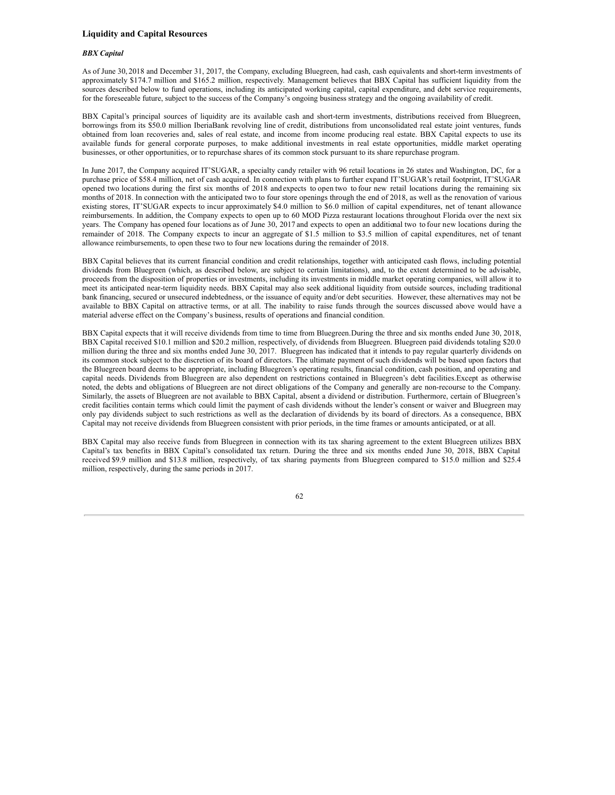## **Liquidity and Capital Resources**

#### *BBX Capital*

As of June 30, 2018 and December 31, 2017, the Company, excluding Bluegreen, had cash, cash equivalents and short-term investments of approximately \$174.7 million and \$165.2 million, respectively. Management believes that BBX Capital has sufficient liquidity from the sources described below to fund operations, including its anticipated working capital, capital expenditure, and debt service requirements, for the foreseeable future, subject to the success of the Company's ongoing business strategy and the ongoing availability of credit.

BBX Capital's principal sources of liquidity are its available cash and short-term investments, distributions received from Bluegreen, borrowings from its \$50.0 million IberiaBank revolving line of credit, distributions from unconsolidated real estate joint ventures, funds obtained from loan recoveries and, sales of real estate, and income from income producing real estate. BBX Capital expects to use its available funds for general corporate purposes, to make additional investments in real estate opportunities, middle market operating businesses, or other opportunities, or to repurchase shares of its common stock pursuant to its share repurchase program.

In June 2017, the Company acquired IT'SUGAR, a specialty candy retailer with 96 retail locations in 26 states and Washington, DC, for a purchase price of \$58.4 million, net of cash acquired. In connection with plans to further expand IT'SUGAR's retail footprint, IT'SUGAR opened two locations during the first six months of 2018 andexpects to open two to four new retail locations during the remaining six months of 2018. In connection with the anticipated two to four store openings through the end of 2018, as well as the renovation of various existing stores, IT'SUGAR expects to incur approximately \$4.0 million to \$6.0 million of capital expenditures, net of tenant allowance reimbursements. In addition, the Company expects to open up to 60 MOD Pizza restaurant locations throughout Florida over the next six years. The Company has opened four locations as of June 30, 2017 and expects to open an additional two to four new locations during the remainder of 2018. The Company expects to incur an aggregate of \$1.5 million to \$3.5 million of capital expenditures, net of tenant allowance reimbursements, to open these two to four new locations during the remainder of 2018.

BBX Capital believes that its current financial condition and credit relationships, together with anticipated cash flows, including potential dividends from Bluegreen (which, as described below, are subject to certain limitations), and, to the extent determined to be advisable, proceeds from the disposition of properties or investments, including its investments in middle market operating companies, will allow it to meet its anticipated near-term liquidity needs. BBX Capital may also seek additional liquidity from outside sources, including traditional bank financing, secured or unsecured indebtedness, or the issuance of equity and/or debt securities. However, these alternatives may not be available to BBX Capital on attractive terms, or at all. The inability to raise funds through the sources discussed above would have a material adverse effect on the Company's business, results of operations and financial condition.

BBX Capital expects that it will receive dividends from time to time from Bluegreen.During the three and six months ended June 30, 2018, BBX Capital received \$10.1 million and \$20.2 million, respectively, of dividends from Bluegreen. Bluegreen paid dividends totaling \$20.0 million during the three and six months ended June 30, 2017. Bluegreen has indicated that it intends to pay regular quarterly dividends on its common stock subject to the discretion of its board of directors. The ultimate payment of such dividends will be based upon factors that the Bluegreen board deems to be appropriate, including Bluegreen's operating results, financial condition, cash position, and operating and capital needs. Dividends from Bluegreen are also dependent on restrictions contained in Bluegreen's debt facilities.Except as otherwise noted, the debts and obligations of Bluegreen are not direct obligations of the Company and generally are non-recourse to the Company. Similarly, the assets of Bluegreen are not available to BBX Capital, absent a dividend or distribution. Furthermore, certain of Bluegreen's credit facilities contain terms which could limit the payment of cash dividends without the lender's consent or waiver and Bluegreen may only pay dividends subject to such restrictions as well as the declaration of dividends by its board of directors. As a consequence, BBX Capital may not receive dividends from Bluegreen consistent with prior periods, in the time frames or amounts anticipated, or at all.

BBX Capital may also receive funds from Bluegreen in connection with its tax sharing agreement to the extent Bluegreen utilizes BBX Capital's tax benefits in BBX Capital's consolidated tax return. During the three and six months ended June 30, 2018, BBX Capital received \$9.9 million and \$13.8 million, respectively, of tax sharing payments from Bluegreen compared to \$15.0 million and \$25.4 million, respectively, during the same periods in 2017.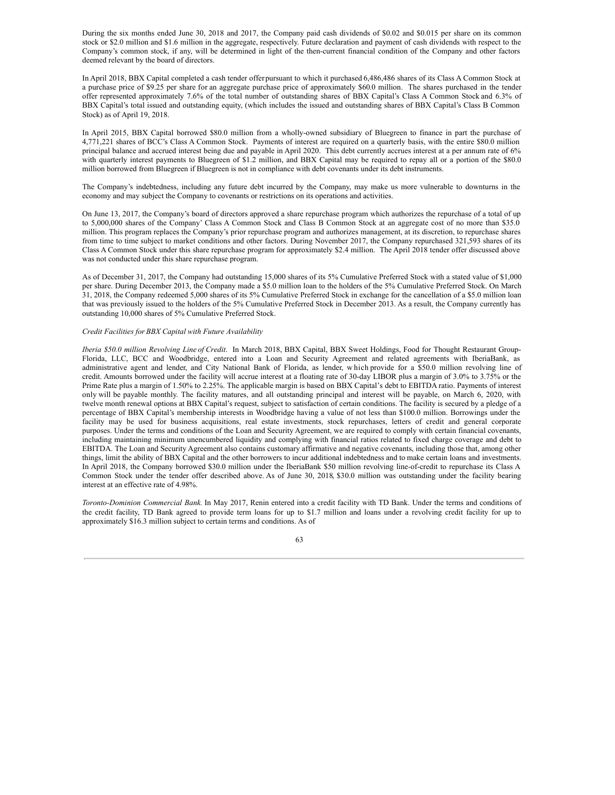During the six months ended June 30, 2018 and 2017, the Company paid cash dividends of \$0.02 and \$0.015 per share on its common stock or \$2.0 million and \$1.6 million in the aggregate, respectively. Future declaration and payment of cash dividends with respect to the Company's common stock, if any, will be determined in light of the then-current financial condition of the Company and other factors deemed relevant by the board of directors.

In April 2018, BBX Capital completed a cash tender offerpursuant to which it purchased 6,486,486 shares of its Class A Common Stock at a purchase price of \$9.25 per share for an aggregate purchase price of approximately \$60.0 million. The shares purchased in the tender offer represented approximately 7.6% of the total number of outstanding shares of BBX Capital's Class A Common Stock and 6.3% of BBX Capital's total issued and outstanding equity, (which includes the issued and outstanding shares of BBX Capital's Class B Common Stock) as of April 19, 2018.

In April 2015, BBX Capital borrowed \$80.0 million from a wholly-owned subsidiary of Bluegreen to finance in part the purchase of 4,771,221 shares of BCC's Class A Common Stock. Payments of interest are required on a quarterly basis, with the entire \$80.0 million principal balance and accrued interest being due and payable in April 2020. This debt currently accrues interest at a per annum rate of 6% with quarterly interest payments to Bluegreen of \$1.2 million, and BBX Capital may be required to repay all or a portion of the \$80.0 million borrowed from Bluegreen if Bluegreen is not in compliance with debt covenants under its debt instruments.

The Company's indebtedness, including any future debt incurred by the Company, may make us more vulnerable to downturns in the economy and may subject the Company to covenants or restrictions on its operations and activities.

On June 13, 2017, the Company's board of directors approved a share repurchase program which authorizes the repurchase of a total of up to 5,000,000 shares of the Company' Class A Common Stock and Class B Common Stock at an aggregate cost of no more than \$35.0 million. This program replaces the Company's prior repurchase program and authorizes management, at its discretion, to repurchase shares from time to time subject to market conditions and other factors. During November 2017, the Company repurchased 321,593 shares of its Class A Common Stock under this share repurchase program for approximately \$2.4 million. The April 2018 tender offer discussed above was not conducted under this share repurchase program.

As of December 31, 2017, the Company had outstanding 15,000 shares of its 5% Cumulative Preferred Stock with a stated value of \$1,000 per share. During December 2013, the Company made a \$5.0 million loan to the holders of the 5% Cumulative Preferred Stock. On March 31, 2018, the Company redeemed 5,000 shares of its 5% Cumulative Preferred Stock in exchange for the cancellation of a \$5.0 million loan that was previously issued to the holders of the 5% Cumulative Preferred Stock in December 2013. As a result, the Company currently has outstanding 10,000 shares of 5% Cumulative Preferred Stock.

#### *Credit Facilities for BBX Capital with Future Availability*

*Iberia \$50.0 million Revolving Line of Credit*. In March 2018, BBX Capital, BBX Sweet Holdings, Food for Thought Restaurant Group-Florida, LLC, BCC and Woodbridge, entered into a Loan and Security Agreement and related agreements with IberiaBank, as administrative agent and lender, and City National Bank of Florida, as lender, w hich provide for a \$50.0 million revolving line of credit. Amounts borrowed under the facility will accrue interest at a floating rate of 30-day LIBOR plus a margin of 3.0% to 3.75% or the Prime Rate plus a margin of 1.50% to 2.25%. The applicable margin is based on BBX Capital's debt to EBITDA ratio. Payments of interest only will be payable monthly. The facility matures, and all outstanding principal and interest will be payable, on March 6, 2020, with twelve month renewal options at BBX Capital's request, subject to satisfaction of certain conditions. The facility is secured by a pledge of a percentage of BBX Capital's membership interests in Woodbridge having a value of not less than \$100.0 million. Borrowings under the facility may be used for business acquisitions, real estate investments, stock repurchases, letters of credit and general corporate purposes. Under the terms and conditions of the Loan and Security Agreement, we are required to comply with certain financial covenants, including maintaining minimum unencumbered liquidity and complying with financial ratios related to fixed charge coverage and debt to EBITDA. The Loan and Security Agreement also contains customary affirmative and negative covenants, including those that, among other things, limit the ability of BBX Capital and the other borrowers to incur additional indebtedness and to make certain loans and investments. In April 2018, the Company borrowed \$30.0 million under the IberiaBank \$50 million revolving line-of-credit to repurchase its Class A Common Stock under the tender offer described above. As of June 30, 2018, \$30.0 million was outstanding under the facility bearing interest at an effective rate of 4.98%.

*Toronto-Dominion Commercial Bank.* In May 2017, Renin entered into a credit facility with TD Bank. Under the terms and conditions of the credit facility, TD Bank agreed to provide term loans for up to \$1.7 million and loans under a revolving credit facility for up to approximately \$16.3 million subject to certain terms and conditions. As of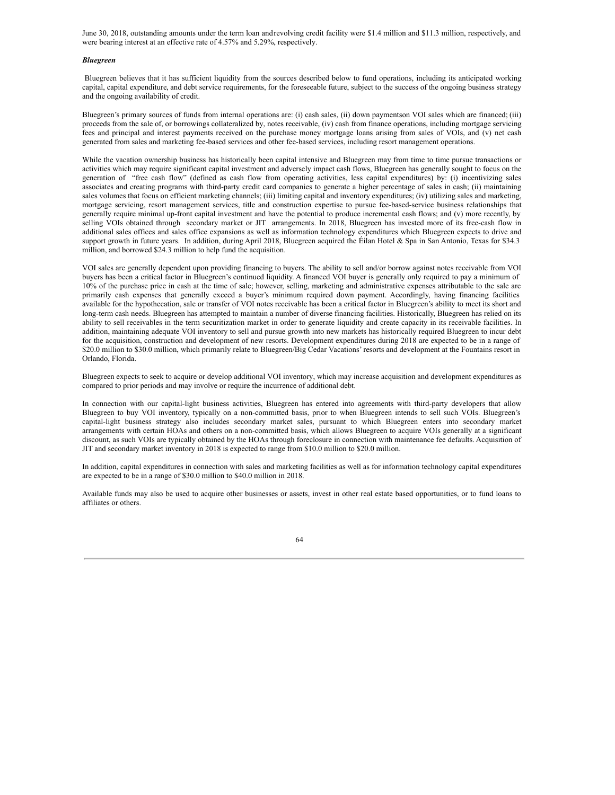June 30, 2018, outstanding amounts under the term loan andrevolving credit facility were \$1.4 million and \$11.3 million, respectively, and were bearing interest at an effective rate of 4.57% and 5.29%, respectively.

#### *Bluegreen*

Bluegreen believes that it has sufficient liquidity from the sources described below to fund operations, including its anticipated working capital, capital expenditure, and debt service requirements, for the foreseeable future, subject to the success of the ongoing business strategy and the ongoing availability of credit.

Bluegreen's primary sources of funds from internal operations are: (i) cash sales, (ii) down paymentson VOI sales which are financed; (iii) proceeds from the sale of, or borrowings collateralized by, notes receivable, (iv) cash from finance operations, including mortgage servicing fees and principal and interest payments received on the purchase money mortgage loans arising from sales of VOIs, and (v) net cash generated from sales and marketing fee-based services and other fee-based services, including resort management operations.

While the vacation ownership business has historically been capital intensive and Bluegreen may from time to time pursue transactions or activities which may require significant capital investment and adversely impact cash flows, Bluegreen has generally sought to focus on the generation of "free cash flow" (defined as cash flow from operating activities, less capital expenditures) by: (i) incentivizing sales associates and creating programs with third-party credit card companies to generate a higher percentage of sales in cash; (ii) maintaining sales volumes that focus on efficient marketing channels; (iii) limiting capital and inventory expenditures; (iv) utilizing sales and marketing, mortgage servicing, resort management services, title and construction expertise to pursue fee-based-service business relationships that generally require minimal up-front capital investment and have the potential to produce incremental cash flows; and (v) more recently, by selling VOIs obtained through secondary market or JIT arrangements. In 2018, Bluegreen has invested more of its free-cash flow in additional sales offices and sales office expansions as well as information technology expenditures which Bluegreen expects to drive and support growth in future years. In addition, during April 2018, Bluegreen acquired the Éilan Hotel & Spa in San Antonio, Texas for \$34.3 million, and borrowed \$24.3 million to help fund the acquisition.

VOI sales are generally dependent upon providing financing to buyers. The ability to sell and/or borrow against notes receivable from VOI buyers has been a critical factor in Bluegreen's continued liquidity. A financed VOI buyer is generally only required to pay a minimum of 10% of the purchase price in cash at the time of sale; however, selling, marketing and administrative expenses attributable to the sale are primarily cash expenses that generally exceed a buyer's minimum required down payment. Accordingly, having financing facilities available for the hypothecation, sale or transfer of VOI notes receivable has been a critical factor in Bluegreen's ability to meet its short and long-term cash needs. Bluegreen has attempted to maintain a number of diverse financing facilities. Historically, Bluegreen has relied on its ability to sell receivables in the term securitization market in order to generate liquidity and create capacity in its receivable facilities. In addition, maintaining adequate VOI inventory to sell and pursue growth into new markets has historically required Bluegreen to incur debt for the acquisition, construction and development of new resorts. Development expenditures during 2018 are expected to be in a range of \$20.0 million to \$30.0 million, which primarily relate to Bluegreen/Big Cedar Vacations' resorts and development at the Fountains resort in Orlando, Florida.

Bluegreen expects to seek to acquire or develop additional VOI inventory, which may increase acquisition and development expenditures as compared to prior periods and may involve or require the incurrence of additional debt.

In connection with our capital-light business activities, Bluegreen has entered into agreements with third-party developers that allow Bluegreen to buy VOI inventory, typically on a non-committed basis, prior to when Bluegreen intends to sell such VOIs. Bluegreen's capital-light business strategy also includes secondary market sales, pursuant to which Bluegreen enters into secondary market arrangements with certain HOAs and others on a non-committed basis, which allows Bluegreen to acquire VOIs generally at a significant discount, as such VOIs are typically obtained by the HOAs through foreclosure in connection with maintenance fee defaults. Acquisition of JIT and secondary market inventory in 2018 is expected to range from \$10.0 million to \$20.0 million.

In addition, capital expenditures in connection with sales and marketing facilities as well as for information technology capital expenditures are expected to be in a range of \$30.0 million to \$40.0 million in 2018.

Available funds may also be used to acquire other businesses or assets, invest in other real estate based opportunities, or to fund loans to affiliates or others.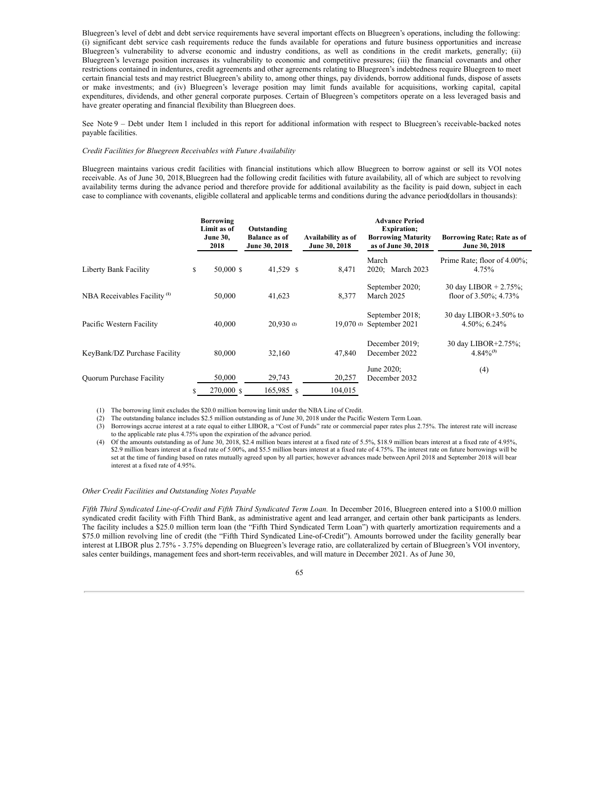Bluegreen's level of debt and debt service requirements have several important effects on Bluegreen's operations, including the following: (i) significant debt service cash requirements reduce the funds available for operations and future business opportunities and increase Bluegreen's vulnerability to adverse economic and industry conditions, as well as conditions in the credit markets, generally; (ii) Bluegreen's leverage position increases its vulnerability to economic and competitive pressures; (iii) the financial covenants and other restrictions contained in indentures, credit agreements and other agreements relating to Bluegreen's indebtedness require Bluegreen to meet certain financial tests and may restrict Bluegreen's ability to, among other things, pay dividends, borrow additional funds, dispose of assets or make investments; and (iv) Bluegreen's leverage position may limit funds available for acquisitions, working capital, capital expenditures, dividends, and other general corporate purposes. Certain of Bluegreen's competitors operate on a less leveraged basis and have greater operating and financial flexibility than Bluegreen does.

See Note 9 – Debt under Item 1 included in this report for additional information with respect to Bluegreen's receivable-backed notes payable facilities.

#### *Credit Facilities for Bluegreen Receivables with Future Availability*

Bluegreen maintains various credit facilities with financial institutions which allow Bluegreen to borrow against or sell its VOI notes receivable. As of June 30, 2018,Bluegreen had the following credit facilities with future availability, all of which are subject to revolving availability terms during the advance period and therefore provide for additional availability as the facility is paid down, subject in each case to compliance with covenants, eligible collateral and applicable terms and conditions during the advance period(dollars in thousands):

|                                         |   | <b>Borrowing</b><br>Limit as of<br><b>June 30,</b><br>2018 | Outstanding<br><b>Balance as of</b><br>June 30, 2018 | Availability as of<br>June 30, 2018 | <b>Advance Period</b><br><b>Expiration;</b><br><b>Borrowing Maturity</b><br>as of June 30, 2018 | Borrowing Rate; Rate as of<br>June 30, 2018               |
|-----------------------------------------|---|------------------------------------------------------------|------------------------------------------------------|-------------------------------------|-------------------------------------------------------------------------------------------------|-----------------------------------------------------------|
| Liberty Bank Facility                   | S | $50,000$ \$                                                | 41,529 \$                                            | 8,471                               | March<br>2020; March 2023                                                                       | Prime Rate; floor of 4.00%;<br>4.75%                      |
| NBA Receivables Facility <sup>(1)</sup> |   | 50,000                                                     | 41,623                                               | 8,377                               | September 2020;<br>March 2025                                                                   | 30 day LIBOR $+ 2.75\%$ ;<br>floor of $3.50\%$ ; $4.73\%$ |
| Pacific Western Facility                |   | 40,000                                                     | $20,930$ (2)                                         |                                     | September 2018;<br>19,070 (2) September 2021                                                    | 30 day LIBOR $+3.50\%$ to<br>$4.50\%$ ; 6.24%             |
| KeyBank/DZ Purchase Facility            |   | 80,000                                                     | 32,160                                               | 47.840                              | December 2019;<br>December 2022                                                                 | 30 day LIBOR+2.75%;<br>$4.84\%^{(3)}$                     |
| <b>Ouorum Purchase Facility</b>         | S | 50,000<br>$270,000 \text{ s}$                              | 29,743<br>$165,985$ \$                               | 20,257<br>104.015                   | June 2020;<br>December 2032                                                                     | (4)                                                       |

(1) The borrowing limit excludes the \$20.0 million borrowing limit under the NBA Line of Credit.

(2) The outstanding balance includes \$2.5 million outstanding as of June 30, 2018 under the Pacific Western Term Loan.

(3) Borrowings accrue interest at a rate equal to either LIBOR, a "Cost of Funds" rate or commercial paper rates plus 2.75%. The interest rate will increase to the applicable rate plus 4.75% upon the expiration of the advance period.

(4) Of the amounts outstanding as of June 30, 2018, \$2.4 million bears interest at a fixed rate of 5.5%, \$18.9 million bears interest at a fixed rate of 4.95%, \$2.9 million bears interest at a fixed rate of 5.00%, and \$5.5 million bears interest at a fixed rate of 4.75%. The interest rate on future borrowings will be set at the time of funding based on rates mutually agreed upon by all parties; however advances made between April 2018 and September 2018 will bear interest at a fixed rate of 4.95%.

#### *Other Credit Facilities and Outstanding Notes Payable*

*Fifth Third Syndicated Line-of-Credit and Fifth Third Syndicated Term Loan.* In December 2016, Bluegreen entered into a \$100.0 million syndicated credit facility with Fifth Third Bank, as administrative agent and lead arranger, and certain other bank participants as lenders. The facility includes a \$25.0 million term loan (the "Fifth Third Syndicated Term Loan") with quarterly amortization requirements and a \$75.0 million revolving line of credit (the "Fifth Third Syndicated Line-of-Credit"). Amounts borrowed under the facility generally bear interest at LIBOR plus 2.75% - 3.75% depending on Bluegreen's leverage ratio, are collateralized by certain of Bluegreen's VOI inventory, sales center buildings, management fees and short-term receivables, and will mature in December 2021. As of June 30,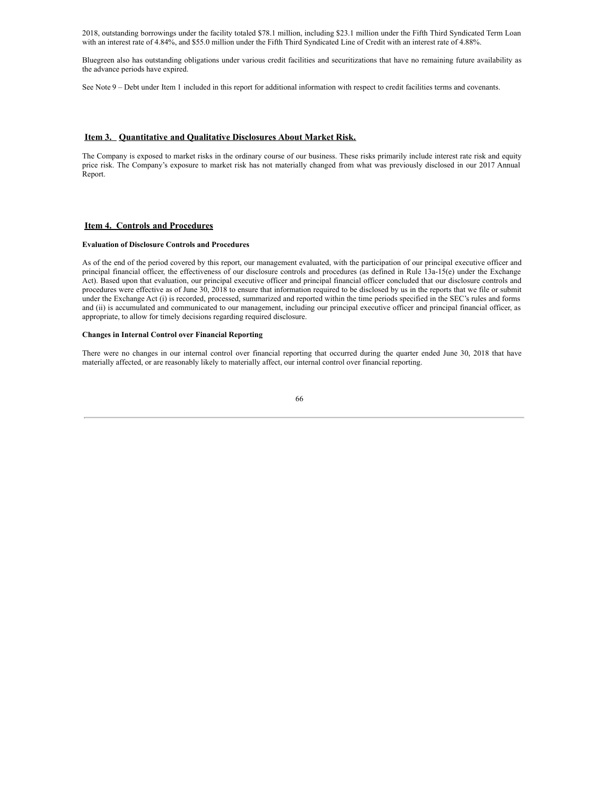2018, outstanding borrowings under the facility totaled \$78.1 million, including \$23.1 million under the Fifth Third Syndicated Term Loan with an interest rate of 4.84%, and \$55.0 million under the Fifth Third Syndicated Line of Credit with an interest rate of 4.88%.

Bluegreen also has outstanding obligations under various credit facilities and securitizations that have no remaining future availability as the advance periods have expired.

See Note 9 – Debt under Item 1 included in this report for additional information with respect to credit facilities terms and covenants.

## **Item 3. Quantitative and Qualitative Disclosures About Market Risk.**

The Company is exposed to market risks in the ordinary course of our business. These risks primarily include interest rate risk and equity price risk. The Company's exposure to market risk has not materially changed from what was previously disclosed in our 2017 Annual Report.

## **Item 4. Controls and Procedures**

## **Evaluation of Disclosure Controls and Procedures**

As of the end of the period covered by this report, our management evaluated, with the participation of our principal executive officer and principal financial officer, the effectiveness of our disclosure controls and procedures (as defined in Rule 13a-15(e) under the Exchange Act). Based upon that evaluation, our principal executive officer and principal financial officer concluded that our disclosure controls and procedures were effective as of June 30, 2018 to ensure that information required to be disclosed by us in the reports that we file or submit under the Exchange Act (i) is recorded, processed, summarized and reported within the time periods specified in the SEC's rules and forms and (ii) is accumulated and communicated to our management, including our principal executive officer and principal financial officer, as appropriate, to allow for timely decisions regarding required disclosure.

#### **Changes in Internal Control over Financial Reporting**

There were no changes in our internal control over financial reporting that occurred during the quarter ended June 30, 2018 that have materially affected, or are reasonably likely to materially affect, our internal control over financial reporting.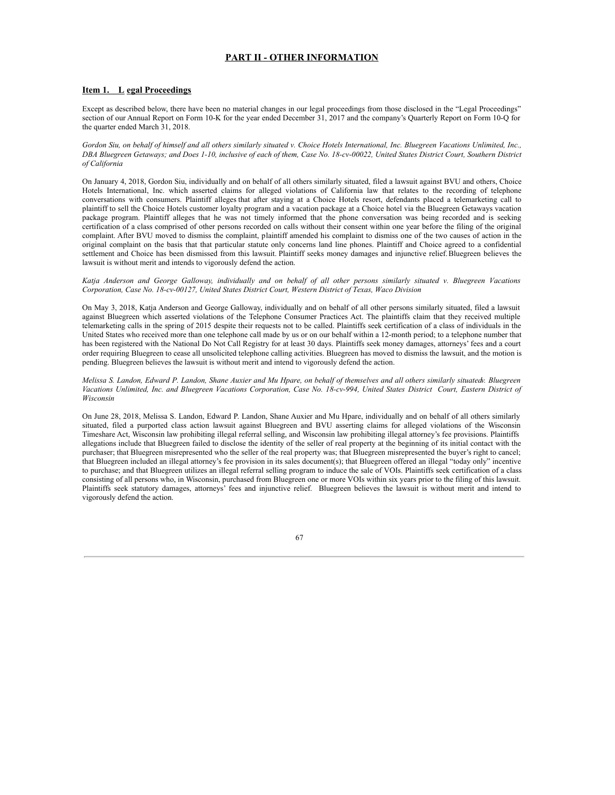# **PART II - OTHER INFORMATION**

## **Item 1. L egal Proceedings**

Except as described below, there have been no material changes in our legal proceedings from those disclosed in the "Legal Proceedings" section of our Annual Report on Form 10-K for the year ended December 31, 2017 and the company's Quarterly Report on Form 10-Q for the quarter ended March 31, 2018.

Gordon Siu, on behalf of himself and all others similarly situated v. Choice Hotels International, Inc. Bluegreen Vacations Unlimited, Inc., DBA Bluegreen Getaways; and Does 1-10, inclusive of each of them, Case No. 18-cv-00022, United States District Court, Southern District *of California*

On January 4, 2018, Gordon Siu, individually and on behalf of all others similarly situated, filed a lawsuit against BVU and others, Choice Hotels International, Inc. which asserted claims for alleged violations of California law that relates to the recording of telephone conversations with consumers. Plaintiff alleges that after staying at a Choice Hotels resort, defendants placed a telemarketing call to plaintiff to sell the Choice Hotels customer loyalty program and a vacation package at a Choice hotel via the Bluegreen Getaways vacation package program. Plaintiff alleges that he was not timely informed that the phone conversation was being recorded and is seeking certification of a class comprised of other persons recorded on calls without their consent within one year before the filing of the original complaint. After BVU moved to dismiss the complaint, plaintiff amended his complaint to dismiss one of the two causes of action in the original complaint on the basis that that particular statute only concerns land line phones. Plaintiff and Choice agreed to a confidential settlement and Choice has been dismissed from this lawsuit. Plaintiff seeks money damages and injunctive relief.Bluegreen believes the lawsuit is without merit and intends to vigorously defend the action.

Katja Anderson and George Galloway, individually and on behalf of all other persons similarly situated v. Bluegreen Vacations *Corporation, Case No. 18-cv-00127, United States District Court, Western District of Texas, Waco Division*

On May 3, 2018, Katja Anderson and George Galloway, individually and on behalf of all other persons similarly situated, filed a lawsuit against Bluegreen which asserted violations of the Telephone Consumer Practices Act. The plaintiffs claim that they received multiple telemarketing calls in the spring of 2015 despite their requests not to be called. Plaintiffs seek certification of a class of individuals in the United States who received more than one telephone call made by us or on our behalf within a 12-month period; to a telephone number that has been registered with the National Do Not Call Registry for at least 30 days. Plaintiffs seek money damages, attorneys' fees and a court order requiring Bluegreen to cease all unsolicited telephone calling activities. Bluegreen has moved to dismiss the lawsuit, and the motion is pending. Bluegreen believes the lawsuit is without merit and intend to vigorously defend the action.

Melissa S. Landon, Edward P. Landon, Shane Auxier and Mu Hpare, on behalf of themselves and all others similarly situatedy. Bluegreen Vacations Unlimited, Inc. and Bluegreen Vacations Corporation, Case No. 18-cv-994, United States District Court, Eastern District of *Wisconsin*

On June 28, 2018, Melissa S. Landon, Edward P. Landon, Shane Auxier and Mu Hpare, individually and on behalf of all others similarly situated, filed a purported class action lawsuit against Bluegreen and BVU asserting claims for alleged violations of the Wisconsin Timeshare Act, Wisconsin law prohibiting illegal referral selling, and Wisconsin law prohibiting illegal attorney's fee provisions. Plaintiffs allegations include that Bluegreen failed to disclose the identity of the seller of real property at the beginning of its initial contact with the purchaser; that Bluegreen misrepresented who the seller of the real property was; that Bluegreen misrepresented the buyer's right to cancel; that Bluegreen included an illegal attorney's fee provision in its sales document(s); that Bluegreen offered an illegal "today only" incentive to purchase; and that Bluegreen utilizes an illegal referral selling program to induce the sale of VOIs. Plaintiffs seek certification of a class consisting of all persons who, in Wisconsin, purchased from Bluegreen one or more VOIs within six years prior to the filing of this lawsuit. Plaintiffs seek statutory damages, attorneys' fees and injunctive relief. Bluegreen believes the lawsuit is without merit and intend to vigorously defend the action.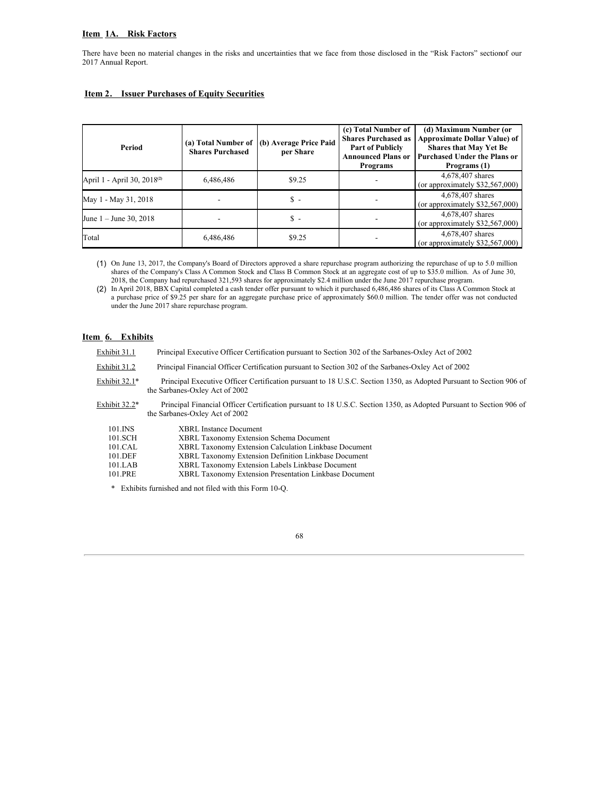## **Item 1A. Risk Factors**

There have been no material changes in the risks and uncertainties that we face from those disclosed in the "Risk Factors" sectionof our 2017 Annual Report.

# **Item 2. Issuer Purchases of Equity Securities**

| Period                                  | <b>Shares Purchased</b> | (a) Total Number of (b) Average Price Paid<br>per Share | (c) Total Number of<br><b>Shares Purchased as</b><br><b>Part of Publicly</b><br><b>Announced Plans or</b><br><b>Programs</b> | (d) Maximum Number (or<br><b>Approximate Dollar Value) of</b><br><b>Shares that May Yet Be</b><br><b>Purchased Under the Plans or</b><br>Programs (1) |
|-----------------------------------------|-------------------------|---------------------------------------------------------|------------------------------------------------------------------------------------------------------------------------------|-------------------------------------------------------------------------------------------------------------------------------------------------------|
| April 1 - April 30, 2018 <sup>(2)</sup> | 6,486,486               | \$9.25                                                  |                                                                                                                              | 4,678,407 shares<br>(or approximately $$32,567,000$ )                                                                                                 |
| May 1 - May 31, 2018                    |                         | \$ -                                                    |                                                                                                                              | 4,678,407 shares<br>(or approximately $$32,567,000$ )                                                                                                 |
| June $1 -$ June 30, 2018                |                         | \$-                                                     |                                                                                                                              | 4,678,407 shares<br>(or approximately $$32,567,000$ )                                                                                                 |
| Total                                   | 6,486,486               | \$9.25                                                  |                                                                                                                              | 4,678,407 shares<br>(or approximately $$32,567,000$ )                                                                                                 |

(1) On June 13, 2017, the Company's Board of Directors approved a share repurchase program authorizing the repurchase of up to 5.0 million shares of the Company's Class A Common Stock and Class B Common Stock at an aggrega 2018, the Company had repurchased 321,593 shares for approximately \$2.4 million under the June 2017 repurchase program.

(2) In April 2018, BBX Capital completed a cash tender offer pursuant to which it purchased 6,486,486 shares of its Class A Common Stock at a purchase price of \$9.25 per share for an aggregate purchase price of approximately \$60.0 million. The tender offer was not conducted under the June 2017 share repurchase program.

# **Item 6. Exhibits**

| Exhibit 31.1  | Principal Executive Officer Certification pursuant to Section 302 of the Sarbanes-Oxley Act of 2002                                                   |
|---------------|-------------------------------------------------------------------------------------------------------------------------------------------------------|
| Exhibit 31.2  | Principal Financial Officer Certification pursuant to Section 302 of the Sarbanes-Oxley Act of 2002                                                   |
| Exhibit 32.1* | Principal Executive Officer Certification pursuant to 18 U.S.C. Section 1350, as Adopted Pursuant to Section 906 of<br>the Sarbanes-Oxley Act of 2002 |
| Exhibit 32.2* | Principal Financial Officer Certification pursuant to 18 U.S.C. Section 1350, as Adopted Pursuant to Section 906 of<br>the Sarbanes-Oxley Act of 2002 |
| 101 INS       | <b>XBRL</b> Instance Document                                                                                                                         |
| 101.SCH       | <b>XBRL Taxonomy Extension Schema Document</b>                                                                                                        |
| 101.CAL       | XBRL Taxonomy Extension Calculation Linkbase Document                                                                                                 |
| 101.DEF       | XBRL Taxonomy Extension Definition Linkbase Document                                                                                                  |
| 101.LAB       | XBRL Taxonomy Extension Labels Linkbase Document                                                                                                      |
| 101.PRE       | <b>XBRL Taxonomy Extension Presentation Linkbase Document</b>                                                                                         |
|               |                                                                                                                                                       |

\* Exhibits furnished and not filed with this Form 10-Q.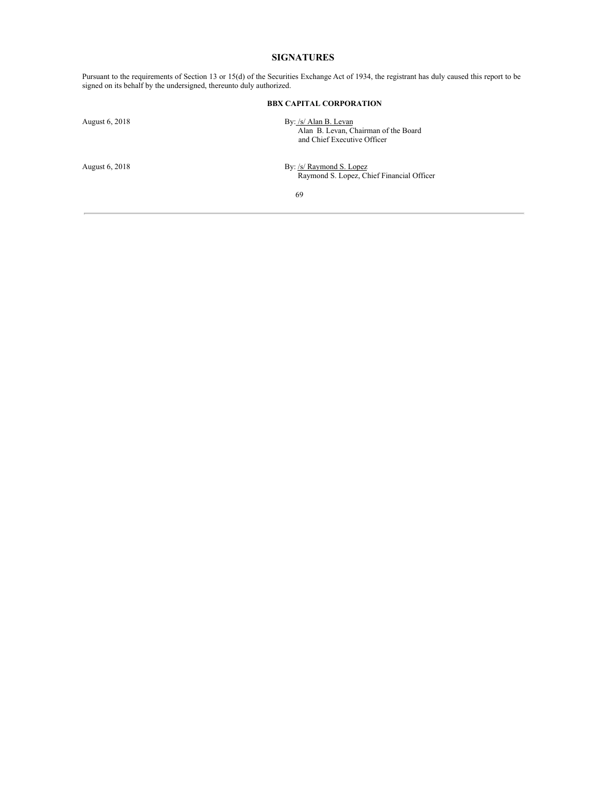# **SIGNATURES**

Pursuant to the requirements of Section 13 or 15(d) of the Securities Exchange Act of 1934, the registrant has duly caused this report to be signed on its behalf by the undersigned, thereunto duly authorized.

# **BBX CAPITAL CORPORATION**

| August 6, 2018 | By: /s/ Alan B. Levan<br>Alan B. Levan, Chairman of the Board<br>and Chief Executive Officer |
|----------------|----------------------------------------------------------------------------------------------|
| August 6, 2018 | By: /s/ Raymond S. Lopez<br>Raymond S. Lopez, Chief Financial Officer                        |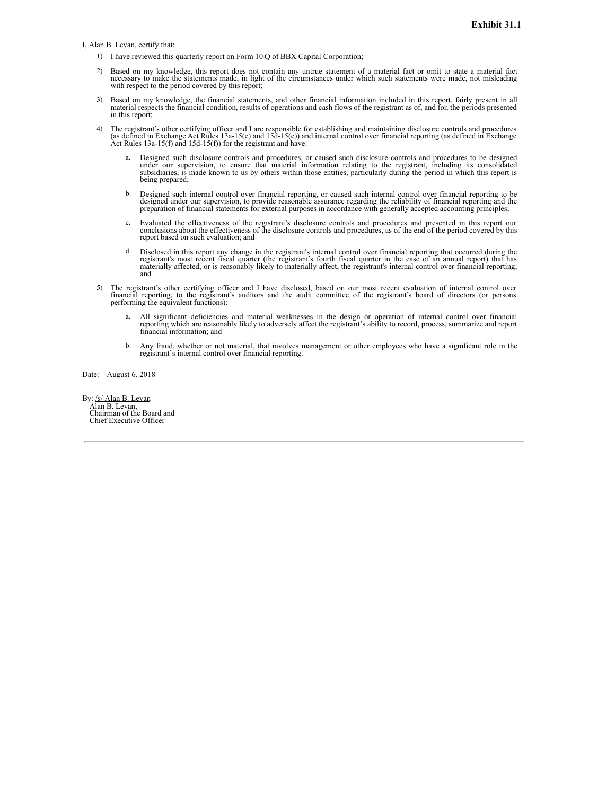<span id="page-71-0"></span>I, Alan B. Levan, certify that:

- 1) I have reviewed this quarterly report on Form 10-Q of BBX Capital Corporation;
- 2) Based on my knowledge, this report does not contain any untrue statement of a material fact or omit to state a material fact necessary to make the statements made, in light of the circumstances under which such statements were made, not misleading with respect to the period covered by this report;
- 3) Based on my knowledge, the financial statements, and other financial information included in this report, fairly present in all material respects the financial condition, results of operations and cash flows of the regi in this report;
- 4) The registrant's other certifying officer and I are responsible for establishing and maintaining disclosure controls and procedures (as defined in Exchange Act Rules 13a-15(e) and 15d-15(e)) and internal control over fi Act Rules  $13a-15(f)$  and  $15d-15(f)$ ) for the registrant and have:
	- Designed such disclosure controls and procedures, or caused such disclosure controls and procedures to be designed under our supervision, to ensure that material information relating to the registrant, including its consolidated<br>subsidiaries, is made known to us by others within those entities, particularly during the period in which t being prepared;
	- b. Designed such internal control over financial reporting, or caused such internal control over financial reporting to be designed under our supervision, to provide reasonable assurance regarding the reliability of financ
	- c. Evaluated the effectiveness of the registrant's disclosure controls and procedures and presented in this report our conclusions about the effectiveness of the disclosure controls and procedures, as of the end of the per report based on such evaluation; and
	- Disclosed in this report any change in the registrant's internal control over financial reporting that occurred during the Discovered in this recent fiscal quarter (the registrant's fourth fiscal quarter in the case of an annual report) that has<br>materially affected, or is reasonably likely to materially affect, the registrant's internal contro and
- 5) The registrant's other certifying officer and I have disclosed, based on our most recent evaluation of internal control over financial reporting, to the registrant's auditors and the audit committee of the registrant's board of directors (or persons performing the equivalent functions):
	- a. All significant deficiencies and material weaknesses in the design or operation of internal control over financial reporting which are reasonably likely to adversely affect the registrant's ability to record, process, s
	- b. Any fraud, whether or not material, that involves management or other employees who have a significant role in the registrant's internal control over financial reporting.

Date: August 6, 2018

By: /s/ Alan B. Levan Alan B. Levan, Chairman of the Board and Chief Executive Officer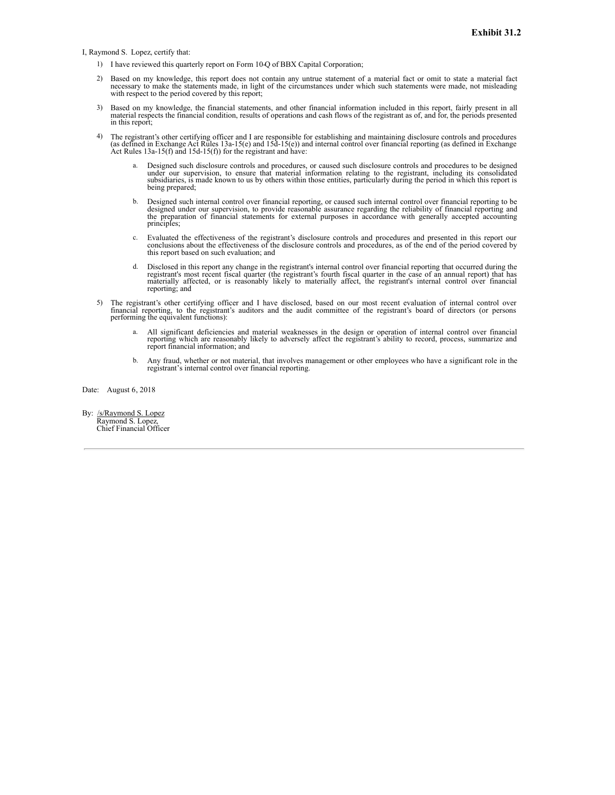I, Raymond S. Lopez, certify that:

- 1) I have reviewed this quarterly report on Form 10-Q of BBX Capital Corporation;
- 2) Based on my knowledge, this report does not contain any untrue statement of a material fact or omit to state a material fact necessary to make the statements made, in light of the circumstances under which such statements were made, not misleading with respect to the period covered by this report;
- 3) Based on my knowledge, the financial statements, and other financial information included in this report, fairly present in all material respects the financial condition, results of operations and cash flows of the regi in this report;
- 4) The registrant's other certifying officer and I are responsible for establishing and maintaining disclosure controls and procedures (as defined in Exchange Act Rules 13a-15(e) and 15d-15(e)) and internal control over fi
	- a. Designed such disclosure controls and procedures, or caused such disclosure controls and procedures to be designed under our supervision, to ensure that material information relating to the registrant, including its con subsidiaries, is made known to us by others within those entities, particularly during the period in which this report is being prepared;
	- b. Designed such internal control over financial reporting, or caused such internal control over financial reporting to be designed under our supervision, to provide reasonable assurance regarding the reliability of financ the preparation of financial statements for external purposes in accordance with generally accepted accounting principles;
	- c. Evaluated the effectiveness of the registrant's disclosure controls and procedures and presented in this report our conclusions about the effectiveness of the disclosure controls and procedures, as of the end of the per this report based on such evaluation; and
	- d. Disclosed in this report any change in the registrant's internal control over financial reporting that occurred during the registrant's most recent fiscal quarter (the registrant's fourth fiscal quarter in the case of an annual report) that has materially affected, or is reasonably likely to materially affect, the registrant's internal control reporting; and
- 5) The registrant's other certifying officer and I have disclosed, based on our most recent evaluation of internal control over financial reporting, to the registrant's auditors and the audit committee of the registrant's
	- a. All significant deficiencies and material weaknesses in the design or operation of internal control over financial reporting which are reasonably likely to adversely affect the registrant's ability to record, process, summarize and report financial information; and
	- b. Any fraud, whether or not material, that involves management or other employees who have a significant role in the registrant's internal control over financial reporting.

Date: August 6, 2018

By: /s/Raymond S. Lopez Raymond S. Lopez, Chief Financial Officer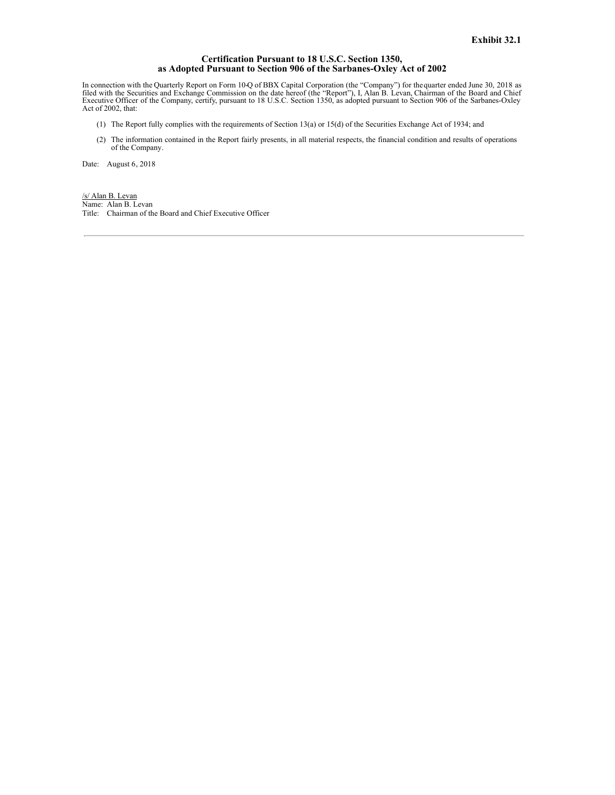## **Certification Pursuant to 18 U.S.C. Section 1350, as Adopted Pursuant to Section 906 of the Sarbanes-Oxley Act of 2002**

In connection with the Quarterly Report on Form 10-Q of BBX Capital Corporation (the "Company") for the quarter ended June 30, 2018 as<br>filed with the Securities and Exchange Commission on the date hereof (the "Report"), I, Act of 2002, that:

- (1) The Report fully complies with the requirements of Section 13(a) or 15(d) of the Securities Exchange Act of 1934; and
- (2) The information contained in the Report fairly presents, in all material respects, the financial condition and results of operations of the Company.

Date: August 6, 2018

/s/ Alan B. Levan Name: Alan B. Levan Title: Chairman of the Board and Chief Executive Officer